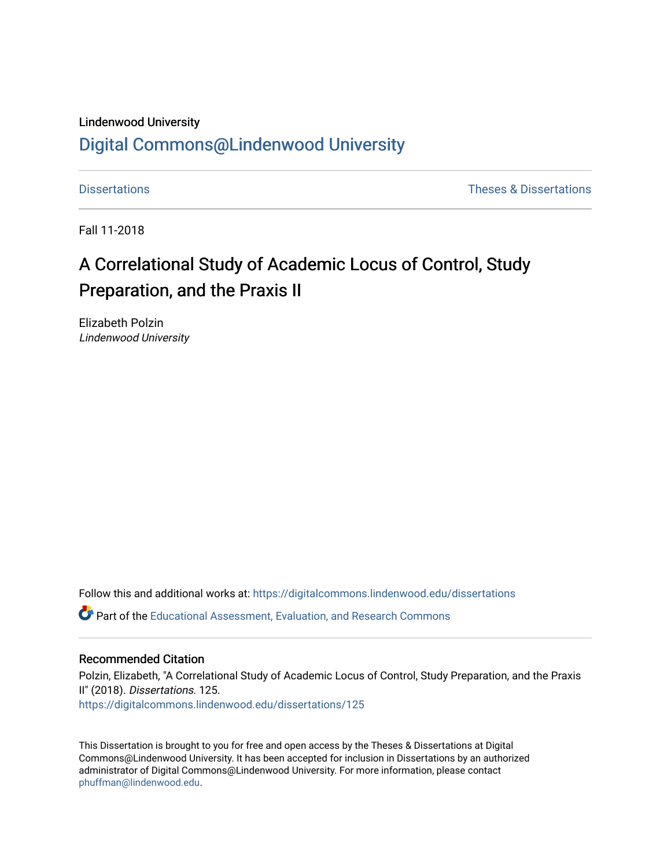#### Lindenwood University

## [Digital Commons@Lindenwood University](https://digitalcommons.lindenwood.edu/)

[Dissertations](https://digitalcommons.lindenwood.edu/dissertations) [Theses & Dissertations](https://digitalcommons.lindenwood.edu/theses-dissertations) 

Fall 11-2018

# A Correlational Study of Academic Locus of Control, Study Preparation, and the Praxis II

Elizabeth Polzin Lindenwood University

Follow this and additional works at: [https://digitalcommons.lindenwood.edu/dissertations](https://digitalcommons.lindenwood.edu/dissertations?utm_source=digitalcommons.lindenwood.edu%2Fdissertations%2F125&utm_medium=PDF&utm_campaign=PDFCoverPages) 

Part of the [Educational Assessment, Evaluation, and Research Commons](http://network.bepress.com/hgg/discipline/796?utm_source=digitalcommons.lindenwood.edu%2Fdissertations%2F125&utm_medium=PDF&utm_campaign=PDFCoverPages)

#### Recommended Citation

Polzin, Elizabeth, "A Correlational Study of Academic Locus of Control, Study Preparation, and the Praxis II" (2018). Dissertations. 125. [https://digitalcommons.lindenwood.edu/dissertations/125](https://digitalcommons.lindenwood.edu/dissertations/125?utm_source=digitalcommons.lindenwood.edu%2Fdissertations%2F125&utm_medium=PDF&utm_campaign=PDFCoverPages) 

This Dissertation is brought to you for free and open access by the Theses & Dissertations at Digital Commons@Lindenwood University. It has been accepted for inclusion in Dissertations by an authorized administrator of Digital Commons@Lindenwood University. For more information, please contact [phuffman@lindenwood.edu](mailto:phuffman@lindenwood.edu).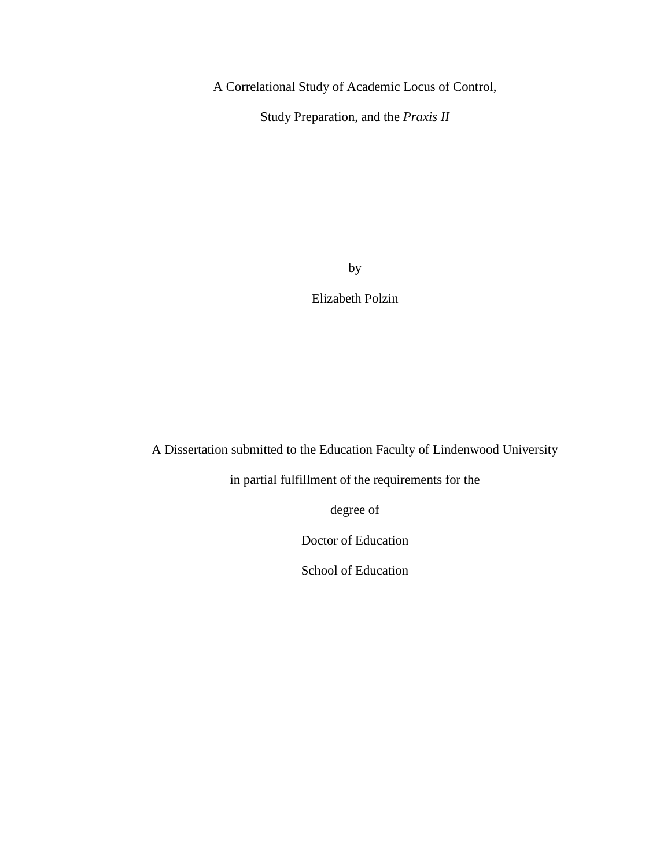A Correlational Study of Academic Locus of Control,

Study Preparation, and the *Praxis II*

by

Elizabeth Polzin

A Dissertation submitted to the Education Faculty of Lindenwood University

in partial fulfillment of the requirements for the

degree of

Doctor of Education

School of Education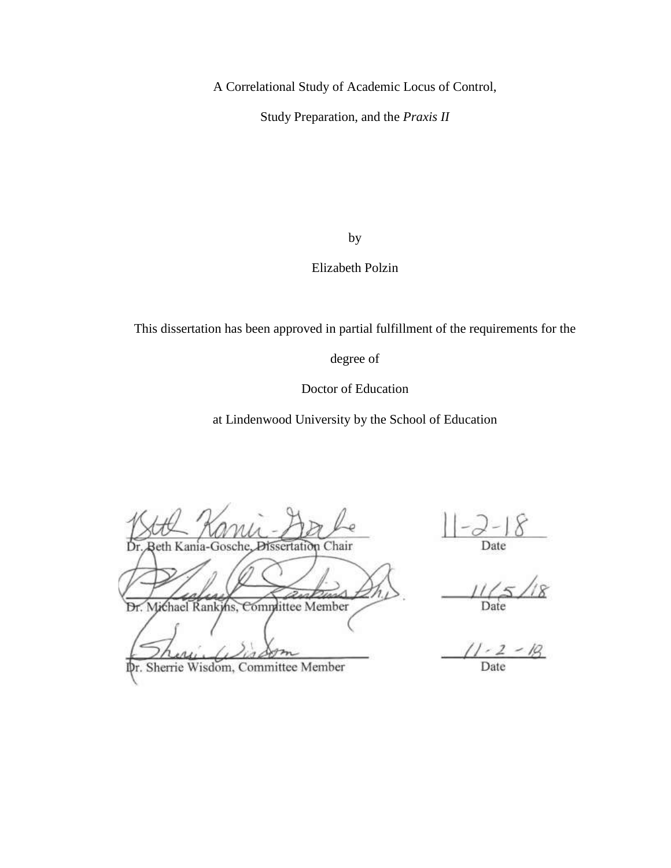A Correlational Study of Academic Locus of Control,

Study Preparation, and the *Praxis II*

by

## Elizabeth Polzin

This dissertation has been approved in partial fulfillment of the requirements for the

degree of

Doctor of Education

at Lindenwood University by the School of Education

Dissertation Chair

eth Kania-Gosche,

Dr. Michael Rankins, Committee Member

Dr. Sherrie Wisdom, Committee Member

Date

Date

Date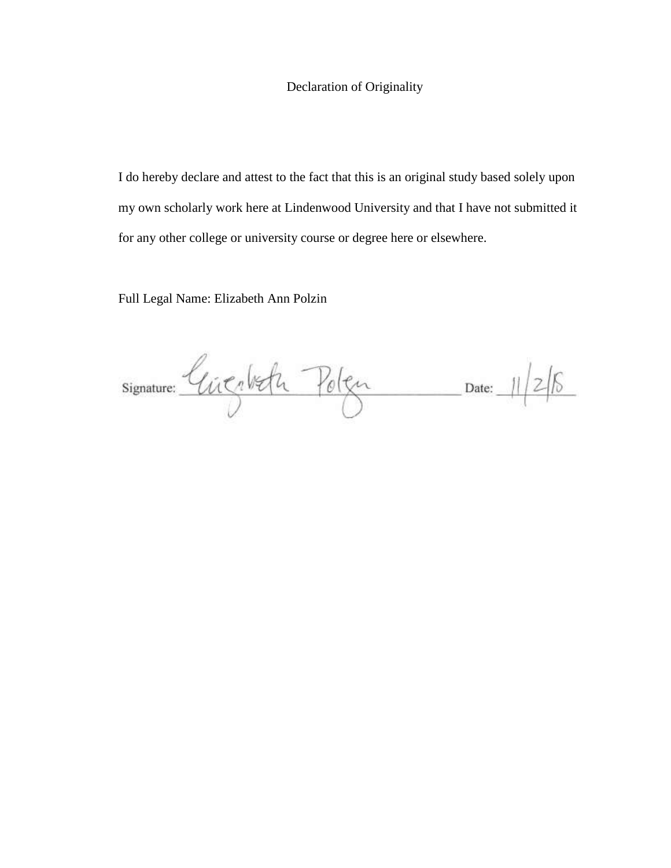## Declaration of Originality

I do hereby declare and attest to the fact that this is an original study based solely upon my own scholarly work here at Lindenwood University and that I have not submitted it for any other college or university course or degree here or elsewhere.

Full Legal Name: Elizabeth Ann Polzin

 $Signature: \n  
\n $Unc_1bcfu$ \n $P_0|_{c_1} \qquad Date: 11/2/15$$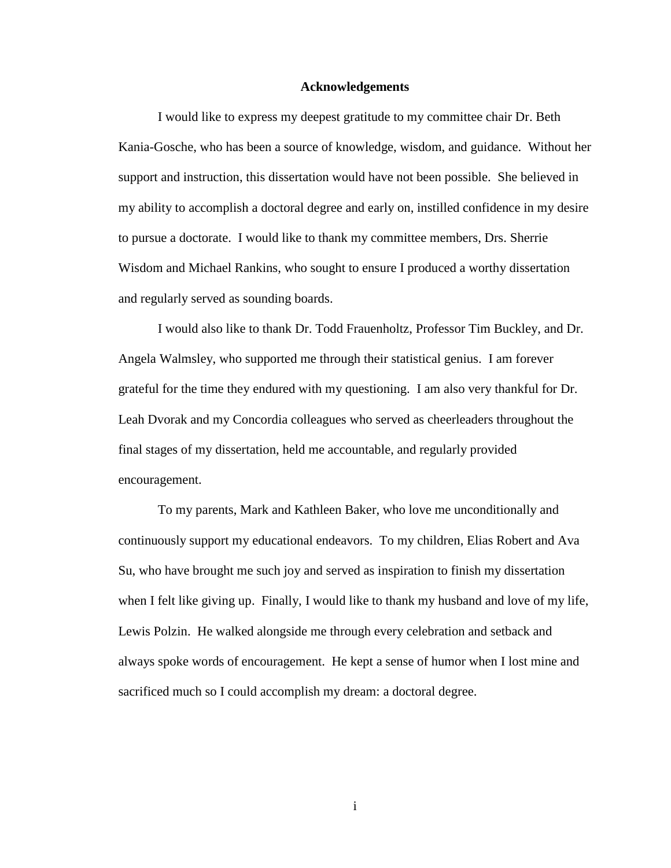#### **Acknowledgements**

<span id="page-4-0"></span>I would like to express my deepest gratitude to my committee chair Dr. Beth Kania-Gosche, who has been a source of knowledge, wisdom, and guidance. Without her support and instruction, this dissertation would have not been possible. She believed in my ability to accomplish a doctoral degree and early on, instilled confidence in my desire to pursue a doctorate. I would like to thank my committee members, Drs. Sherrie Wisdom and Michael Rankins, who sought to ensure I produced a worthy dissertation and regularly served as sounding boards.

I would also like to thank Dr. Todd Frauenholtz, Professor Tim Buckley, and Dr. Angela Walmsley, who supported me through their statistical genius. I am forever grateful for the time they endured with my questioning. I am also very thankful for Dr. Leah Dvorak and my Concordia colleagues who served as cheerleaders throughout the final stages of my dissertation, held me accountable, and regularly provided encouragement.

To my parents, Mark and Kathleen Baker, who love me unconditionally and continuously support my educational endeavors. To my children, Elias Robert and Ava Su, who have brought me such joy and served as inspiration to finish my dissertation when I felt like giving up. Finally, I would like to thank my husband and love of my life, Lewis Polzin. He walked alongside me through every celebration and setback and always spoke words of encouragement. He kept a sense of humor when I lost mine and sacrificed much so I could accomplish my dream: a doctoral degree.

i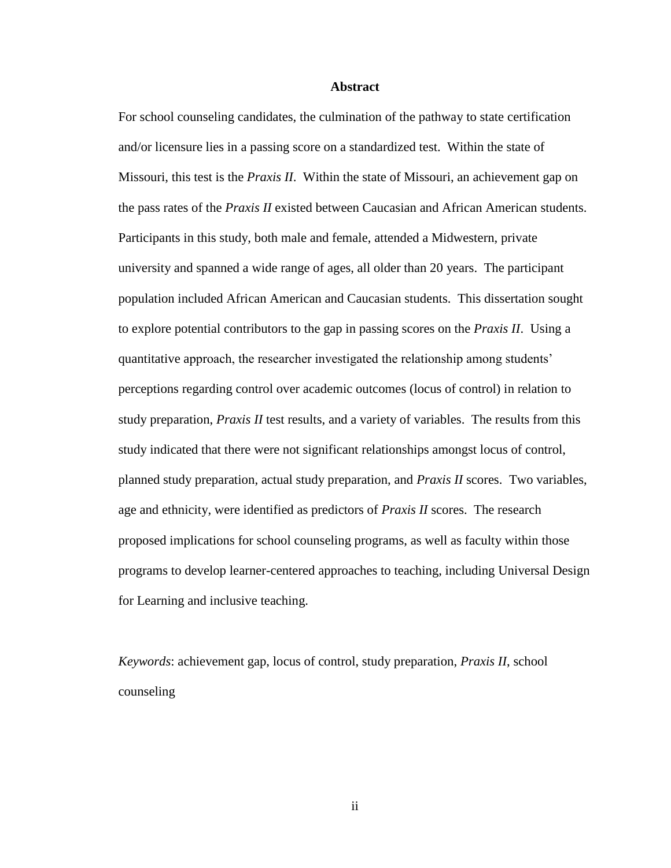#### **Abstract**

<span id="page-5-0"></span>For school counseling candidates, the culmination of the pathway to state certification and/or licensure lies in a passing score on a standardized test. Within the state of Missouri, this test is the *Praxis II*. Within the state of Missouri, an achievement gap on the pass rates of the *Praxis II* existed between Caucasian and African American students. Participants in this study, both male and female, attended a Midwestern, private university and spanned a wide range of ages, all older than 20 years. The participant population included African American and Caucasian students. This dissertation sought to explore potential contributors to the gap in passing scores on the *Praxis II*. Using a quantitative approach, the researcher investigated the relationship among students' perceptions regarding control over academic outcomes (locus of control) in relation to study preparation, *Praxis II* test results, and a variety of variables. The results from this study indicated that there were not significant relationships amongst locus of control, planned study preparation, actual study preparation, and *Praxis II* scores. Two variables, age and ethnicity, were identified as predictors of *Praxis II* scores. The research proposed implications for school counseling programs, as well as faculty within those programs to develop learner-centered approaches to teaching, including Universal Design for Learning and inclusive teaching.

*Keywords*: achievement gap, locus of control, study preparation, *Praxis II*, school counseling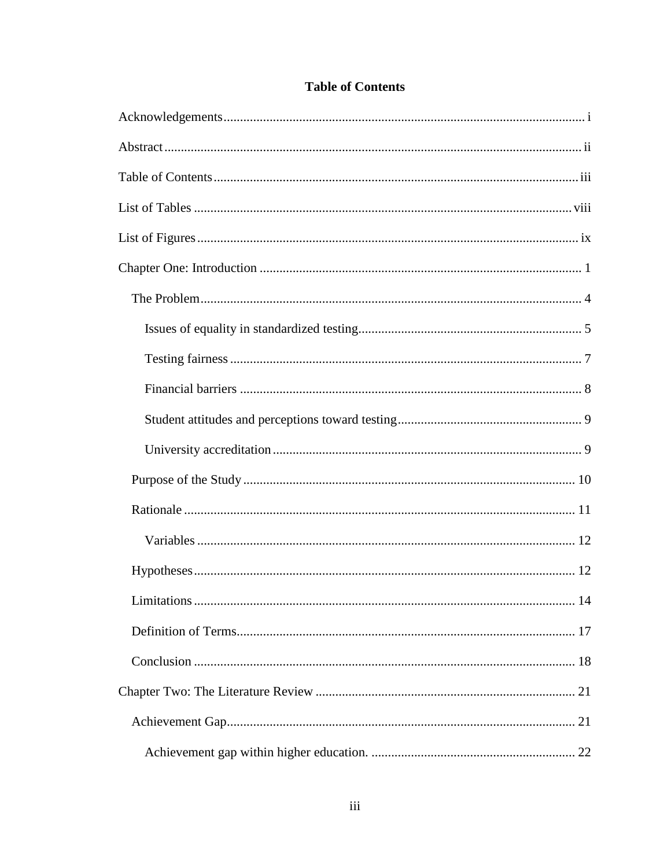<span id="page-6-0"></span>

| Limitations.<br>14 |
|--------------------|
|                    |
|                    |
|                    |
|                    |
|                    |

## **Table of Contents**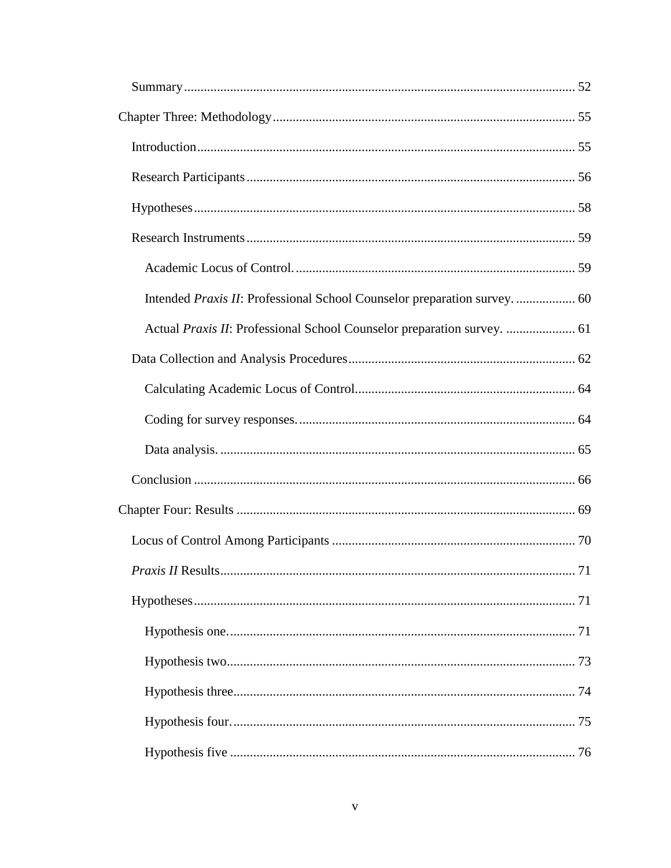| Actual Praxis II: Professional School Counselor preparation survey.  61 |  |
|-------------------------------------------------------------------------|--|
|                                                                         |  |
|                                                                         |  |
|                                                                         |  |
|                                                                         |  |
|                                                                         |  |
|                                                                         |  |
|                                                                         |  |
|                                                                         |  |
|                                                                         |  |
|                                                                         |  |
|                                                                         |  |
|                                                                         |  |
|                                                                         |  |
|                                                                         |  |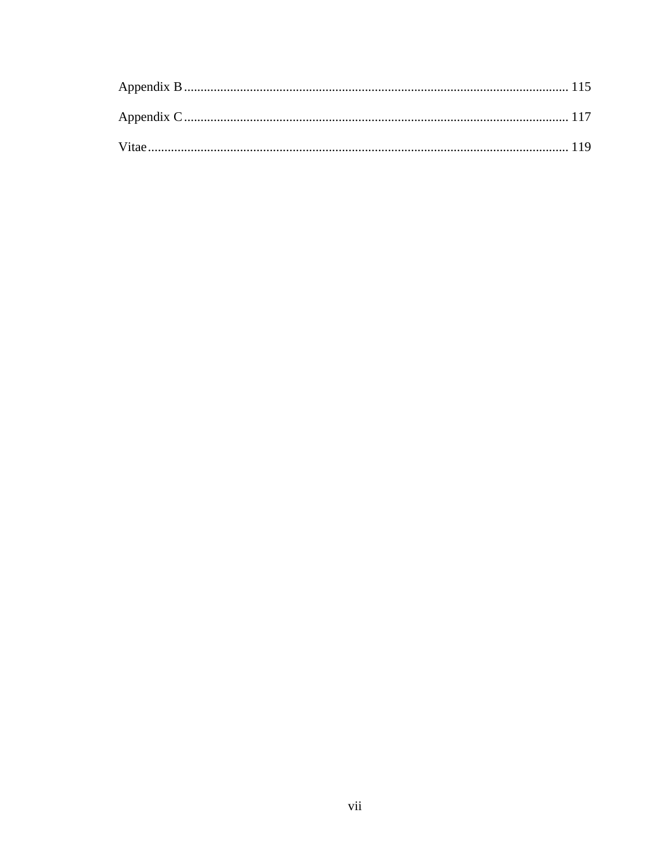<span id="page-10-0"></span>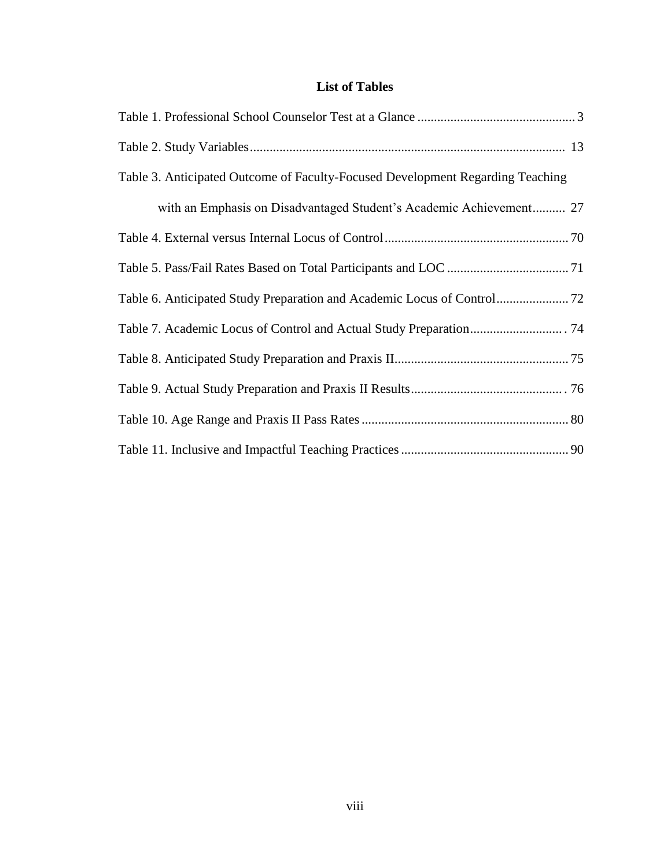## **List of Tables**

| Table 3. Anticipated Outcome of Faculty-Focused Development Regarding Teaching |
|--------------------------------------------------------------------------------|
| with an Emphasis on Disadvantaged Student's Academic Achievement 27            |
|                                                                                |
|                                                                                |
|                                                                                |
|                                                                                |
|                                                                                |
|                                                                                |
|                                                                                |
|                                                                                |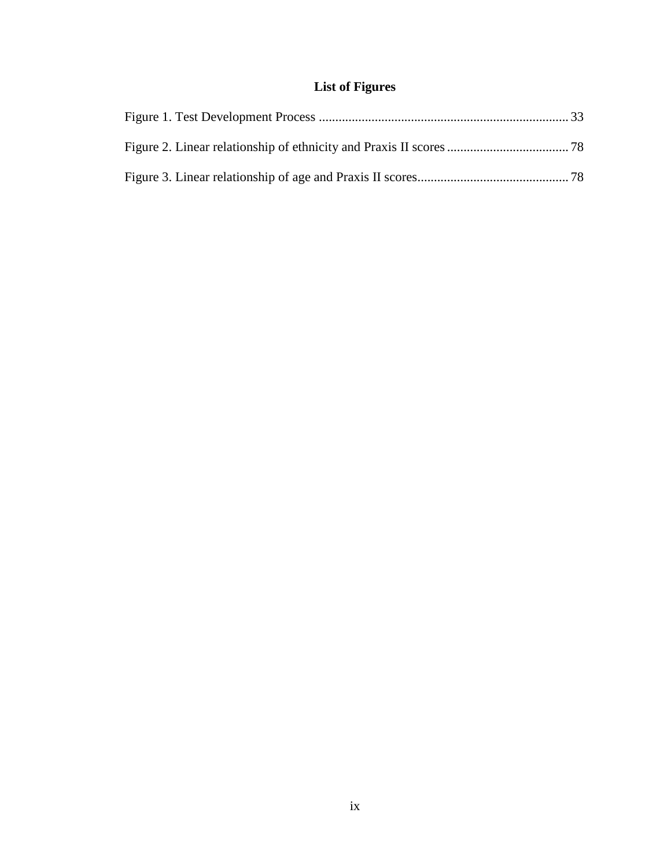# **List of Figures**

<span id="page-12-0"></span>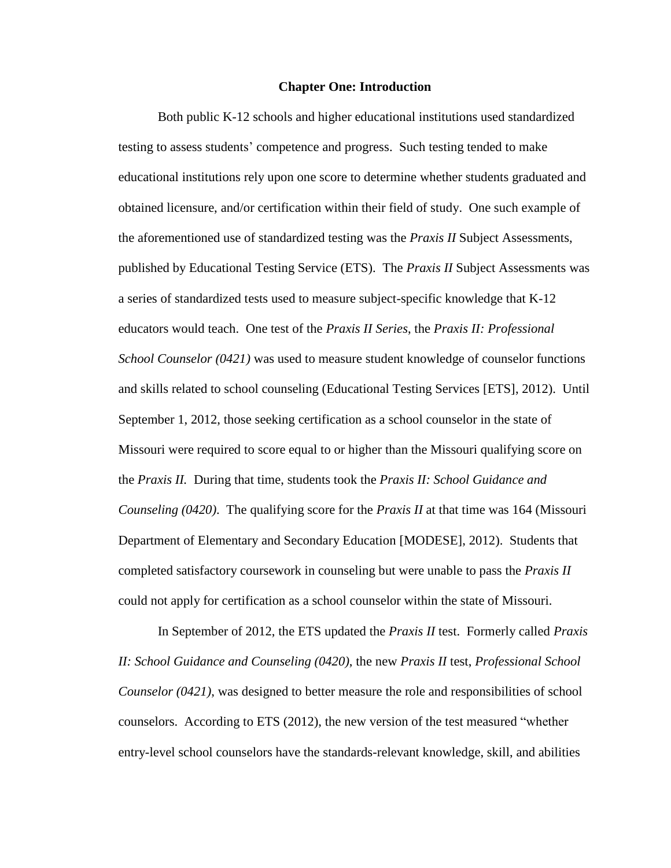#### **Chapter One: Introduction**

<span id="page-13-0"></span>Both public K-12 schools and higher educational institutions used standardized testing to assess students' competence and progress. Such testing tended to make educational institutions rely upon one score to determine whether students graduated and obtained licensure, and/or certification within their field of study. One such example of the aforementioned use of standardized testing was the *Praxis II* Subject Assessments, published by Educational Testing Service (ETS). The *Praxis II* Subject Assessments was a series of standardized tests used to measure subject-specific knowledge that K-12 educators would teach. One test of the *Praxis II Series*, the *Praxis II: Professional School Counselor (0421)* was used to measure student knowledge of counselor functions and skills related to school counseling (Educational Testing Services [ETS], 2012). Until September 1, 2012, those seeking certification as a school counselor in the state of Missouri were required to score equal to or higher than the Missouri qualifying score on the *Praxis II.* During that time, students took the *Praxis II: School Guidance and Counseling (0420)*. The qualifying score for the *Praxis II* at that time was 164 (Missouri Department of Elementary and Secondary Education [MODESE], 2012). Students that completed satisfactory coursework in counseling but were unable to pass the *Praxis II* could not apply for certification as a school counselor within the state of Missouri.

In September of 2012, the ETS updated the *Praxis II* test. Formerly called *Praxis II: School Guidance and Counseling (0420)*, the new *Praxis II* test, *Professional School Counselor (0421)*, was designed to better measure the role and responsibilities of school counselors. According to ETS (2012), the new version of the test measured "whether entry-level school counselors have the standards-relevant knowledge, skill, and abilities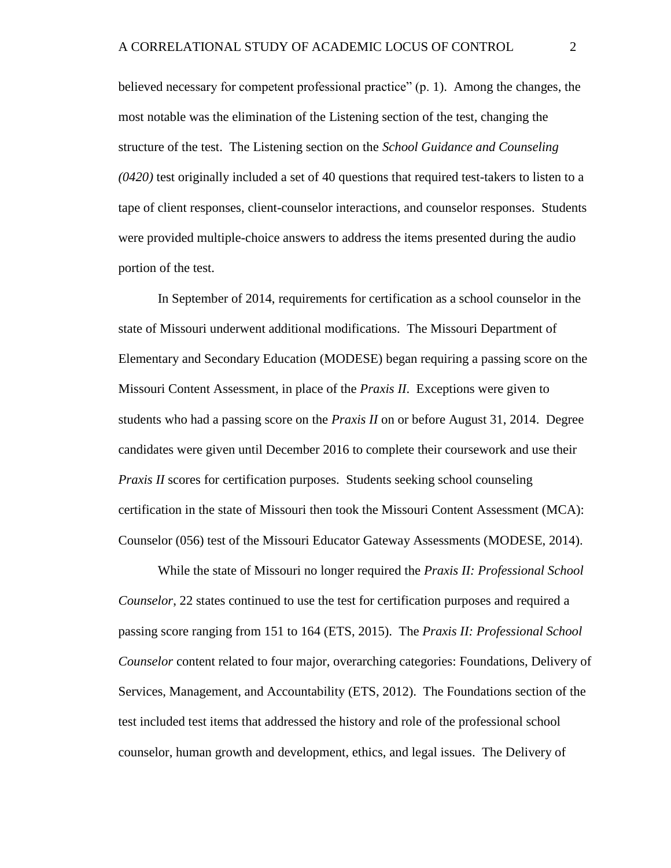believed necessary for competent professional practice" (p. 1). Among the changes, the most notable was the elimination of the Listening section of the test, changing the structure of the test. The Listening section on the *School Guidance and Counseling (0420)* test originally included a set of 40 questions that required test-takers to listen to a tape of client responses, client-counselor interactions, and counselor responses. Students were provided multiple-choice answers to address the items presented during the audio portion of the test.

In September of 2014, requirements for certification as a school counselor in the state of Missouri underwent additional modifications. The Missouri Department of Elementary and Secondary Education (MODESE) began requiring a passing score on the Missouri Content Assessment, in place of the *Praxis II*. Exceptions were given to students who had a passing score on the *Praxis II* on or before August 31, 2014. Degree candidates were given until December 2016 to complete their coursework and use their *Praxis II* scores for certification purposes. Students seeking school counseling certification in the state of Missouri then took the Missouri Content Assessment (MCA): Counselor (056) test of the Missouri Educator Gateway Assessments (MODESE, 2014).

While the state of Missouri no longer required the *Praxis II: Professional School Counselor*, 22 states continued to use the test for certification purposes and required a passing score ranging from 151 to 164 (ETS, 2015). The *Praxis II: Professional School Counselor* content related to four major, overarching categories: Foundations, Delivery of Services, Management, and Accountability (ETS, 2012). The Foundations section of the test included test items that addressed the history and role of the professional school counselor, human growth and development, ethics, and legal issues. The Delivery of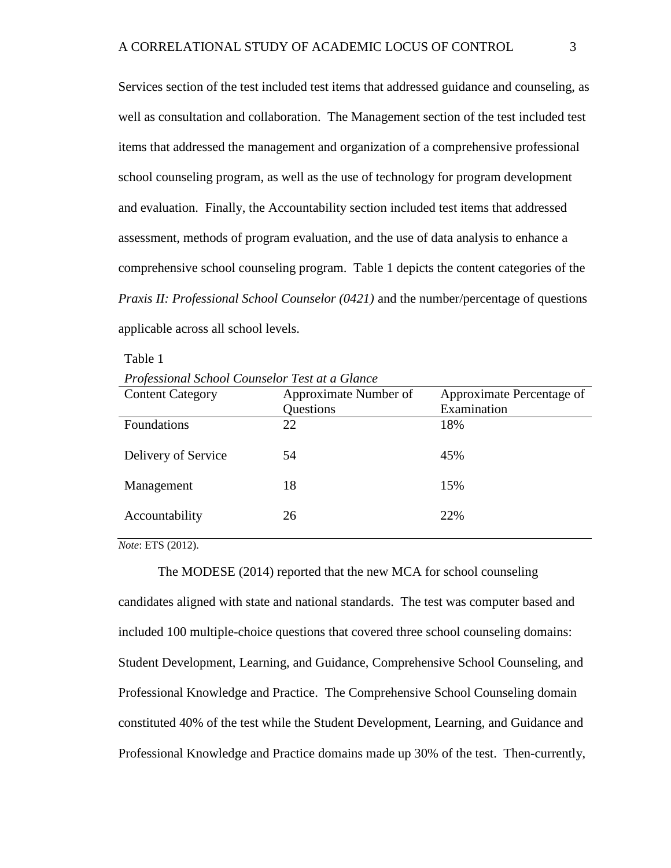Services section of the test included test items that addressed guidance and counseling, as well as consultation and collaboration. The Management section of the test included test items that addressed the management and organization of a comprehensive professional school counseling program, as well as the use of technology for program development and evaluation. Finally, the Accountability section included test items that addressed assessment, methods of program evaluation, and the use of data analysis to enhance a comprehensive school counseling program. Table 1 depicts the content categories of the *Praxis II: Professional School Counselor (0421)* and the number/percentage of questions applicable across all school levels.

Table 1

*Professional School Counselor Test at a Glance*

| <b>Content Category</b> | Approximate Number of | Approximate Percentage of |
|-------------------------|-----------------------|---------------------------|
|                         | Questions             | Examination               |
| Foundations             | 22                    | 18%                       |
| Delivery of Service     | 54                    | 45%                       |
| Management              | 18                    | 15%                       |
| Accountability          | 26                    | 22%                       |
|                         |                       |                           |

*Note*: ETS (2012).

The MODESE (2014) reported that the new MCA for school counseling candidates aligned with state and national standards. The test was computer based and included 100 multiple-choice questions that covered three school counseling domains: Student Development, Learning, and Guidance, Comprehensive School Counseling, and Professional Knowledge and Practice. The Comprehensive School Counseling domain constituted 40% of the test while the Student Development, Learning, and Guidance and Professional Knowledge and Practice domains made up 30% of the test. Then-currently,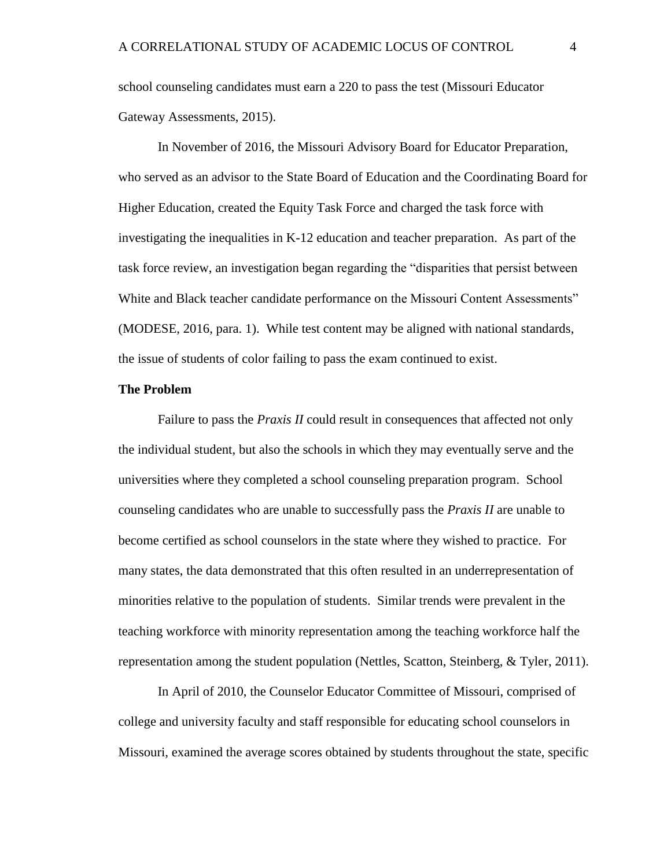school counseling candidates must earn a 220 to pass the test (Missouri Educator Gateway Assessments, 2015).

In November of 2016, the Missouri Advisory Board for Educator Preparation, who served as an advisor to the State Board of Education and the Coordinating Board for Higher Education, created the Equity Task Force and charged the task force with investigating the inequalities in K-12 education and teacher preparation. As part of the task force review, an investigation began regarding the "disparities that persist between White and Black teacher candidate performance on the Missouri Content Assessments" (MODESE, 2016, para. 1). While test content may be aligned with national standards, the issue of students of color failing to pass the exam continued to exist.

#### <span id="page-16-0"></span>**The Problem**

Failure to pass the *Praxis II* could result in consequences that affected not only the individual student, but also the schools in which they may eventually serve and the universities where they completed a school counseling preparation program. School counseling candidates who are unable to successfully pass the *Praxis II* are unable to become certified as school counselors in the state where they wished to practice. For many states, the data demonstrated that this often resulted in an underrepresentation of minorities relative to the population of students. Similar trends were prevalent in the teaching workforce with minority representation among the teaching workforce half the representation among the student population (Nettles, Scatton, Steinberg, & Tyler, 2011).

In April of 2010, the Counselor Educator Committee of Missouri, comprised of college and university faculty and staff responsible for educating school counselors in Missouri, examined the average scores obtained by students throughout the state, specific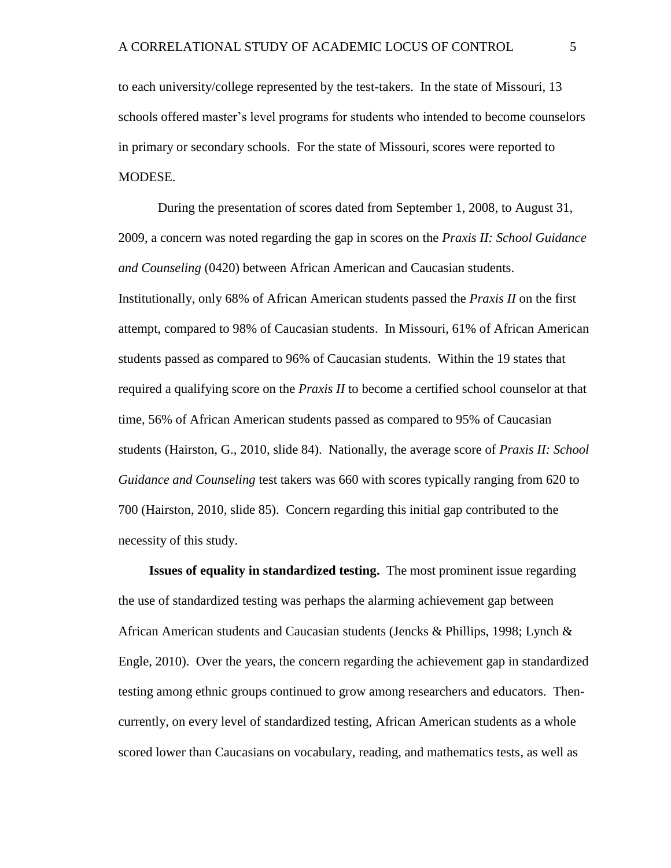to each university/college represented by the test-takers. In the state of Missouri, 13 schools offered master's level programs for students who intended to become counselors in primary or secondary schools. For the state of Missouri, scores were reported to MODESE.

During the presentation of scores dated from September 1, 2008, to August 31, 2009, a concern was noted regarding the gap in scores on the *Praxis II: School Guidance and Counseling* (0420) between African American and Caucasian students. Institutionally, only 68% of African American students passed the *Praxis II* on the first attempt, compared to 98% of Caucasian students. In Missouri, 61% of African American students passed as compared to 96% of Caucasian students. Within the 19 states that required a qualifying score on the *Praxis II* to become a certified school counselor at that time, 56% of African American students passed as compared to 95% of Caucasian students (Hairston, G., 2010, slide 84). Nationally, the average score of *Praxis II: School Guidance and Counseling* test takers was 660 with scores typically ranging from 620 to 700 (Hairston, 2010, slide 85). Concern regarding this initial gap contributed to the necessity of this study.

<span id="page-17-0"></span>**Issues of equality in standardized testing.** The most prominent issue regarding the use of standardized testing was perhaps the alarming achievement gap between African American students and Caucasian students (Jencks & Phillips, 1998; Lynch  $\&$ Engle, 2010). Over the years, the concern regarding the achievement gap in standardized testing among ethnic groups continued to grow among researchers and educators. Thencurrently, on every level of standardized testing, African American students as a whole scored lower than Caucasians on vocabulary, reading, and mathematics tests, as well as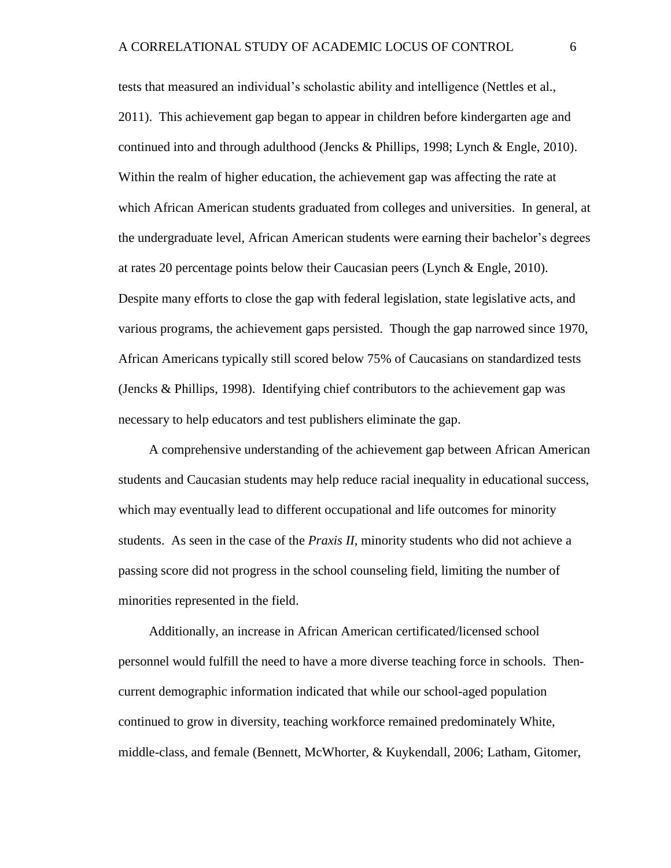tests that measured an individual's scholastic ability and intelligence (Nettles et al., 2011). This achievement gap began to appear in children before kindergarten age and continued into and through adulthood (Jencks & Phillips, 1998; Lynch & Engle, 2010). Within the realm of higher education, the achievement gap was affecting the rate at which African American students graduated from colleges and universities. In general, at the undergraduate level, African American students were earning their bachelor's degrees at rates 20 percentage points below their Caucasian peers (Lynch & Engle, 2010). Despite many efforts to close the gap with federal legislation, state legislative acts, and various programs, the achievement gaps persisted. Though the gap narrowed since 1970, African Americans typically still scored below 75% of Caucasians on standardized tests (Jencks & Phillips, 1998). Identifying chief contributors to the achievement gap was necessary to help educators and test publishers eliminate the gap.

A comprehensive understanding of the achievement gap between African American students and Caucasian students may help reduce racial inequality in educational success, which may eventually lead to different occupational and life outcomes for minority students. As seen in the case of the *Praxis II*, minority students who did not achieve a passing score did not progress in the school counseling field, limiting the number of minorities represented in the field.

Additionally, an increase in African American certificated/licensed school personnel would fulfill the need to have a more diverse teaching force in schools. Thencurrent demographic information indicated that while our school-aged population continued to grow in diversity, teaching workforce remained predominately White, middle-class, and female (Bennett, McWhorter, & Kuykendall, 2006; Latham, Gitomer,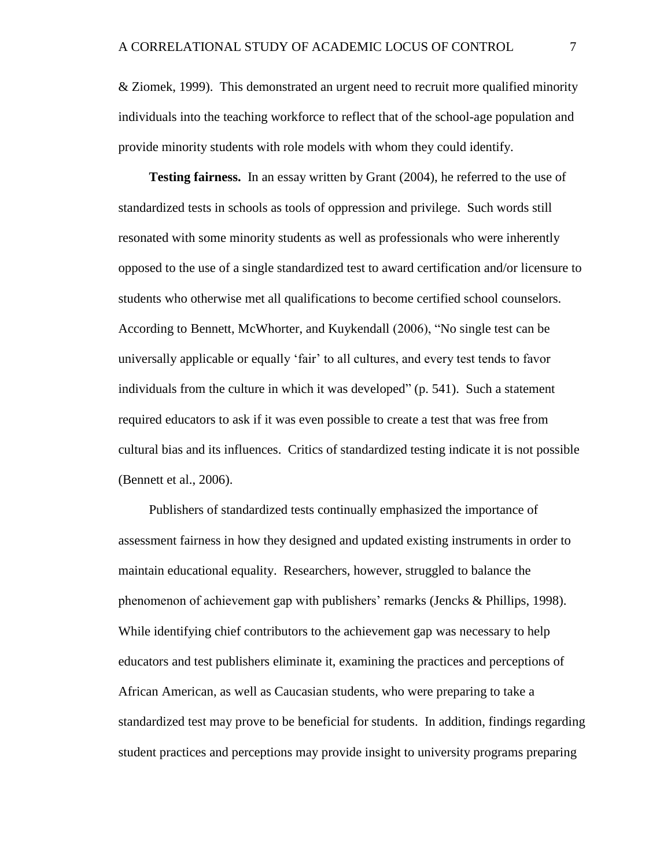& Ziomek, 1999). This demonstrated an urgent need to recruit more qualified minority individuals into the teaching workforce to reflect that of the school-age population and provide minority students with role models with whom they could identify.

<span id="page-19-0"></span>**Testing fairness.** In an essay written by Grant (2004), he referred to the use of standardized tests in schools as tools of oppression and privilege. Such words still resonated with some minority students as well as professionals who were inherently opposed to the use of a single standardized test to award certification and/or licensure to students who otherwise met all qualifications to become certified school counselors. According to Bennett, McWhorter, and Kuykendall (2006), "No single test can be universally applicable or equally 'fair' to all cultures, and every test tends to favor individuals from the culture in which it was developed" (p. 541). Such a statement required educators to ask if it was even possible to create a test that was free from cultural bias and its influences. Critics of standardized testing indicate it is not possible (Bennett et al., 2006).

Publishers of standardized tests continually emphasized the importance of assessment fairness in how they designed and updated existing instruments in order to maintain educational equality. Researchers, however, struggled to balance the phenomenon of achievement gap with publishers' remarks (Jencks & Phillips, 1998). While identifying chief contributors to the achievement gap was necessary to help educators and test publishers eliminate it, examining the practices and perceptions of African American, as well as Caucasian students, who were preparing to take a standardized test may prove to be beneficial for students. In addition, findings regarding student practices and perceptions may provide insight to university programs preparing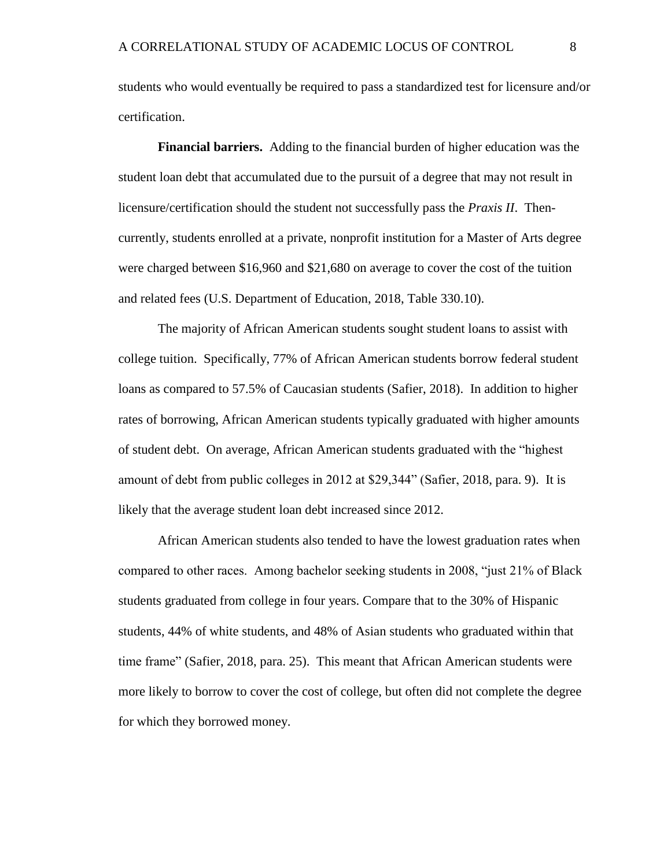students who would eventually be required to pass a standardized test for licensure and/or certification.

<span id="page-20-0"></span>**Financial barriers.** Adding to the financial burden of higher education was the student loan debt that accumulated due to the pursuit of a degree that may not result in licensure/certification should the student not successfully pass the *Praxis II*. Thencurrently, students enrolled at a private, nonprofit institution for a Master of Arts degree were charged between \$16,960 and \$21,680 on average to cover the cost of the tuition and related fees (U.S. Department of Education, 2018, Table 330.10).

The majority of African American students sought student loans to assist with college tuition. Specifically, 77% of African American students borrow federal student loans as compared to 57.5% of Caucasian students (Safier, 2018). In addition to higher rates of borrowing, African American students typically graduated with higher amounts of student debt. On average, African American students graduated with the "highest amount of debt from public colleges in 2012 at \$29,344" (Safier, 2018, para. 9). It is likely that the average student loan debt increased since 2012.

African American students also tended to have the lowest graduation rates when compared to other races. Among bachelor seeking students in 2008, "just 21% of Black students graduated from college in four years. Compare that to the 30% of Hispanic students, 44% of white students, and 48% of Asian students who graduated within that time frame" (Safier, 2018, para. 25). This meant that African American students were more likely to borrow to cover the cost of college, but often did not complete the degree for which they borrowed money.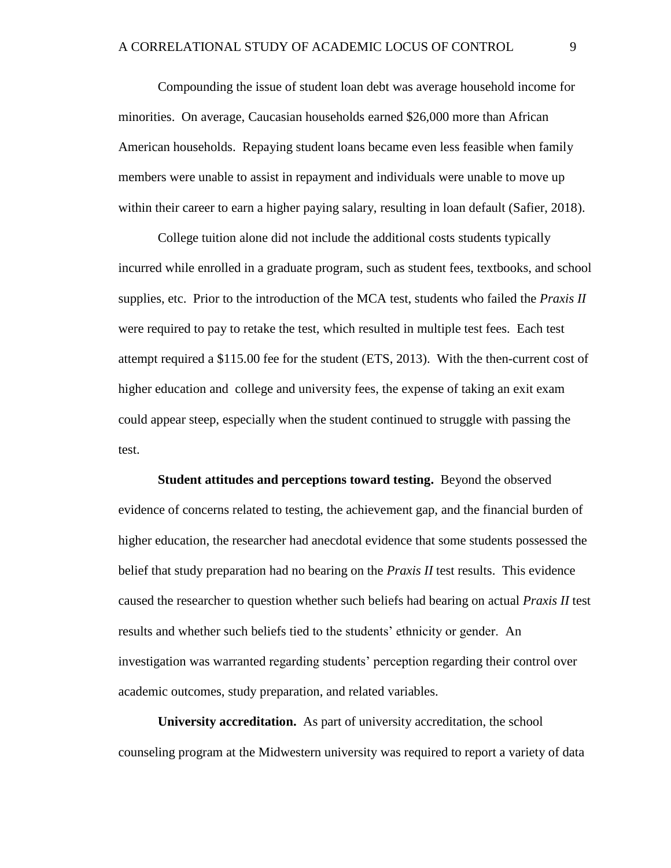Compounding the issue of student loan debt was average household income for minorities. On average, Caucasian households earned \$26,000 more than African American households. Repaying student loans became even less feasible when family members were unable to assist in repayment and individuals were unable to move up within their career to earn a higher paying salary, resulting in loan default (Safier, 2018).

College tuition alone did not include the additional costs students typically incurred while enrolled in a graduate program, such as student fees, textbooks, and school supplies, etc. Prior to the introduction of the MCA test, students who failed the *Praxis II* were required to pay to retake the test, which resulted in multiple test fees. Each test attempt required a \$115.00 fee for the student (ETS, 2013). With the then-current cost of higher education and college and university fees, the expense of taking an exit exam could appear steep, especially when the student continued to struggle with passing the test.

<span id="page-21-0"></span>**Student attitudes and perceptions toward testing.** Beyond the observed evidence of concerns related to testing, the achievement gap, and the financial burden of higher education, the researcher had anecdotal evidence that some students possessed the belief that study preparation had no bearing on the *Praxis II* test results. This evidence caused the researcher to question whether such beliefs had bearing on actual *Praxis II* test results and whether such beliefs tied to the students' ethnicity or gender. An investigation was warranted regarding students' perception regarding their control over academic outcomes, study preparation, and related variables.

<span id="page-21-1"></span>**University accreditation.** As part of university accreditation, the school counseling program at the Midwestern university was required to report a variety of data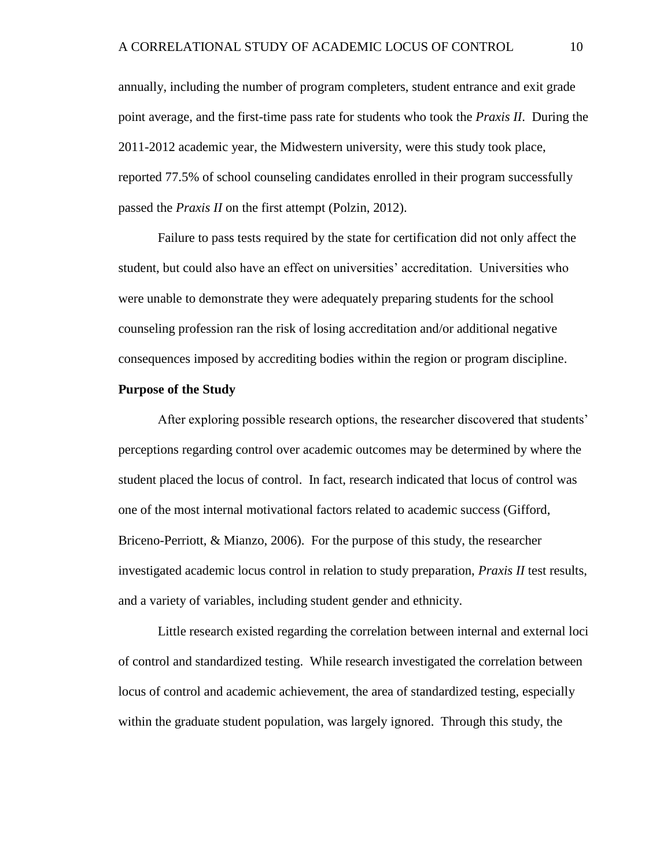annually, including the number of program completers, student entrance and exit grade point average, and the first-time pass rate for students who took the *Praxis II*. During the 2011-2012 academic year, the Midwestern university, were this study took place, reported 77.5% of school counseling candidates enrolled in their program successfully passed the *Praxis II* on the first attempt (Polzin, 2012).

Failure to pass tests required by the state for certification did not only affect the student, but could also have an effect on universities' accreditation. Universities who were unable to demonstrate they were adequately preparing students for the school counseling profession ran the risk of losing accreditation and/or additional negative consequences imposed by accrediting bodies within the region or program discipline.

#### <span id="page-22-0"></span>**Purpose of the Study**

After exploring possible research options, the researcher discovered that students' perceptions regarding control over academic outcomes may be determined by where the student placed the locus of control. In fact, research indicated that locus of control was one of the most internal motivational factors related to academic success (Gifford, Briceno-Perriott, & Mianzo, 2006). For the purpose of this study, the researcher investigated academic locus control in relation to study preparation, *Praxis II* test results, and a variety of variables, including student gender and ethnicity.

Little research existed regarding the correlation between internal and external loci of control and standardized testing. While research investigated the correlation between locus of control and academic achievement, the area of standardized testing, especially within the graduate student population, was largely ignored. Through this study, the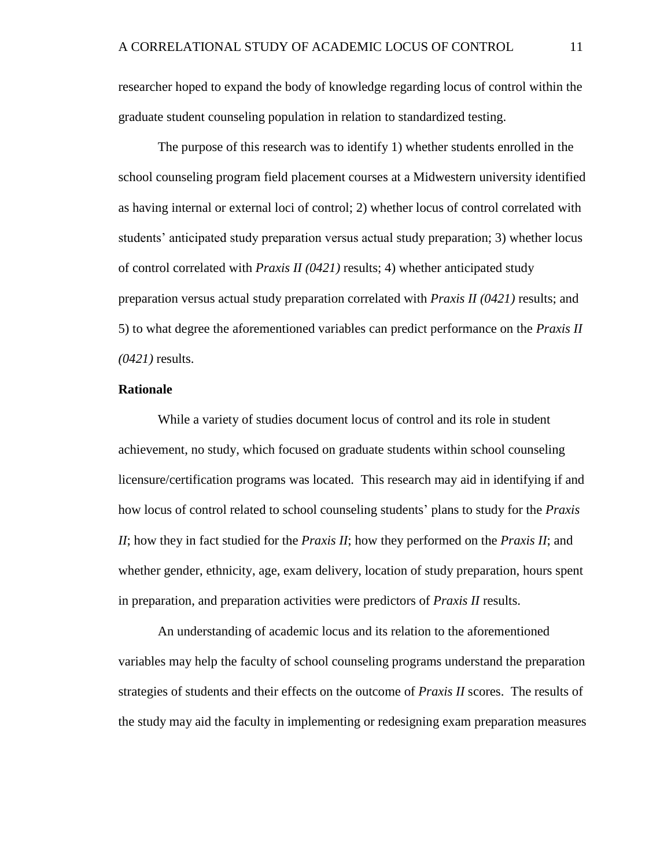researcher hoped to expand the body of knowledge regarding locus of control within the graduate student counseling population in relation to standardized testing.

The purpose of this research was to identify 1) whether students enrolled in the school counseling program field placement courses at a Midwestern university identified as having internal or external loci of control; 2) whether locus of control correlated with students' anticipated study preparation versus actual study preparation; 3) whether locus of control correlated with *Praxis II (0421)* results; 4) whether anticipated study preparation versus actual study preparation correlated with *Praxis II (0421)* results; and 5) to what degree the aforementioned variables can predict performance on the *Praxis II (0421)* results.

#### <span id="page-23-0"></span>**Rationale**

While a variety of studies document locus of control and its role in student achievement, no study, which focused on graduate students within school counseling licensure/certification programs was located. This research may aid in identifying if and how locus of control related to school counseling students' plans to study for the *Praxis II*; how they in fact studied for the *Praxis II*; how they performed on the *Praxis II*; and whether gender, ethnicity, age, exam delivery, location of study preparation, hours spent in preparation, and preparation activities were predictors of *Praxis II* results.

An understanding of academic locus and its relation to the aforementioned variables may help the faculty of school counseling programs understand the preparation strategies of students and their effects on the outcome of *Praxis II* scores. The results of the study may aid the faculty in implementing or redesigning exam preparation measures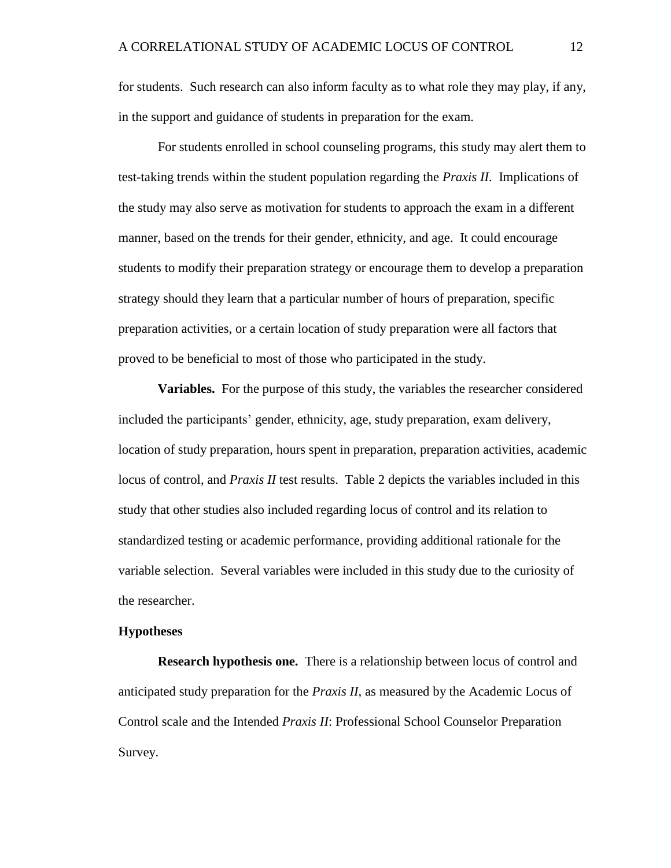for students. Such research can also inform faculty as to what role they may play, if any, in the support and guidance of students in preparation for the exam.

For students enrolled in school counseling programs, this study may alert them to test-taking trends within the student population regarding the *Praxis II*. Implications of the study may also serve as motivation for students to approach the exam in a different manner, based on the trends for their gender, ethnicity, and age. It could encourage students to modify their preparation strategy or encourage them to develop a preparation strategy should they learn that a particular number of hours of preparation, specific preparation activities, or a certain location of study preparation were all factors that proved to be beneficial to most of those who participated in the study.

<span id="page-24-0"></span>**Variables.** For the purpose of this study, the variables the researcher considered included the participants' gender, ethnicity, age, study preparation, exam delivery, location of study preparation, hours spent in preparation, preparation activities, academic locus of control, and *Praxis II* test results. Table 2 depicts the variables included in this study that other studies also included regarding locus of control and its relation to standardized testing or academic performance, providing additional rationale for the variable selection. Several variables were included in this study due to the curiosity of the researcher.

#### <span id="page-24-1"></span>**Hypotheses**

**Research hypothesis one.** There is a relationship between locus of control and anticipated study preparation for the *Praxis II*, as measured by the Academic Locus of Control scale and the Intended *Praxis II*: Professional School Counselor Preparation Survey.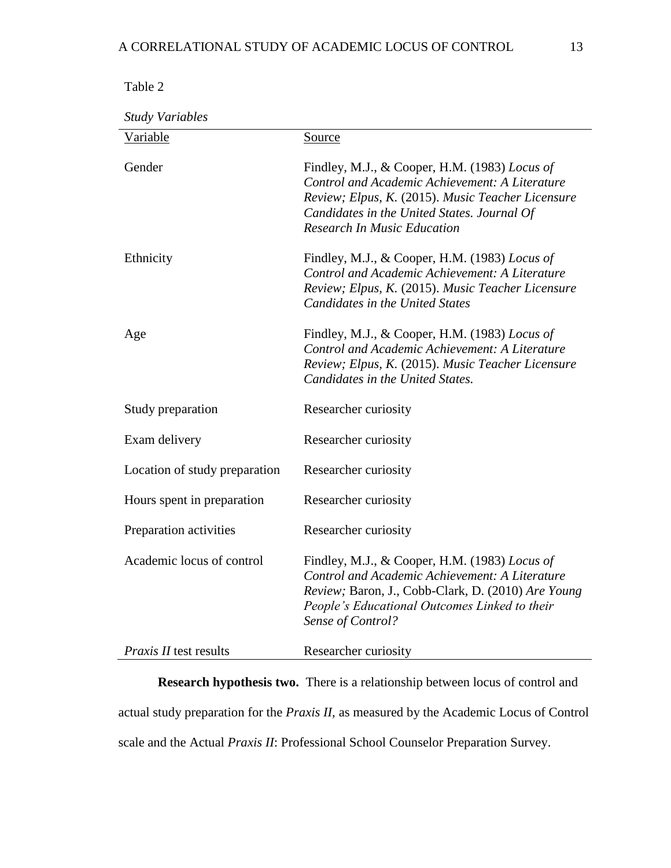#### A CORRELATIONAL STUDY OF ACADEMIC LOCUS OF CONTROL 13

| anie |  |
|------|--|
|------|--|

*Study Variables*

| <b>Variable</b>               | Source                                                                                                                                                                                                                                           |
|-------------------------------|--------------------------------------------------------------------------------------------------------------------------------------------------------------------------------------------------------------------------------------------------|
| Gender                        | Findley, M.J., & Cooper, H.M. (1983) Locus of<br><b>Control and Academic Achievement: A Literature</b><br>Review; Elpus, K. (2015). Music Teacher Licensure<br>Candidates in the United States. Journal Of<br><b>Research In Music Education</b> |
| Ethnicity                     | Findley, M.J., & Cooper, H.M. (1983) Locus of<br>Control and Academic Achievement: A Literature<br>Review; Elpus, K. (2015). Music Teacher Licensure<br><b>Candidates in the United States</b>                                                   |
| Age                           | Findley, M.J., & Cooper, H.M. (1983) Locus of<br><b>Control and Academic Achievement: A Literature</b><br>Review; Elpus, K. (2015). Music Teacher Licensure<br>Candidates in the United States.                                                  |
| Study preparation             | Researcher curiosity                                                                                                                                                                                                                             |
| Exam delivery                 | Researcher curiosity                                                                                                                                                                                                                             |
| Location of study preparation | Researcher curiosity                                                                                                                                                                                                                             |
| Hours spent in preparation    | Researcher curiosity                                                                                                                                                                                                                             |
| Preparation activities        | Researcher curiosity                                                                                                                                                                                                                             |
| Academic locus of control     | Findley, M.J., & Cooper, H.M. (1983) Locus of<br><b>Control and Academic Achievement: A Literature</b><br>Review; Baron, J., Cobb-Clark, D. (2010) Are Young<br>People's Educational Outcomes Linked to their<br>Sense of Control?               |
| <i>Praxis II</i> test results | Researcher curiosity                                                                                                                                                                                                                             |

**Research hypothesis two.** There is a relationship between locus of control and actual study preparation for the *Praxis II,* as measured by the Academic Locus of Control scale and the Actual *Praxis II*: Professional School Counselor Preparation Survey.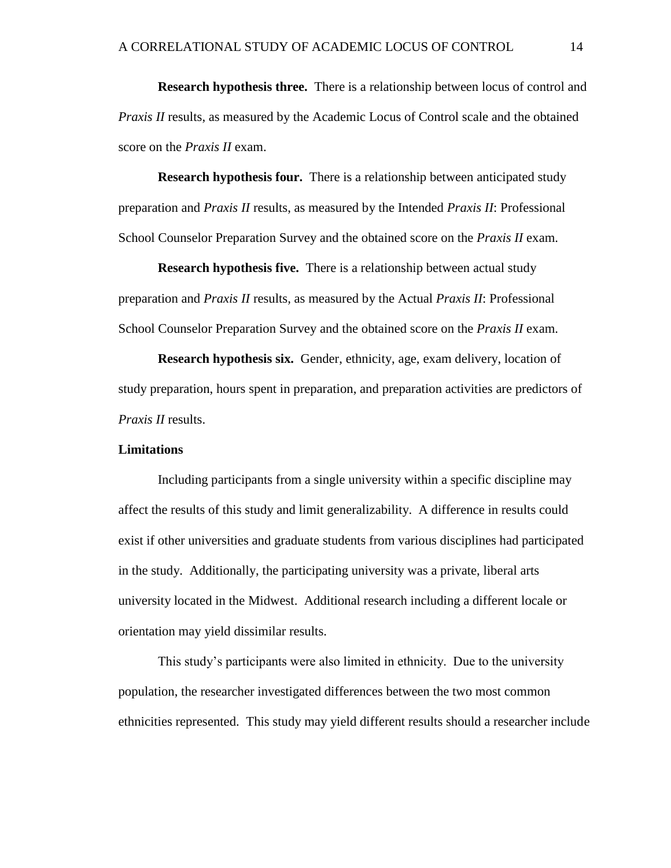**Research hypothesis three.** There is a relationship between locus of control and *Praxis II* results, as measured by the Academic Locus of Control scale and the obtained score on the *Praxis II* exam.

**Research hypothesis four.** There is a relationship between anticipated study preparation and *Praxis II* results, as measured by the Intended *Praxis II*: Professional School Counselor Preparation Survey and the obtained score on the *Praxis II* exam.

**Research hypothesis five.** There is a relationship between actual study preparation and *Praxis II* results*,* as measured by the Actual *Praxis II*: Professional School Counselor Preparation Survey and the obtained score on the *Praxis II* exam.

**Research hypothesis six.** Gender, ethnicity, age, exam delivery, location of study preparation, hours spent in preparation, and preparation activities are predictors of *Praxis II* results.

#### <span id="page-26-0"></span>**Limitations**

Including participants from a single university within a specific discipline may affect the results of this study and limit generalizability. A difference in results could exist if other universities and graduate students from various disciplines had participated in the study. Additionally, the participating university was a private, liberal arts university located in the Midwest. Additional research including a different locale or orientation may yield dissimilar results.

This study's participants were also limited in ethnicity. Due to the university population, the researcher investigated differences between the two most common ethnicities represented. This study may yield different results should a researcher include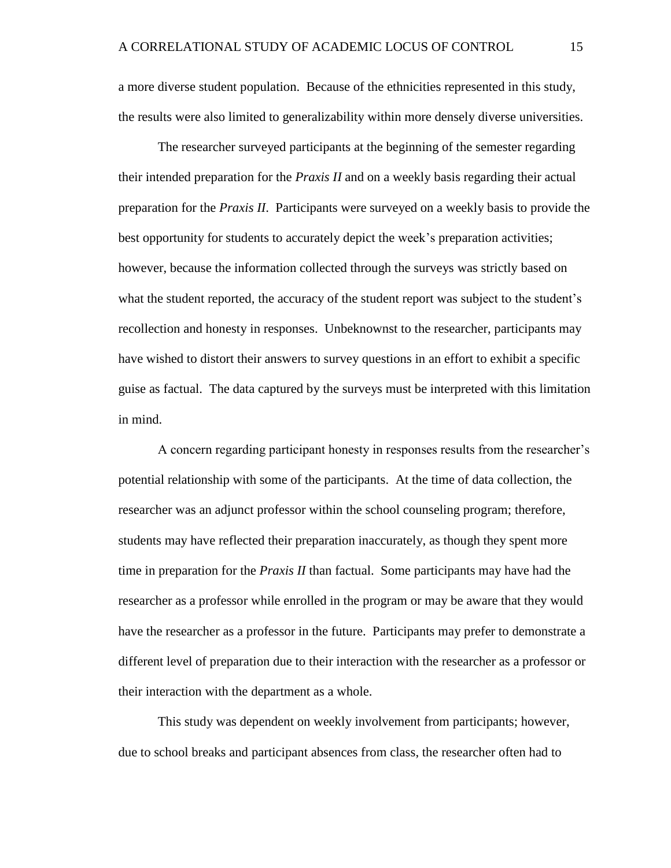a more diverse student population. Because of the ethnicities represented in this study, the results were also limited to generalizability within more densely diverse universities.

The researcher surveyed participants at the beginning of the semester regarding their intended preparation for the *Praxis II* and on a weekly basis regarding their actual preparation for the *Praxis II*. Participants were surveyed on a weekly basis to provide the best opportunity for students to accurately depict the week's preparation activities; however, because the information collected through the surveys was strictly based on what the student reported, the accuracy of the student report was subject to the student's recollection and honesty in responses. Unbeknownst to the researcher, participants may have wished to distort their answers to survey questions in an effort to exhibit a specific guise as factual. The data captured by the surveys must be interpreted with this limitation in mind.

A concern regarding participant honesty in responses results from the researcher's potential relationship with some of the participants. At the time of data collection, the researcher was an adjunct professor within the school counseling program; therefore, students may have reflected their preparation inaccurately, as though they spent more time in preparation for the *Praxis II* than factual. Some participants may have had the researcher as a professor while enrolled in the program or may be aware that they would have the researcher as a professor in the future. Participants may prefer to demonstrate a different level of preparation due to their interaction with the researcher as a professor or their interaction with the department as a whole.

This study was dependent on weekly involvement from participants; however, due to school breaks and participant absences from class, the researcher often had to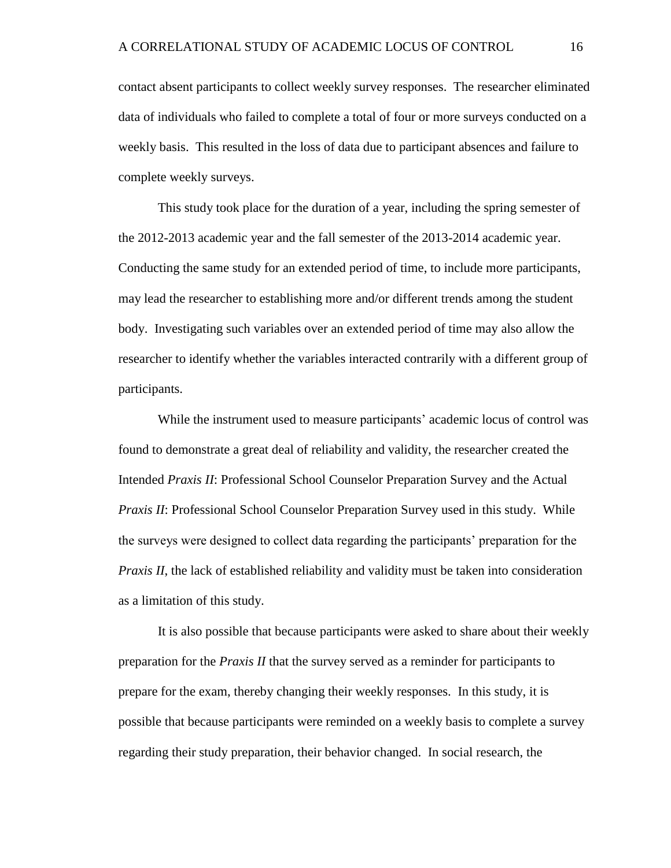contact absent participants to collect weekly survey responses. The researcher eliminated data of individuals who failed to complete a total of four or more surveys conducted on a weekly basis. This resulted in the loss of data due to participant absences and failure to complete weekly surveys.

This study took place for the duration of a year, including the spring semester of the 2012-2013 academic year and the fall semester of the 2013-2014 academic year. Conducting the same study for an extended period of time, to include more participants, may lead the researcher to establishing more and/or different trends among the student body. Investigating such variables over an extended period of time may also allow the researcher to identify whether the variables interacted contrarily with a different group of participants.

While the instrument used to measure participants' academic locus of control was found to demonstrate a great deal of reliability and validity, the researcher created the Intended *Praxis II*: Professional School Counselor Preparation Survey and the Actual *Praxis II*: Professional School Counselor Preparation Survey used in this study. While the surveys were designed to collect data regarding the participants' preparation for the *Praxis II*, the lack of established reliability and validity must be taken into consideration as a limitation of this study.

It is also possible that because participants were asked to share about their weekly preparation for the *Praxis II* that the survey served as a reminder for participants to prepare for the exam, thereby changing their weekly responses. In this study, it is possible that because participants were reminded on a weekly basis to complete a survey regarding their study preparation, their behavior changed. In social research, the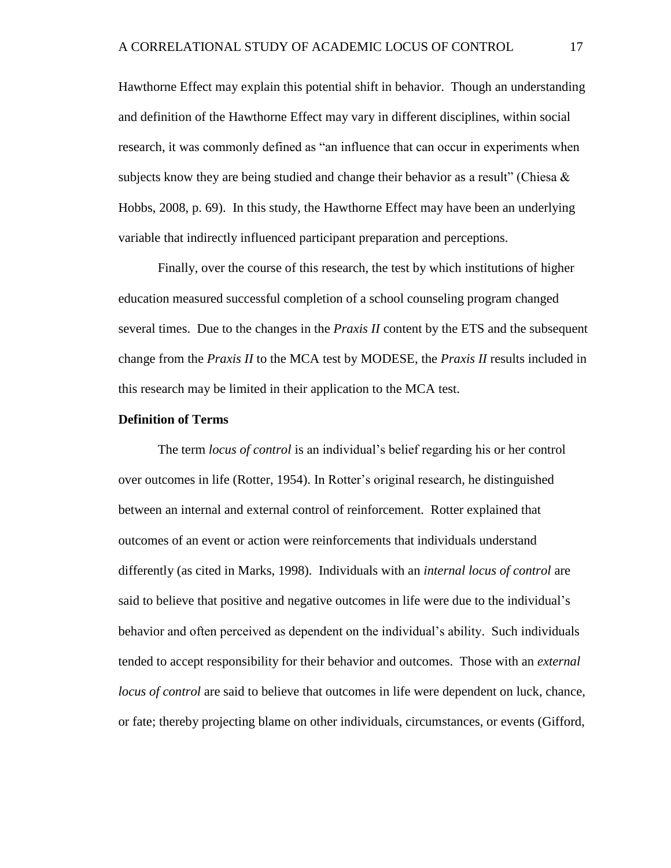Hawthorne Effect may explain this potential shift in behavior. Though an understanding and definition of the Hawthorne Effect may vary in different disciplines, within social research, it was commonly defined as "an influence that can occur in experiments when subjects know they are being studied and change their behavior as a result" (Chiesa  $\&$ Hobbs, 2008, p. 69). In this study, the Hawthorne Effect may have been an underlying variable that indirectly influenced participant preparation and perceptions.

Finally, over the course of this research, the test by which institutions of higher education measured successful completion of a school counseling program changed several times. Due to the changes in the *Praxis II* content by the ETS and the subsequent change from the *Praxis II* to the MCA test by MODESE, the *Praxis II* results included in this research may be limited in their application to the MCA test.

#### <span id="page-29-0"></span>**Definition of Terms**

The term *locus of control* is an individual's belief regarding his or her control over outcomes in life (Rotter, 1954). In Rotter's original research, he distinguished between an internal and external control of reinforcement. Rotter explained that outcomes of an event or action were reinforcements that individuals understand differently (as cited in Marks, 1998). Individuals with an *internal locus of control* are said to believe that positive and negative outcomes in life were due to the individual's behavior and often perceived as dependent on the individual's ability. Such individuals tended to accept responsibility for their behavior and outcomes. Those with an *external locus of control* are said to believe that outcomes in life were dependent on luck, chance, or fate; thereby projecting blame on other individuals, circumstances, or events (Gifford,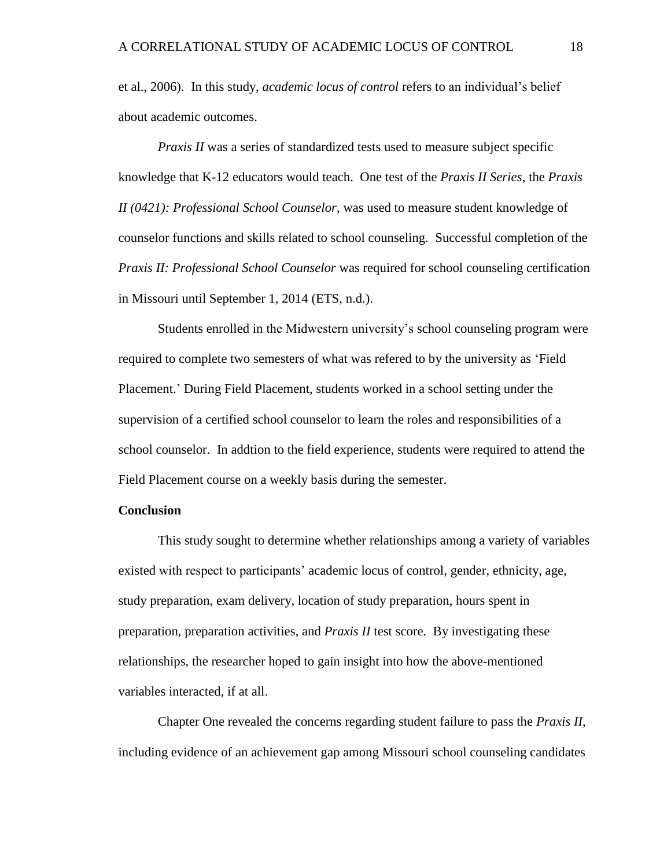et al., 2006). In this study, *academic locus of control* refers to an individual's belief about academic outcomes.

*Praxis II* was a series of standardized tests used to measure subject specific knowledge that K-12 educators would teach. One test of the *Praxis II Series*, the *Praxis II (0421): Professional School Counselor*, was used to measure student knowledge of counselor functions and skills related to school counseling. Successful completion of the *Praxis II: Professional School Counselor* was required for school counseling certification in Missouri until September 1, 2014 (ETS, n.d.).

Students enrolled in the Midwestern university's school counseling program were required to complete two semesters of what was refered to by the university as 'Field Placement.' During Field Placement, students worked in a school setting under the supervision of a certified school counselor to learn the roles and responsibilities of a school counselor. In addtion to the field experience, students were required to attend the Field Placement course on a weekly basis during the semester.

#### <span id="page-30-0"></span>**Conclusion**

This study sought to determine whether relationships among a variety of variables existed with respect to participants' academic locus of control, gender, ethnicity, age, study preparation, exam delivery, location of study preparation, hours spent in preparation, preparation activities, and *Praxis II* test score. By investigating these relationships, the researcher hoped to gain insight into how the above-mentioned variables interacted, if at all.

Chapter One revealed the concerns regarding student failure to pass the *Praxis II*, including evidence of an achievement gap among Missouri school counseling candidates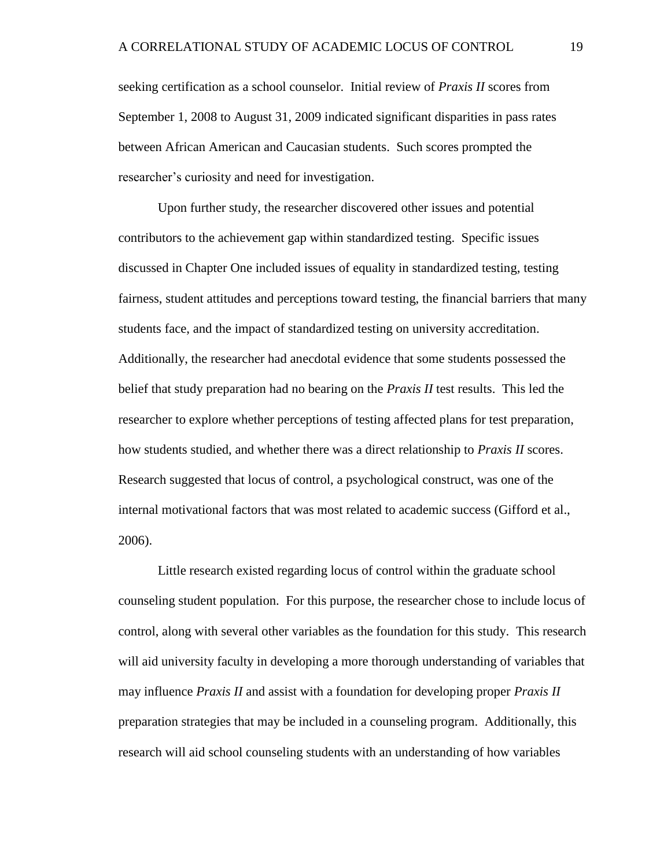seeking certification as a school counselor. Initial review of *Praxis II* scores from September 1, 2008 to August 31, 2009 indicated significant disparities in pass rates between African American and Caucasian students. Such scores prompted the researcher's curiosity and need for investigation.

Upon further study, the researcher discovered other issues and potential contributors to the achievement gap within standardized testing. Specific issues discussed in Chapter One included issues of equality in standardized testing, testing fairness, student attitudes and perceptions toward testing, the financial barriers that many students face, and the impact of standardized testing on university accreditation. Additionally, the researcher had anecdotal evidence that some students possessed the belief that study preparation had no bearing on the *Praxis II* test results. This led the researcher to explore whether perceptions of testing affected plans for test preparation, how students studied, and whether there was a direct relationship to *Praxis II* scores. Research suggested that locus of control, a psychological construct, was one of the internal motivational factors that was most related to academic success (Gifford et al., 2006).

Little research existed regarding locus of control within the graduate school counseling student population. For this purpose, the researcher chose to include locus of control, along with several other variables as the foundation for this study. This research will aid university faculty in developing a more thorough understanding of variables that may influence *Praxis II* and assist with a foundation for developing proper *Praxis II* preparation strategies that may be included in a counseling program. Additionally, this research will aid school counseling students with an understanding of how variables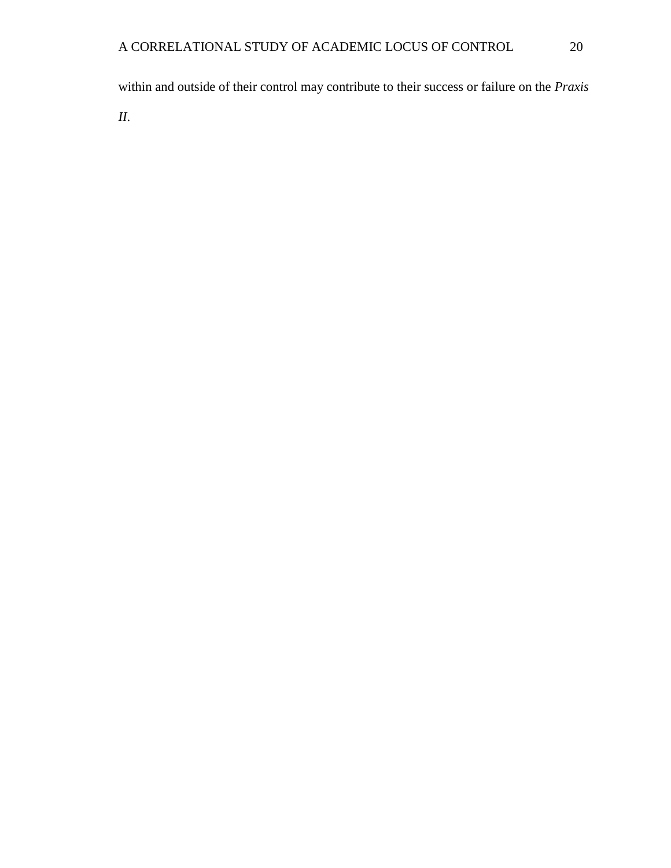within and outside of their control may contribute to their success or failure on the *Praxis* 

*II*.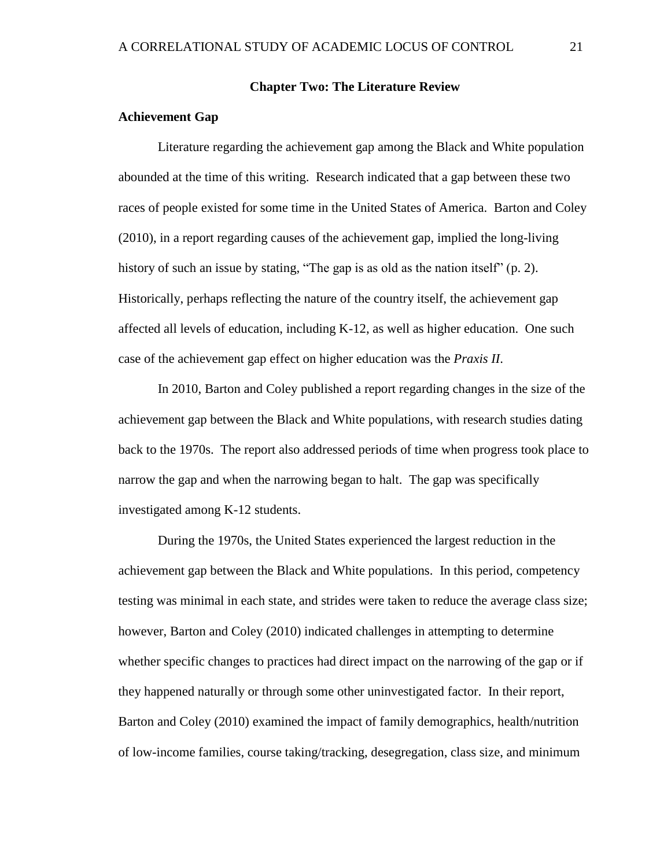#### **Chapter Two: The Literature Review**

#### <span id="page-33-1"></span><span id="page-33-0"></span>**Achievement Gap**

Literature regarding the achievement gap among the Black and White population abounded at the time of this writing. Research indicated that a gap between these two races of people existed for some time in the United States of America. Barton and Coley (2010), in a report regarding causes of the achievement gap, implied the long-living history of such an issue by stating, "The gap is as old as the nation itself" (p. 2). Historically, perhaps reflecting the nature of the country itself, the achievement gap affected all levels of education, including K-12, as well as higher education. One such case of the achievement gap effect on higher education was the *Praxis II*.

In 2010, Barton and Coley published a report regarding changes in the size of the achievement gap between the Black and White populations, with research studies dating back to the 1970s. The report also addressed periods of time when progress took place to narrow the gap and when the narrowing began to halt. The gap was specifically investigated among K-12 students.

During the 1970s, the United States experienced the largest reduction in the achievement gap between the Black and White populations. In this period, competency testing was minimal in each state, and strides were taken to reduce the average class size; however, Barton and Coley (2010) indicated challenges in attempting to determine whether specific changes to practices had direct impact on the narrowing of the gap or if they happened naturally or through some other uninvestigated factor. In their report, Barton and Coley (2010) examined the impact of family demographics, health/nutrition of low-income families, course taking/tracking, desegregation, class size, and minimum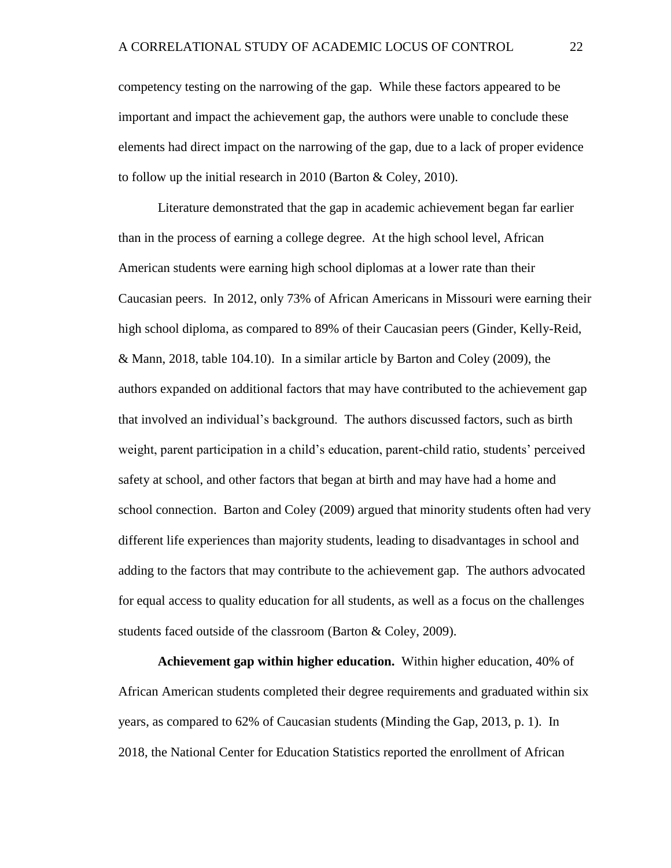competency testing on the narrowing of the gap. While these factors appeared to be important and impact the achievement gap, the authors were unable to conclude these elements had direct impact on the narrowing of the gap, due to a lack of proper evidence to follow up the initial research in 2010 (Barton & Coley, 2010).

Literature demonstrated that the gap in academic achievement began far earlier than in the process of earning a college degree. At the high school level, African American students were earning high school diplomas at a lower rate than their Caucasian peers. In 2012, only 73% of African Americans in Missouri were earning their high school diploma, as compared to 89% of their Caucasian peers (Ginder, Kelly-Reid, & Mann, 2018, table 104.10). In a similar article by Barton and Coley (2009), the authors expanded on additional factors that may have contributed to the achievement gap that involved an individual's background. The authors discussed factors, such as birth weight, parent participation in a child's education, parent-child ratio, students' perceived safety at school, and other factors that began at birth and may have had a home and school connection. Barton and Coley (2009) argued that minority students often had very different life experiences than majority students, leading to disadvantages in school and adding to the factors that may contribute to the achievement gap. The authors advocated for equal access to quality education for all students, as well as a focus on the challenges students faced outside of the classroom (Barton & Coley, 2009).

<span id="page-34-0"></span>**Achievement gap within higher education.** Within higher education, 40% of African American students completed their degree requirements and graduated within six years, as compared to 62% of Caucasian students (Minding the Gap, 2013, p. 1). In 2018, the National Center for Education Statistics reported the enrollment of African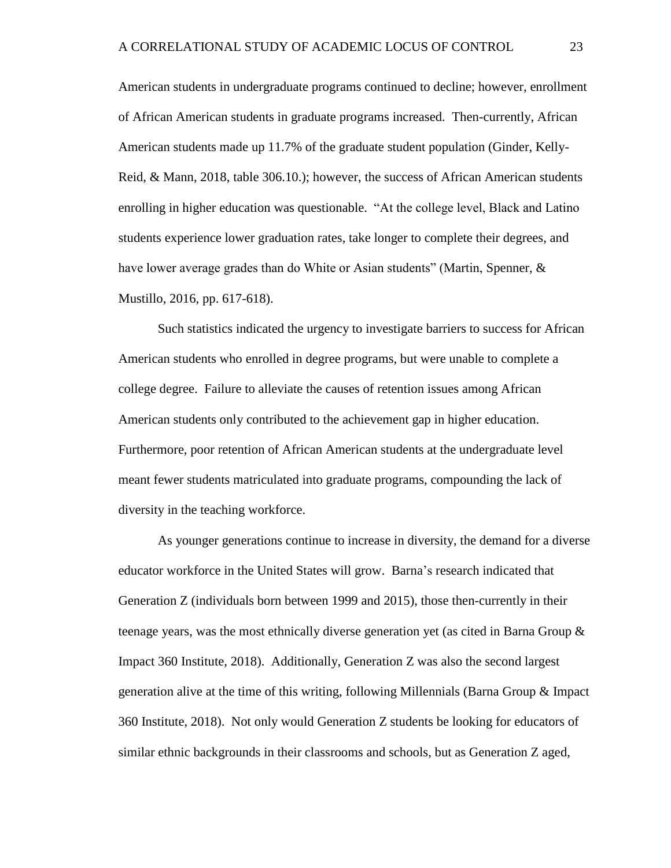American students in undergraduate programs continued to decline; however, enrollment of African American students in graduate programs increased. Then-currently, African American students made up 11.7% of the graduate student population (Ginder, Kelly-Reid, & Mann, 2018, table 306.10.); however, the success of African American students enrolling in higher education was questionable. "At the college level, Black and Latino students experience lower graduation rates, take longer to complete their degrees, and have lower average grades than do White or Asian students" (Martin, Spenner, & Mustillo, 2016, pp. 617-618).

Such statistics indicated the urgency to investigate barriers to success for African American students who enrolled in degree programs, but were unable to complete a college degree. Failure to alleviate the causes of retention issues among African American students only contributed to the achievement gap in higher education. Furthermore, poor retention of African American students at the undergraduate level meant fewer students matriculated into graduate programs, compounding the lack of diversity in the teaching workforce.

As younger generations continue to increase in diversity, the demand for a diverse educator workforce in the United States will grow. Barna's research indicated that Generation Z (individuals born between 1999 and 2015), those then-currently in their teenage years, was the most ethnically diverse generation yet (as cited in Barna Group  $\&$ Impact 360 Institute, 2018). Additionally, Generation Z was also the second largest generation alive at the time of this writing, following Millennials (Barna Group & Impact 360 Institute, 2018). Not only would Generation Z students be looking for educators of similar ethnic backgrounds in their classrooms and schools, but as Generation Z aged,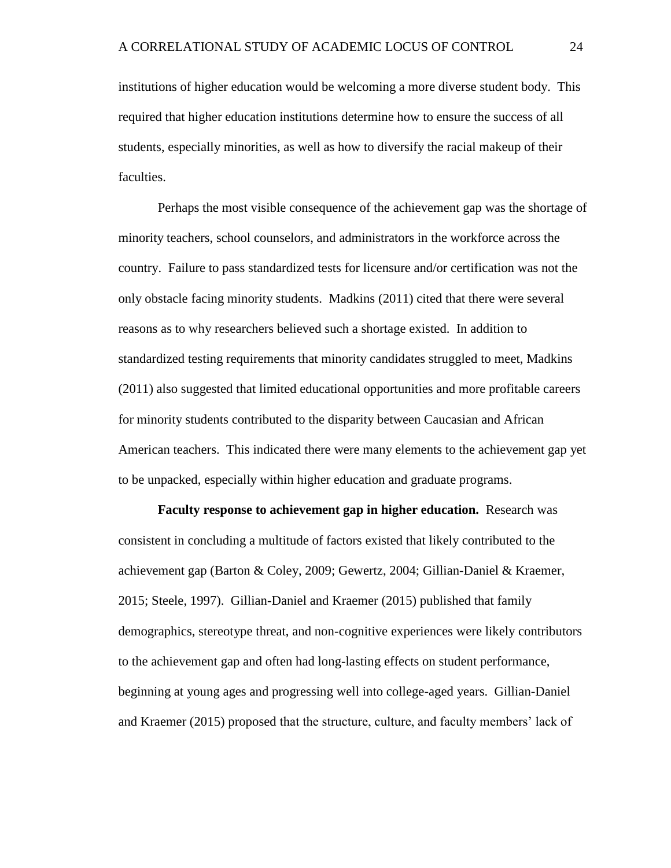institutions of higher education would be welcoming a more diverse student body. This required that higher education institutions determine how to ensure the success of all students, especially minorities, as well as how to diversify the racial makeup of their faculties.

Perhaps the most visible consequence of the achievement gap was the shortage of minority teachers, school counselors, and administrators in the workforce across the country. Failure to pass standardized tests for licensure and/or certification was not the only obstacle facing minority students. Madkins (2011) cited that there were several reasons as to why researchers believed such a shortage existed. In addition to standardized testing requirements that minority candidates struggled to meet, Madkins (2011) also suggested that limited educational opportunities and more profitable careers for minority students contributed to the disparity between Caucasian and African American teachers. This indicated there were many elements to the achievement gap yet to be unpacked, especially within higher education and graduate programs.

**Faculty response to achievement gap in higher education.** Research was consistent in concluding a multitude of factors existed that likely contributed to the achievement gap (Barton & Coley, 2009; Gewertz, 2004; Gillian-Daniel & Kraemer, 2015; Steele, 1997). Gillian-Daniel and Kraemer (2015) published that family demographics, stereotype threat, and non-cognitive experiences were likely contributors to the achievement gap and often had long-lasting effects on student performance, beginning at young ages and progressing well into college-aged years. Gillian-Daniel and Kraemer (2015) proposed that the structure, culture, and faculty members' lack of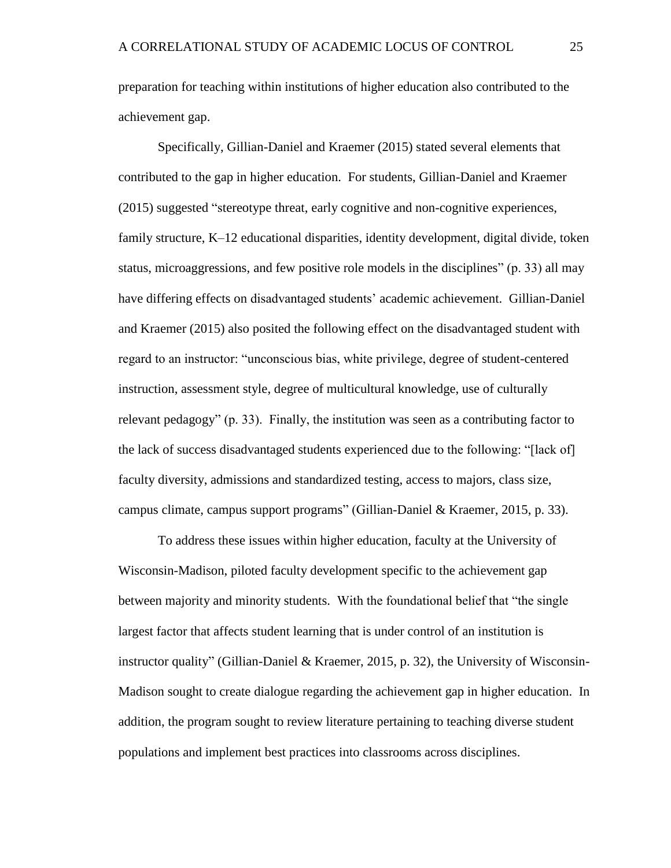preparation for teaching within institutions of higher education also contributed to the achievement gap.

Specifically, Gillian-Daniel and Kraemer (2015) stated several elements that contributed to the gap in higher education. For students, Gillian-Daniel and Kraemer (2015) suggested "stereotype threat, early cognitive and non-cognitive experiences, family structure, K–12 educational disparities, identity development, digital divide, token status, microaggressions, and few positive role models in the disciplines" (p. 33) all may have differing effects on disadvantaged students' academic achievement. Gillian-Daniel and Kraemer (2015) also posited the following effect on the disadvantaged student with regard to an instructor: "unconscious bias, white privilege, degree of student-centered instruction, assessment style, degree of multicultural knowledge, use of culturally relevant pedagogy" (p. 33). Finally, the institution was seen as a contributing factor to the lack of success disadvantaged students experienced due to the following: "[lack of] faculty diversity, admissions and standardized testing, access to majors, class size, campus climate, campus support programs" (Gillian-Daniel & Kraemer, 2015, p. 33).

To address these issues within higher education, faculty at the University of Wisconsin-Madison, piloted faculty development specific to the achievement gap between majority and minority students. With the foundational belief that "the single largest factor that affects student learning that is under control of an institution is instructor quality" (Gillian-Daniel & Kraemer, 2015, p. 32), the University of Wisconsin-Madison sought to create dialogue regarding the achievement gap in higher education. In addition, the program sought to review literature pertaining to teaching diverse student populations and implement best practices into classrooms across disciplines.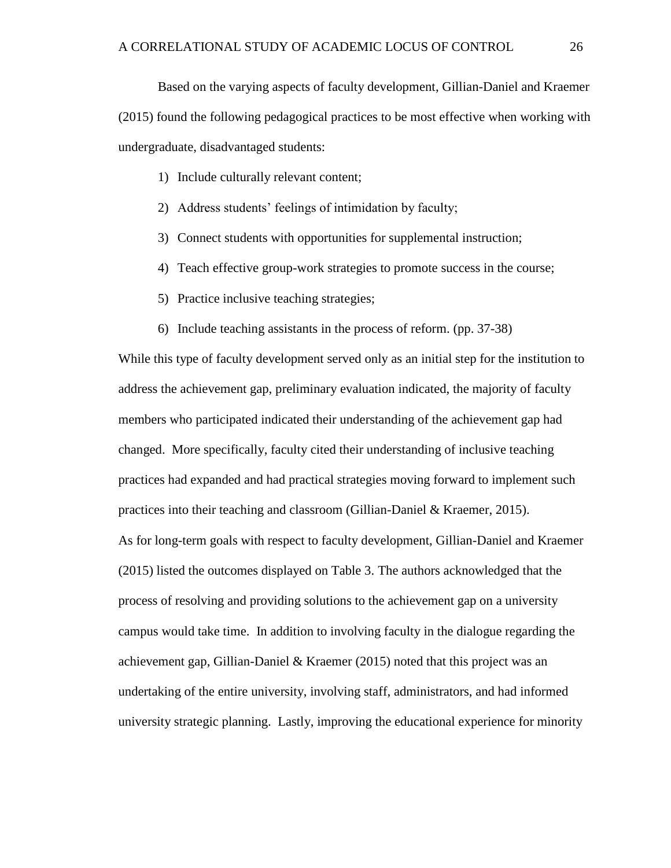Based on the varying aspects of faculty development, Gillian-Daniel and Kraemer (2015) found the following pedagogical practices to be most effective when working with undergraduate, disadvantaged students:

- 1) Include culturally relevant content;
- 2) Address students' feelings of intimidation by faculty;
- 3) Connect students with opportunities for supplemental instruction;
- 4) Teach effective group-work strategies to promote success in the course;
- 5) Practice inclusive teaching strategies;
- 6) Include teaching assistants in the process of reform. (pp. 37-38)

While this type of faculty development served only as an initial step for the institution to address the achievement gap, preliminary evaluation indicated, the majority of faculty members who participated indicated their understanding of the achievement gap had changed. More specifically, faculty cited their understanding of inclusive teaching practices had expanded and had practical strategies moving forward to implement such practices into their teaching and classroom (Gillian-Daniel  $\&$  Kraemer, 2015). As for long-term goals with respect to faculty development, Gillian-Daniel and Kraemer (2015) listed the outcomes displayed on Table 3. The authors acknowledged that the process of resolving and providing solutions to the achievement gap on a university campus would take time. In addition to involving faculty in the dialogue regarding the achievement gap, Gillian-Daniel & Kraemer (2015) noted that this project was an undertaking of the entire university, involving staff, administrators, and had informed university strategic planning. Lastly, improving the educational experience for minority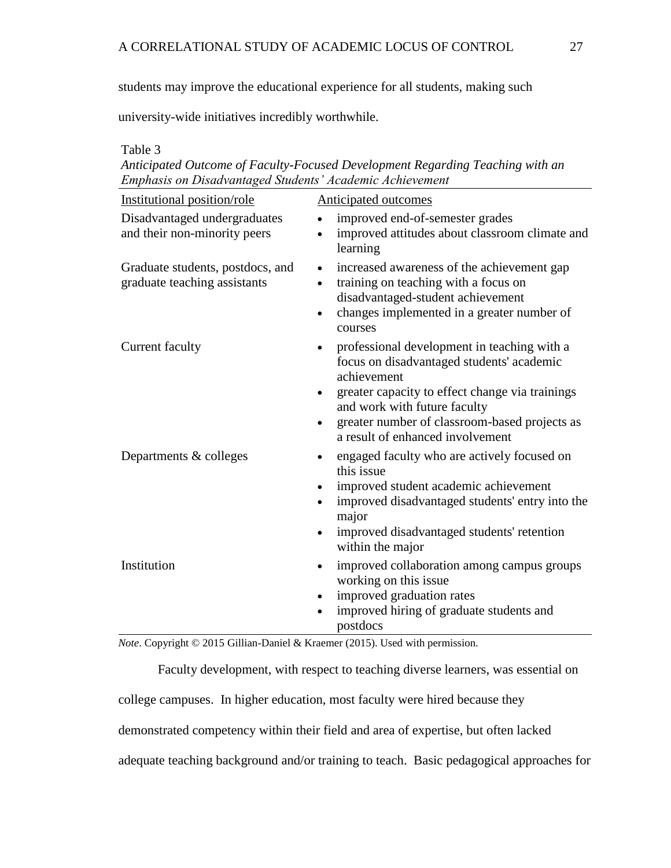students may improve the educational experience for all students, making such

university-wide initiatives incredibly worthwhile.

Table 3

*Anticipated Outcome of Faculty-Focused Development Regarding Teaching with an Emphasis on Disadvantaged Students' Academic Achievement* 

| Institutional position/role                                      | <b>Anticipated outcomes</b>                                                                                                                                                                                |
|------------------------------------------------------------------|------------------------------------------------------------------------------------------------------------------------------------------------------------------------------------------------------------|
| Disadvantaged undergraduates<br>and their non-minority peers     | improved end-of-semester grades<br>improved attitudes about classroom climate and<br>$\bullet$<br>learning                                                                                                 |
| Graduate students, postdocs, and<br>graduate teaching assistants | increased awareness of the achievement gap<br>$\bullet$<br>training on teaching with a focus on<br>disadvantaged-student achievement<br>changes implemented in a greater number of<br>$\bullet$<br>courses |
| <b>Current faculty</b>                                           | professional development in teaching with a<br>$\bullet$<br>focus on disadvantaged students' academic<br>achievement                                                                                       |
|                                                                  | greater capacity to effect change via trainings<br>and work with future faculty                                                                                                                            |
|                                                                  | greater number of classroom-based projects as<br>$\bullet$<br>a result of enhanced involvement                                                                                                             |
| Departments & colleges                                           | engaged faculty who are actively focused on<br>this issue                                                                                                                                                  |
|                                                                  | improved student academic achievement<br>improved disadvantaged students' entry into the<br>$\bullet$<br>major                                                                                             |
|                                                                  | improved disadvantaged students' retention<br>$\bullet$<br>within the major                                                                                                                                |
| Institution                                                      | improved collaboration among campus groups<br>$\bullet$<br>working on this issue                                                                                                                           |
|                                                                  | improved graduation rates<br>$\bullet$<br>improved hiring of graduate students and<br>postdocs                                                                                                             |

*Note*. Copyright © 2015 Gillian-Daniel & Kraemer (2015). Used with permission.

Faculty development, with respect to teaching diverse learners, was essential on college campuses. In higher education, most faculty were hired because they demonstrated competency within their field and area of expertise, but often lacked adequate teaching background and/or training to teach. Basic pedagogical approaches for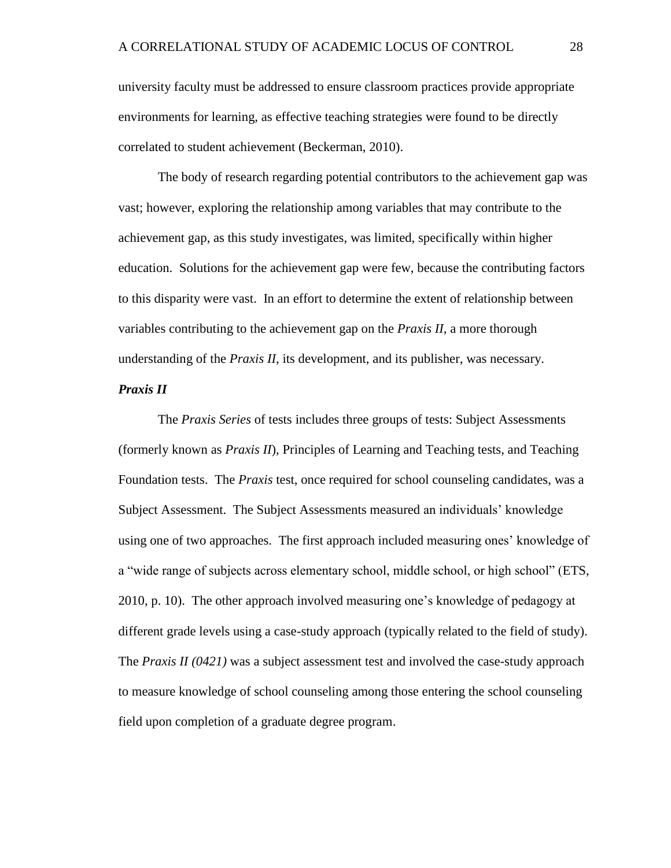university faculty must be addressed to ensure classroom practices provide appropriate environments for learning, as effective teaching strategies were found to be directly correlated to student achievement (Beckerman, 2010).

The body of research regarding potential contributors to the achievement gap was vast; however, exploring the relationship among variables that may contribute to the achievement gap, as this study investigates, was limited, specifically within higher education. Solutions for the achievement gap were few, because the contributing factors to this disparity were vast. In an effort to determine the extent of relationship between variables contributing to the achievement gap on the *Praxis II*, a more thorough understanding of the *Praxis II*, its development, and its publisher, was necessary.

# *Praxis II*

The *Praxis Series* of tests includes three groups of tests: Subject Assessments (formerly known as *Praxis II*), Principles of Learning and Teaching tests, and Teaching Foundation tests. The *Praxis* test, once required for school counseling candidates, was a Subject Assessment. The Subject Assessments measured an individuals' knowledge using one of two approaches. The first approach included measuring ones' knowledge of a "wide range of subjects across elementary school, middle school, or high school" (ETS, 2010, p. 10). The other approach involved measuring one's knowledge of pedagogy at different grade levels using a case-study approach (typically related to the field of study). The *Praxis II (0421)* was a subject assessment test and involved the case-study approach to measure knowledge of school counseling among those entering the school counseling field upon completion of a graduate degree program.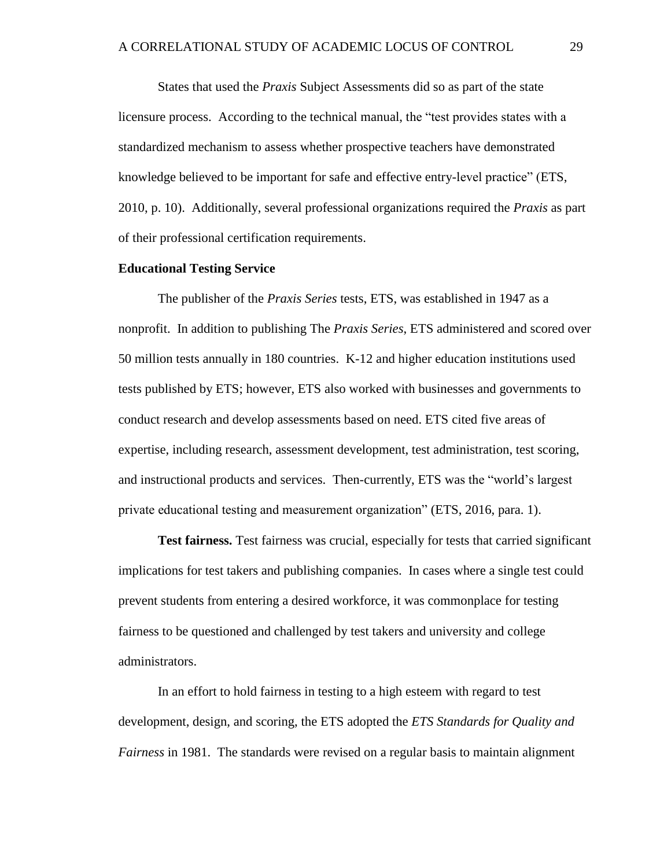States that used the *Praxis* Subject Assessments did so as part of the state licensure process. According to the technical manual, the "test provides states with a standardized mechanism to assess whether prospective teachers have demonstrated knowledge believed to be important for safe and effective entry-level practice" (ETS, 2010, p. 10). Additionally, several professional organizations required the *Praxis* as part of their professional certification requirements.

### **Educational Testing Service**

The publisher of the *Praxis Series* tests, ETS, was established in 1947 as a nonprofit. In addition to publishing The *Praxis Series*, ETS administered and scored over 50 million tests annually in 180 countries. K-12 and higher education institutions used tests published by ETS; however, ETS also worked with businesses and governments to conduct research and develop assessments based on need. ETS cited five areas of expertise, including research, assessment development, test administration, test scoring, and instructional products and services. Then-currently, ETS was the "world's largest private educational testing and measurement organization" (ETS, 2016, para. 1).

**Test fairness.** Test fairness was crucial, especially for tests that carried significant implications for test takers and publishing companies. In cases where a single test could prevent students from entering a desired workforce, it was commonplace for testing fairness to be questioned and challenged by test takers and university and college administrators.

In an effort to hold fairness in testing to a high esteem with regard to test development, design, and scoring, the ETS adopted the *ETS Standards for Quality and Fairness* in 1981. The standards were revised on a regular basis to maintain alignment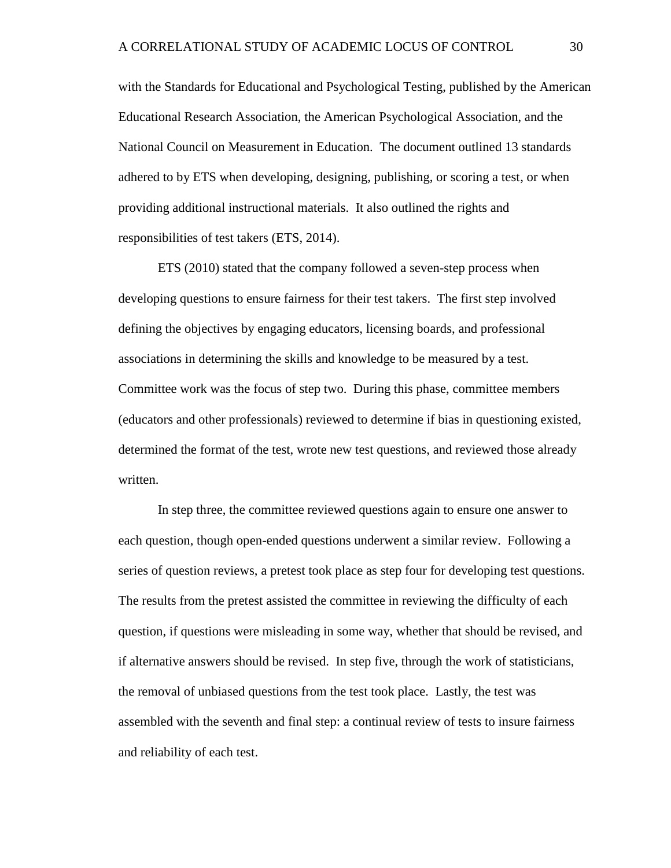with the Standards for Educational and Psychological Testing, published by the American Educational Research Association, the American Psychological Association, and the National Council on Measurement in Education. The document outlined 13 standards adhered to by ETS when developing, designing, publishing, or scoring a test, or when providing additional instructional materials. It also outlined the rights and responsibilities of test takers (ETS, 2014).

ETS (2010) stated that the company followed a seven-step process when developing questions to ensure fairness for their test takers. The first step involved defining the objectives by engaging educators, licensing boards, and professional associations in determining the skills and knowledge to be measured by a test. Committee work was the focus of step two. During this phase, committee members (educators and other professionals) reviewed to determine if bias in questioning existed, determined the format of the test, wrote new test questions, and reviewed those already written.

In step three, the committee reviewed questions again to ensure one answer to each question, though open-ended questions underwent a similar review. Following a series of question reviews, a pretest took place as step four for developing test questions. The results from the pretest assisted the committee in reviewing the difficulty of each question, if questions were misleading in some way, whether that should be revised, and if alternative answers should be revised. In step five, through the work of statisticians, the removal of unbiased questions from the test took place. Lastly, the test was assembled with the seventh and final step: a continual review of tests to insure fairness and reliability of each test.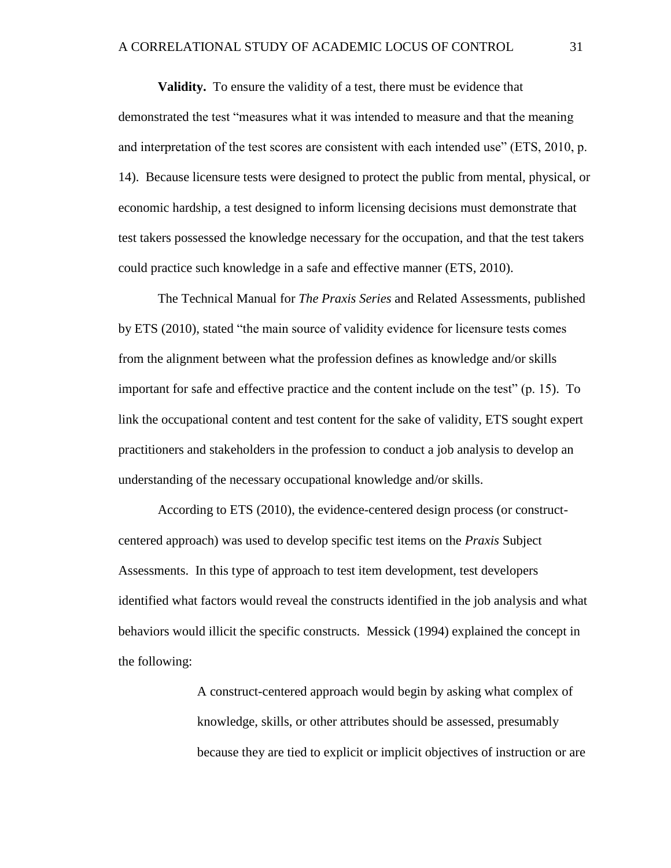**Validity.** To ensure the validity of a test, there must be evidence that

demonstrated the test "measures what it was intended to measure and that the meaning and interpretation of the test scores are consistent with each intended use" (ETS, 2010, p. 14). Because licensure tests were designed to protect the public from mental, physical, or economic hardship, a test designed to inform licensing decisions must demonstrate that test takers possessed the knowledge necessary for the occupation, and that the test takers could practice such knowledge in a safe and effective manner (ETS, 2010).

The Technical Manual for *The Praxis Series* and Related Assessments, published by ETS (2010), stated "the main source of validity evidence for licensure tests comes from the alignment between what the profession defines as knowledge and/or skills important for safe and effective practice and the content include on the test" (p. 15). To link the occupational content and test content for the sake of validity, ETS sought expert practitioners and stakeholders in the profession to conduct a job analysis to develop an understanding of the necessary occupational knowledge and/or skills.

According to ETS (2010), the evidence-centered design process (or constructcentered approach) was used to develop specific test items on the *Praxis* Subject Assessments. In this type of approach to test item development, test developers identified what factors would reveal the constructs identified in the job analysis and what behaviors would illicit the specific constructs. Messick (1994) explained the concept in the following:

> A construct-centered approach would begin by asking what complex of knowledge, skills, or other attributes should be assessed, presumably because they are tied to explicit or implicit objectives of instruction or are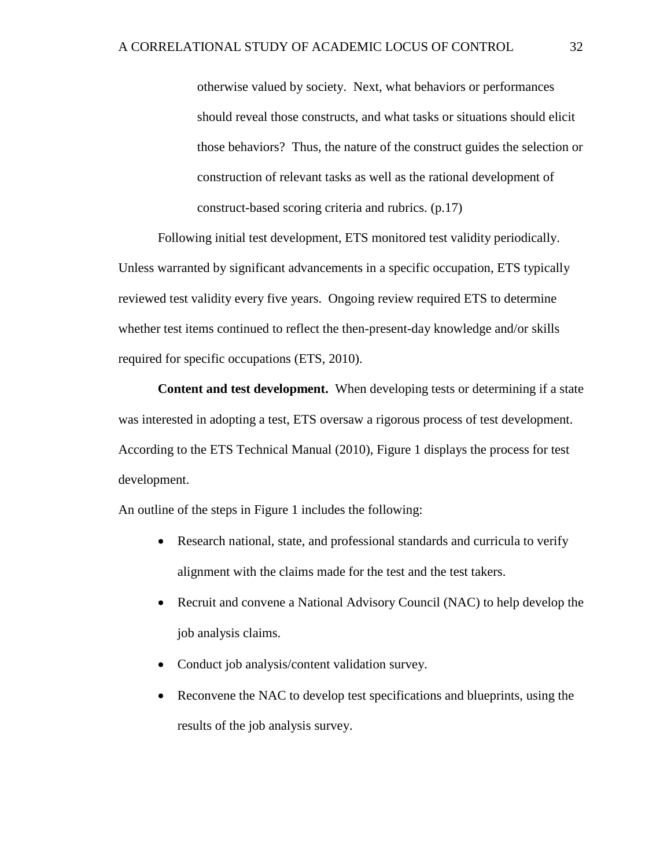otherwise valued by society. Next, what behaviors or performances should reveal those constructs, and what tasks or situations should elicit those behaviors? Thus, the nature of the construct guides the selection or construction of relevant tasks as well as the rational development of construct-based scoring criteria and rubrics. (p.17)

Following initial test development, ETS monitored test validity periodically. Unless warranted by significant advancements in a specific occupation, ETS typically reviewed test validity every five years. Ongoing review required ETS to determine whether test items continued to reflect the then-present-day knowledge and/or skills required for specific occupations (ETS, 2010).

**Content and test development.** When developing tests or determining if a state was interested in adopting a test, ETS oversaw a rigorous process of test development. According to the ETS Technical Manual (2010), Figure 1 displays the process for test development.

An outline of the steps in Figure 1 includes the following:

- Research national, state, and professional standards and curricula to verify alignment with the claims made for the test and the test takers.
- Recruit and convene a National Advisory Council (NAC) to help develop the job analysis claims.
- Conduct job analysis/content validation survey.
- Reconvene the NAC to develop test specifications and blueprints, using the results of the job analysis survey.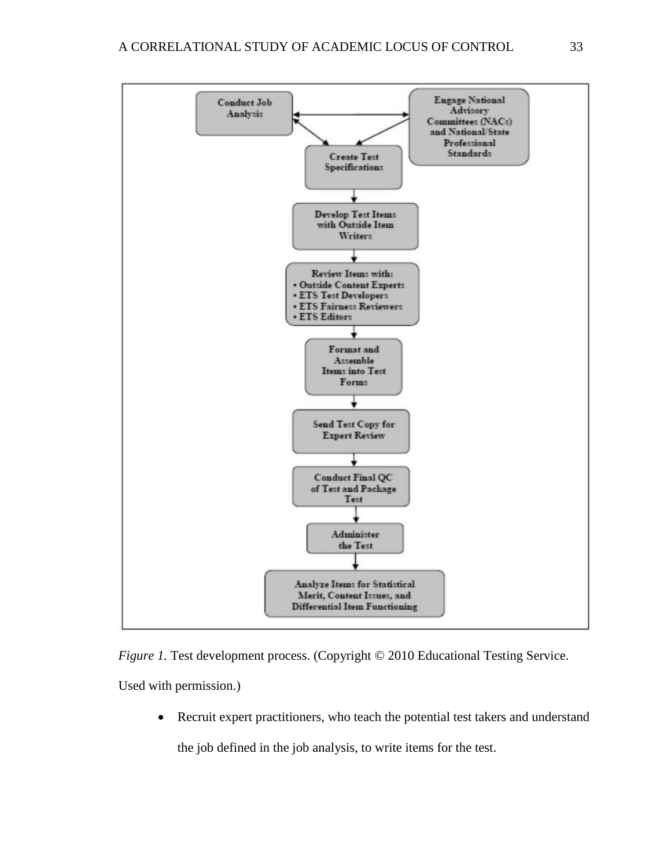

*Figure 1*. Test development process. (Copyright © 2010 Educational Testing Service. Used with permission.)

Recruit expert practitioners, who teach the potential test takers and understand

the job defined in the job analysis, to write items for the test.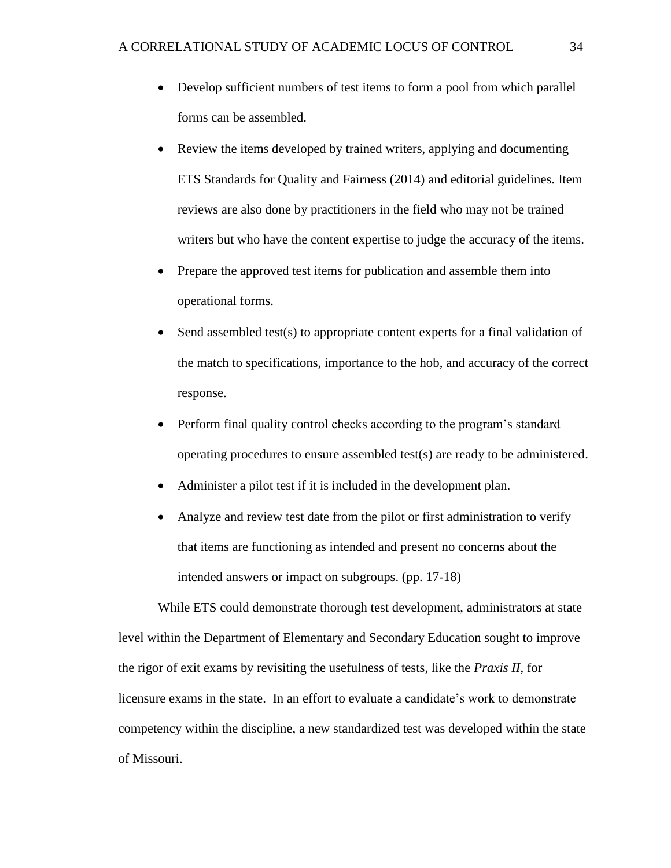- Develop sufficient numbers of test items to form a pool from which parallel forms can be assembled.
- Review the items developed by trained writers, applying and documenting ETS Standards for Quality and Fairness (2014) and editorial guidelines. Item reviews are also done by practitioners in the field who may not be trained writers but who have the content expertise to judge the accuracy of the items.
- Prepare the approved test items for publication and assemble them into operational forms.
- Send assembled test(s) to appropriate content experts for a final validation of the match to specifications, importance to the hob, and accuracy of the correct response.
- Perform final quality control checks according to the program's standard operating procedures to ensure assembled test(s) are ready to be administered.
- Administer a pilot test if it is included in the development plan.
- Analyze and review test date from the pilot or first administration to verify that items are functioning as intended and present no concerns about the intended answers or impact on subgroups. (pp. 17-18)

While ETS could demonstrate thorough test development, administrators at state level within the Department of Elementary and Secondary Education sought to improve the rigor of exit exams by revisiting the usefulness of tests, like the *Praxis II*, for licensure exams in the state. In an effort to evaluate a candidate's work to demonstrate competency within the discipline, a new standardized test was developed within the state of Missouri.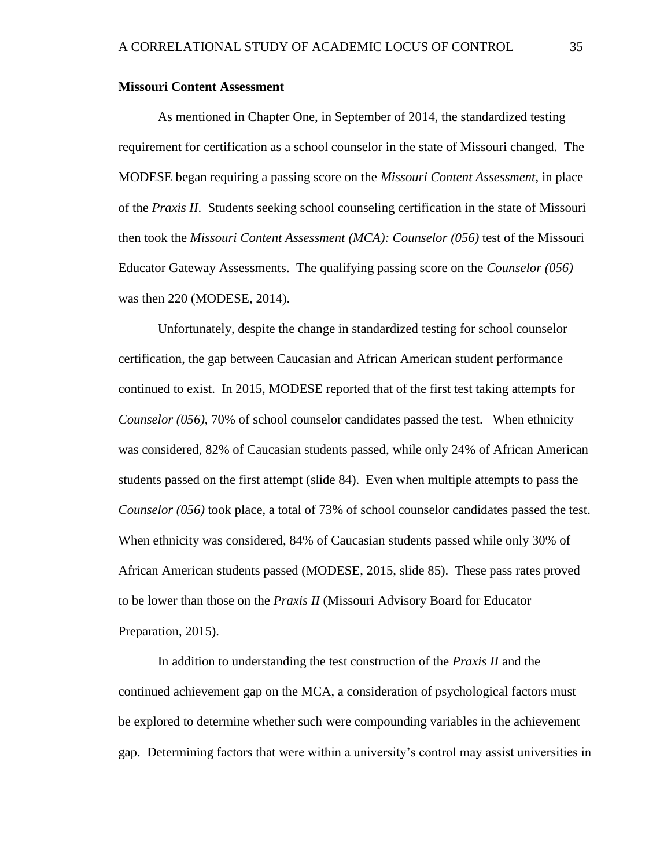### **Missouri Content Assessment**

As mentioned in Chapter One, in September of 2014, the standardized testing requirement for certification as a school counselor in the state of Missouri changed. The MODESE began requiring a passing score on the *Missouri Content Assessment*, in place of the *Praxis II*. Students seeking school counseling certification in the state of Missouri then took the *Missouri Content Assessment (MCA): Counselor (056)* test of the Missouri Educator Gateway Assessments. The qualifying passing score on the *Counselor (056)* was then 220 (MODESE, 2014).

Unfortunately, despite the change in standardized testing for school counselor certification, the gap between Caucasian and African American student performance continued to exist. In 2015, MODESE reported that of the first test taking attempts for *Counselor (056)*, 70% of school counselor candidates passed the test. When ethnicity was considered, 82% of Caucasian students passed, while only 24% of African American students passed on the first attempt (slide 84). Even when multiple attempts to pass the *Counselor (056)* took place, a total of 73% of school counselor candidates passed the test. When ethnicity was considered, 84% of Caucasian students passed while only 30% of African American students passed (MODESE, 2015, slide 85). These pass rates proved to be lower than those on the *Praxis II* (Missouri Advisory Board for Educator Preparation, 2015).

In addition to understanding the test construction of the *Praxis II* and the continued achievement gap on the MCA, a consideration of psychological factors must be explored to determine whether such were compounding variables in the achievement gap. Determining factors that were within a university's control may assist universities in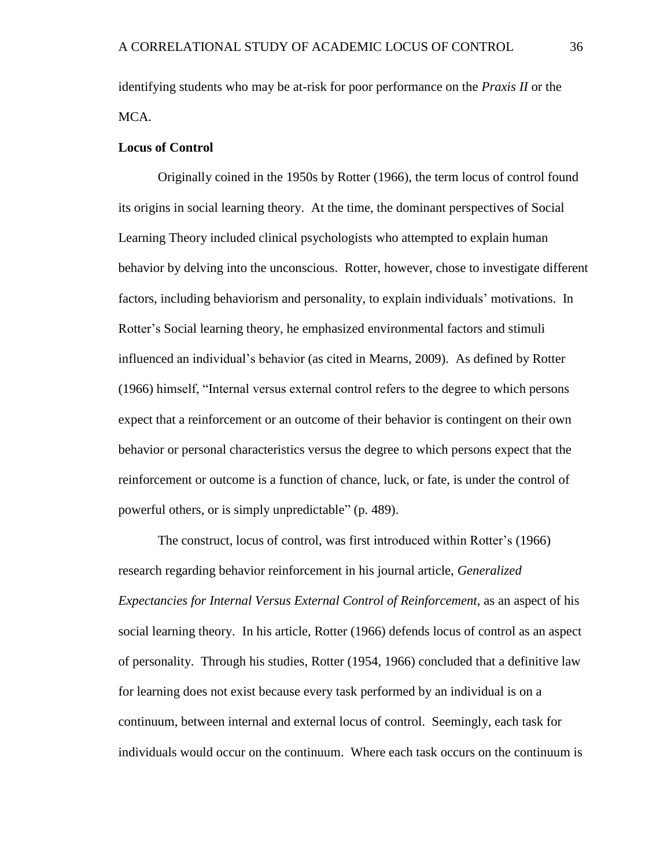identifying students who may be at-risk for poor performance on the *Praxis II* or the MCA.

## **Locus of Control**

Originally coined in the 1950s by Rotter (1966), the term locus of control found its origins in social learning theory. At the time, the dominant perspectives of Social Learning Theory included clinical psychologists who attempted to explain human behavior by delving into the unconscious. Rotter, however, chose to investigate different factors, including behaviorism and personality, to explain individuals' motivations. In Rotter's Social learning theory, he emphasized environmental factors and stimuli influenced an individual's behavior (as cited in Mearns, 2009). As defined by Rotter (1966) himself, "Internal versus external control refers to the degree to which persons expect that a reinforcement or an outcome of their behavior is contingent on their own behavior or personal characteristics versus the degree to which persons expect that the reinforcement or outcome is a function of chance, luck, or fate, is under the control of powerful others, or is simply unpredictable" (p. 489).

The construct, locus of control, was first introduced within Rotter's (1966) research regarding behavior reinforcement in his journal article, *Generalized Expectancies for Internal Versus External Control of Reinforcement*, as an aspect of his social learning theory. In his article, Rotter (1966) defends locus of control as an aspect of personality. Through his studies, Rotter (1954, 1966) concluded that a definitive law for learning does not exist because every task performed by an individual is on a continuum, between internal and external locus of control. Seemingly, each task for individuals would occur on the continuum. Where each task occurs on the continuum is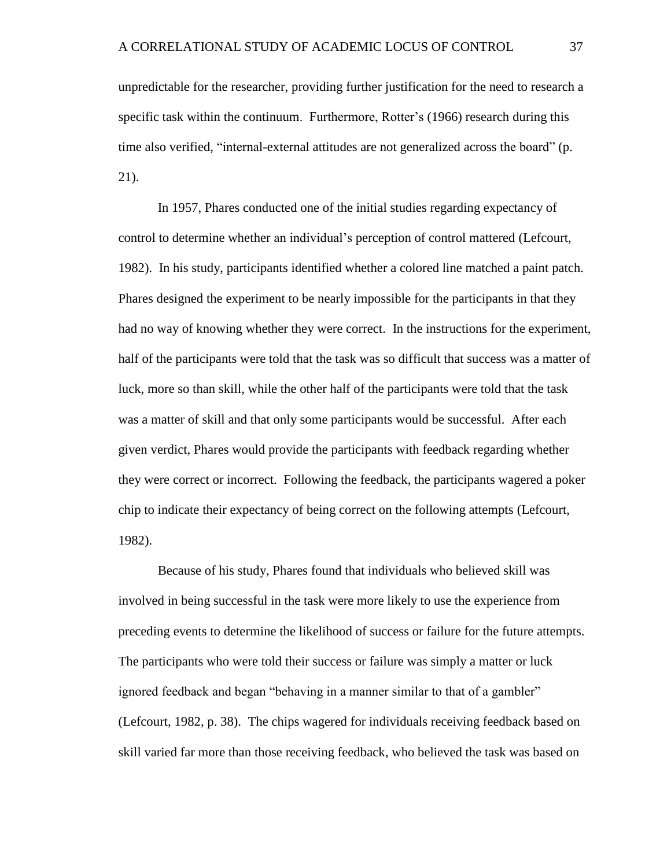unpredictable for the researcher, providing further justification for the need to research a specific task within the continuum. Furthermore, Rotter's (1966) research during this time also verified, "internal-external attitudes are not generalized across the board" (p. 21).

In 1957, Phares conducted one of the initial studies regarding expectancy of control to determine whether an individual's perception of control mattered (Lefcourt, 1982). In his study, participants identified whether a colored line matched a paint patch. Phares designed the experiment to be nearly impossible for the participants in that they had no way of knowing whether they were correct. In the instructions for the experiment, half of the participants were told that the task was so difficult that success was a matter of luck, more so than skill, while the other half of the participants were told that the task was a matter of skill and that only some participants would be successful. After each given verdict, Phares would provide the participants with feedback regarding whether they were correct or incorrect. Following the feedback, the participants wagered a poker chip to indicate their expectancy of being correct on the following attempts (Lefcourt, 1982).

Because of his study, Phares found that individuals who believed skill was involved in being successful in the task were more likely to use the experience from preceding events to determine the likelihood of success or failure for the future attempts. The participants who were told their success or failure was simply a matter or luck ignored feedback and began "behaving in a manner similar to that of a gambler" (Lefcourt, 1982, p. 38). The chips wagered for individuals receiving feedback based on skill varied far more than those receiving feedback, who believed the task was based on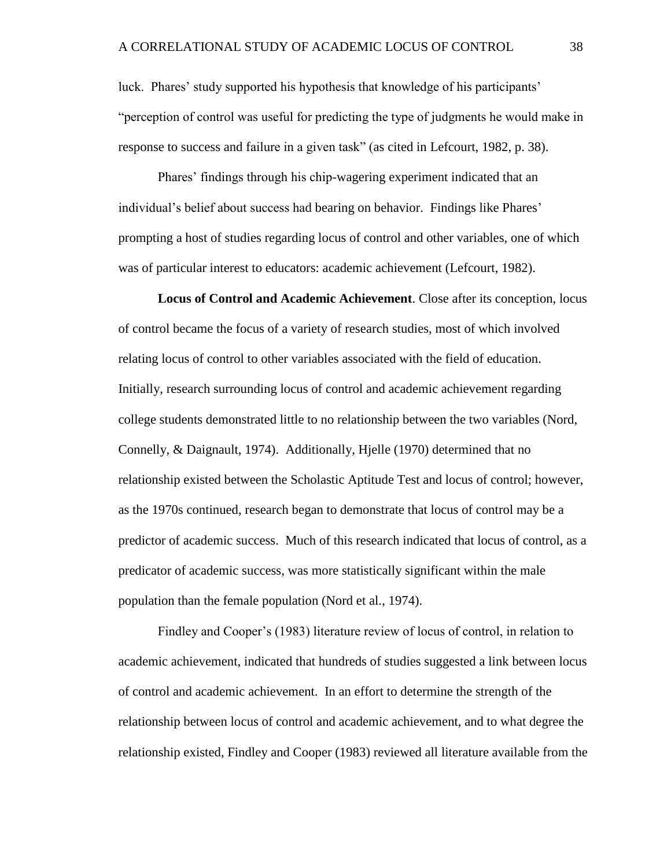luck. Phares' study supported his hypothesis that knowledge of his participants' "perception of control was useful for predicting the type of judgments he would make in response to success and failure in a given task" (as cited in Lefcourt, 1982, p. 38).

Phares' findings through his chip-wagering experiment indicated that an individual's belief about success had bearing on behavior. Findings like Phares' prompting a host of studies regarding locus of control and other variables, one of which was of particular interest to educators: academic achievement (Lefcourt, 1982).

**Locus of Control and Academic Achievement**. Close after its conception, locus of control became the focus of a variety of research studies, most of which involved relating locus of control to other variables associated with the field of education. Initially, research surrounding locus of control and academic achievement regarding college students demonstrated little to no relationship between the two variables (Nord, Connelly, & Daignault, 1974). Additionally, Hjelle (1970) determined that no relationship existed between the Scholastic Aptitude Test and locus of control; however, as the 1970s continued, research began to demonstrate that locus of control may be a predictor of academic success. Much of this research indicated that locus of control, as a predicator of academic success, was more statistically significant within the male population than the female population (Nord et al., 1974).

Findley and Cooper's (1983) literature review of locus of control, in relation to academic achievement, indicated that hundreds of studies suggested a link between locus of control and academic achievement. In an effort to determine the strength of the relationship between locus of control and academic achievement, and to what degree the relationship existed, Findley and Cooper (1983) reviewed all literature available from the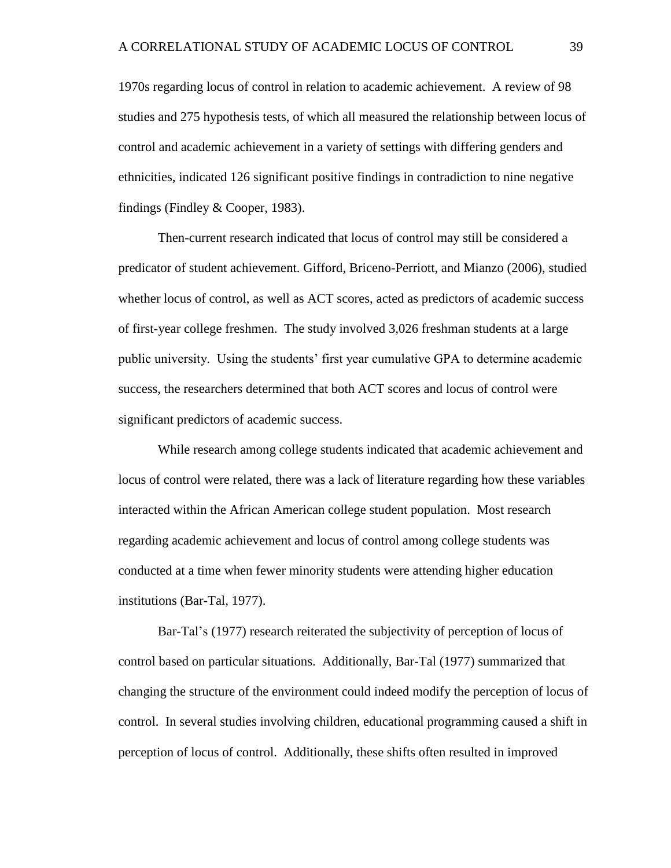1970s regarding locus of control in relation to academic achievement. A review of 98 studies and 275 hypothesis tests, of which all measured the relationship between locus of control and academic achievement in a variety of settings with differing genders and ethnicities, indicated 126 significant positive findings in contradiction to nine negative findings (Findley & Cooper, 1983).

Then-current research indicated that locus of control may still be considered a predicator of student achievement. Gifford, Briceno-Perriott, and Mianzo (2006), studied whether locus of control, as well as ACT scores, acted as predictors of academic success of first-year college freshmen. The study involved 3,026 freshman students at a large public university. Using the students' first year cumulative GPA to determine academic success, the researchers determined that both ACT scores and locus of control were significant predictors of academic success.

While research among college students indicated that academic achievement and locus of control were related, there was a lack of literature regarding how these variables interacted within the African American college student population. Most research regarding academic achievement and locus of control among college students was conducted at a time when fewer minority students were attending higher education institutions (Bar-Tal, 1977).

Bar-Tal's (1977) research reiterated the subjectivity of perception of locus of control based on particular situations. Additionally, Bar-Tal (1977) summarized that changing the structure of the environment could indeed modify the perception of locus of control. In several studies involving children, educational programming caused a shift in perception of locus of control. Additionally, these shifts often resulted in improved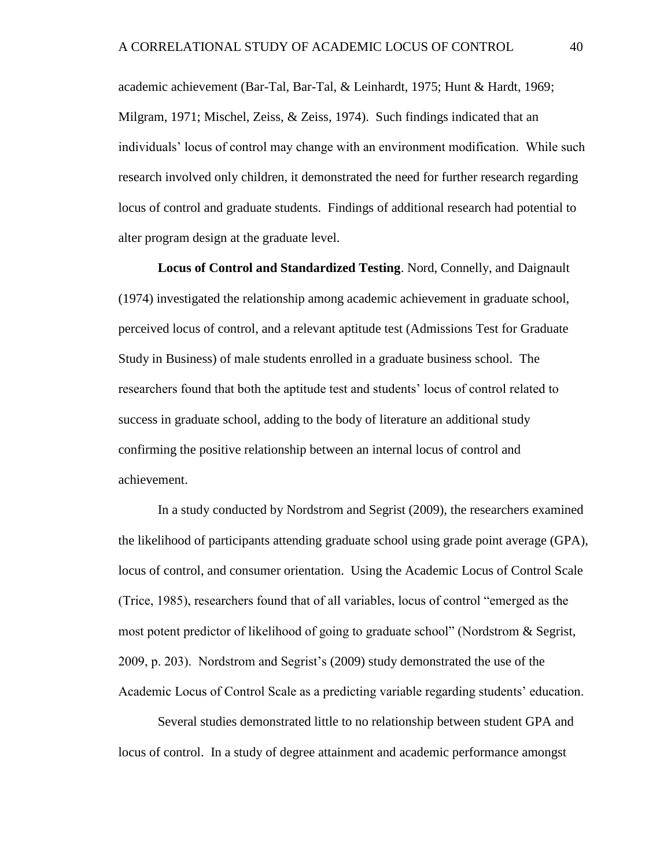academic achievement (Bar-Tal, Bar-Tal, & Leinhardt, 1975; Hunt & Hardt, 1969; Milgram, 1971; Mischel, Zeiss, & Zeiss, 1974). Such findings indicated that an individuals' locus of control may change with an environment modification. While such research involved only children, it demonstrated the need for further research regarding locus of control and graduate students. Findings of additional research had potential to alter program design at the graduate level.

**Locus of Control and Standardized Testing**. Nord, Connelly, and Daignault (1974) investigated the relationship among academic achievement in graduate school, perceived locus of control, and a relevant aptitude test (Admissions Test for Graduate Study in Business) of male students enrolled in a graduate business school. The researchers found that both the aptitude test and students' locus of control related to success in graduate school, adding to the body of literature an additional study confirming the positive relationship between an internal locus of control and achievement.

In a study conducted by Nordstrom and Segrist (2009), the researchers examined the likelihood of participants attending graduate school using grade point average (GPA), locus of control, and consumer orientation. Using the Academic Locus of Control Scale (Trice, 1985), researchers found that of all variables, locus of control "emerged as the most potent predictor of likelihood of going to graduate school" (Nordstrom & Segrist, 2009, p. 203). Nordstrom and Segrist's (2009) study demonstrated the use of the Academic Locus of Control Scale as a predicting variable regarding students' education.

Several studies demonstrated little to no relationship between student GPA and locus of control. In a study of degree attainment and academic performance amongst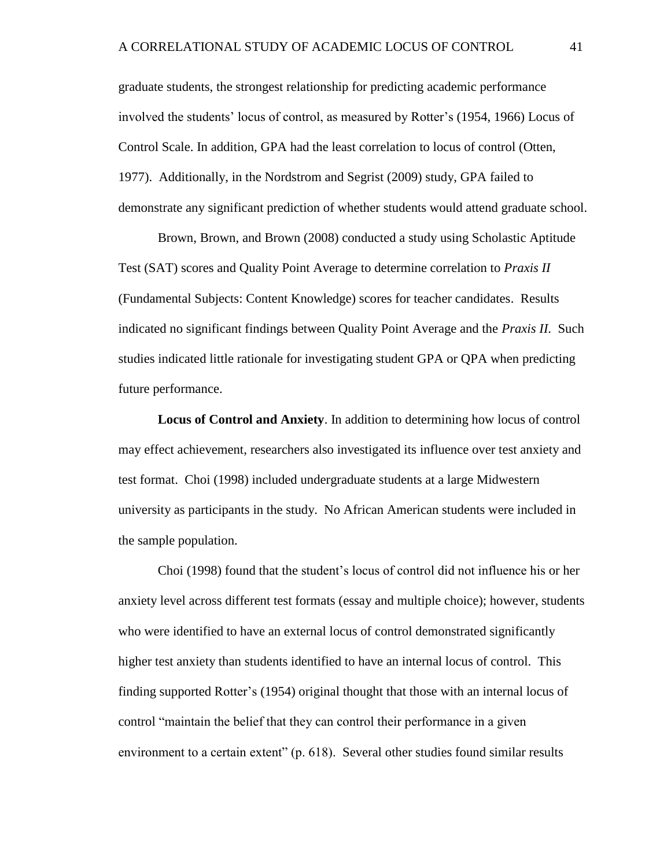graduate students, the strongest relationship for predicting academic performance involved the students' locus of control, as measured by Rotter's (1954, 1966) Locus of Control Scale. In addition, GPA had the least correlation to locus of control (Otten, 1977). Additionally, in the Nordstrom and Segrist (2009) study, GPA failed to demonstrate any significant prediction of whether students would attend graduate school.

Brown, Brown, and Brown (2008) conducted a study using Scholastic Aptitude Test (SAT) scores and Quality Point Average to determine correlation to *Praxis II* (Fundamental Subjects: Content Knowledge) scores for teacher candidates. Results indicated no significant findings between Quality Point Average and the *Praxis II*. Such studies indicated little rationale for investigating student GPA or QPA when predicting future performance.

**Locus of Control and Anxiety**. In addition to determining how locus of control may effect achievement, researchers also investigated its influence over test anxiety and test format. Choi (1998) included undergraduate students at a large Midwestern university as participants in the study. No African American students were included in the sample population.

Choi (1998) found that the student's locus of control did not influence his or her anxiety level across different test formats (essay and multiple choice); however, students who were identified to have an external locus of control demonstrated significantly higher test anxiety than students identified to have an internal locus of control. This finding supported Rotter's (1954) original thought that those with an internal locus of control "maintain the belief that they can control their performance in a given environment to a certain extent" (p. 618). Several other studies found similar results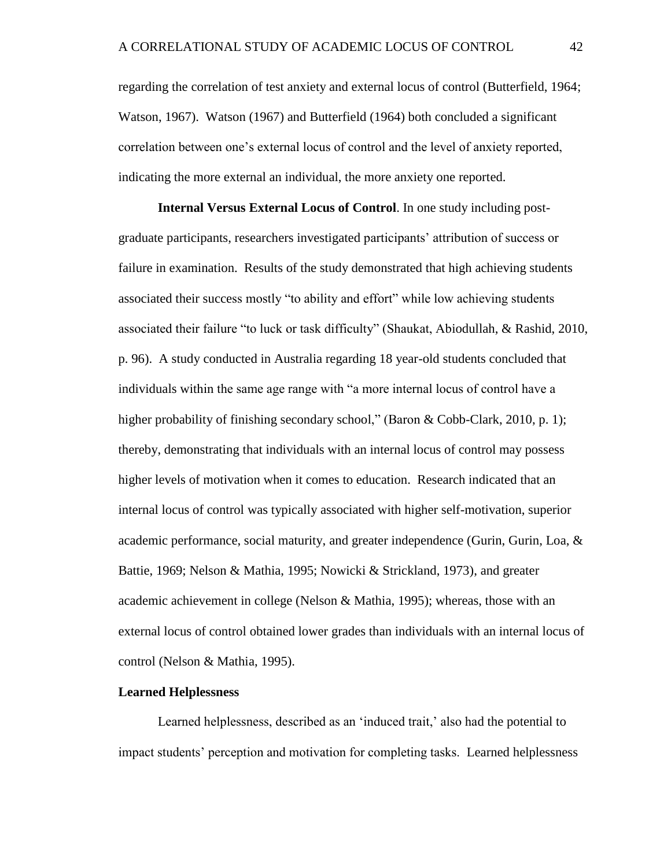regarding the correlation of test anxiety and external locus of control (Butterfield, 1964; Watson, 1967). Watson (1967) and Butterfield (1964) both concluded a significant correlation between one's external locus of control and the level of anxiety reported, indicating the more external an individual, the more anxiety one reported.

**Internal Versus External Locus of Control**. In one study including postgraduate participants, researchers investigated participants' attribution of success or failure in examination. Results of the study demonstrated that high achieving students associated their success mostly "to ability and effort" while low achieving students associated their failure "to luck or task difficulty" (Shaukat, Abiodullah, & Rashid, 2010, p. 96). A study conducted in Australia regarding 18 year-old students concluded that individuals within the same age range with "a more internal locus of control have a higher probability of finishing secondary school," (Baron & Cobb-Clark, 2010, p. 1); thereby, demonstrating that individuals with an internal locus of control may possess higher levels of motivation when it comes to education. Research indicated that an internal locus of control was typically associated with higher self-motivation, superior academic performance, social maturity, and greater independence (Gurin, Gurin, Loa, & Battie, 1969; Nelson & Mathia, 1995; Nowicki & Strickland, 1973), and greater academic achievement in college (Nelson & Mathia, 1995); whereas, those with an external locus of control obtained lower grades than individuals with an internal locus of control (Nelson & Mathia, 1995).

#### **Learned Helplessness**

Learned helplessness, described as an 'induced trait,' also had the potential to impact students' perception and motivation for completing tasks. Learned helplessness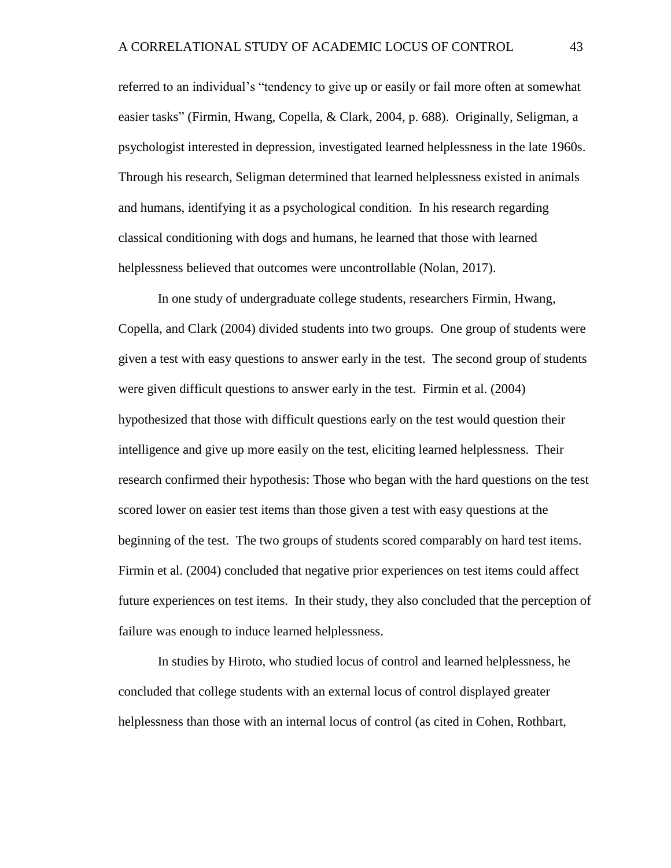referred to an individual's "tendency to give up or easily or fail more often at somewhat easier tasks" (Firmin, Hwang, Copella, & Clark, 2004, p. 688). Originally, Seligman, a psychologist interested in depression, investigated learned helplessness in the late 1960s. Through his research, Seligman determined that learned helplessness existed in animals and humans, identifying it as a psychological condition. In his research regarding classical conditioning with dogs and humans, he learned that those with learned helplessness believed that outcomes were uncontrollable (Nolan, 2017).

In one study of undergraduate college students, researchers Firmin, Hwang, Copella, and Clark (2004) divided students into two groups. One group of students were given a test with easy questions to answer early in the test. The second group of students were given difficult questions to answer early in the test. Firmin et al. (2004) hypothesized that those with difficult questions early on the test would question their intelligence and give up more easily on the test, eliciting learned helplessness. Their research confirmed their hypothesis: Those who began with the hard questions on the test scored lower on easier test items than those given a test with easy questions at the beginning of the test. The two groups of students scored comparably on hard test items. Firmin et al. (2004) concluded that negative prior experiences on test items could affect future experiences on test items. In their study, they also concluded that the perception of failure was enough to induce learned helplessness.

In studies by Hiroto, who studied locus of control and learned helplessness, he concluded that college students with an external locus of control displayed greater helplessness than those with an internal locus of control (as cited in Cohen, Rothbart,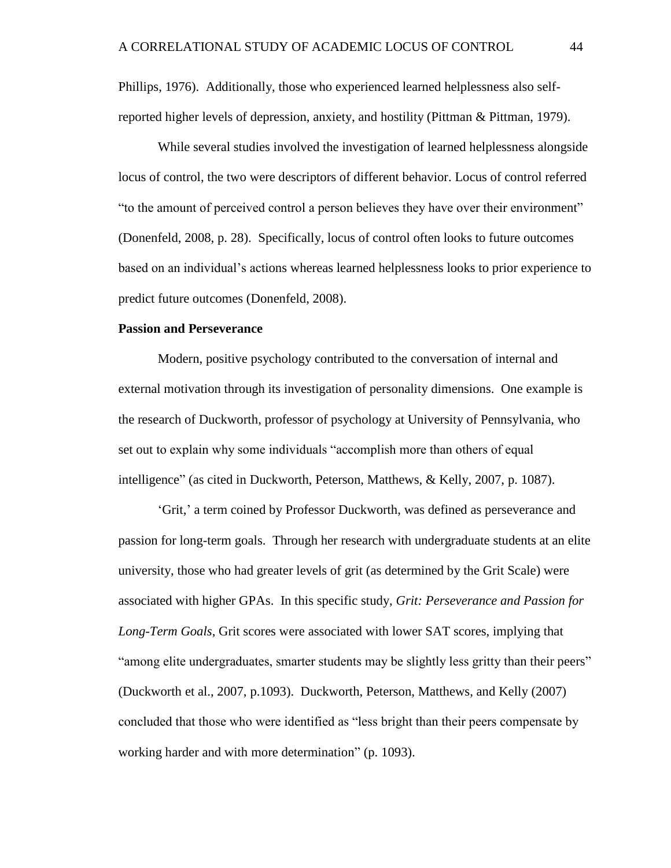Phillips, 1976). Additionally, those who experienced learned helplessness also selfreported higher levels of depression, anxiety, and hostility (Pittman & Pittman, 1979).

While several studies involved the investigation of learned helplessness alongside locus of control, the two were descriptors of different behavior. Locus of control referred "to the amount of perceived control a person believes they have over their environment" (Donenfeld, 2008, p. 28). Specifically, locus of control often looks to future outcomes based on an individual's actions whereas learned helplessness looks to prior experience to predict future outcomes (Donenfeld, 2008).

# **Passion and Perseverance**

Modern, positive psychology contributed to the conversation of internal and external motivation through its investigation of personality dimensions. One example is the research of Duckworth, professor of psychology at University of Pennsylvania, who set out to explain why some individuals "accomplish more than others of equal intelligence" (as cited in Duckworth, Peterson, Matthews, & Kelly, 2007, p. 1087).

'Grit,' a term coined by Professor Duckworth, was defined as perseverance and passion for long-term goals. Through her research with undergraduate students at an elite university, those who had greater levels of grit (as determined by the Grit Scale) were associated with higher GPAs. In this specific study, *Grit: Perseverance and Passion for Long-Term Goals*, Grit scores were associated with lower SAT scores, implying that "among elite undergraduates, smarter students may be slightly less gritty than their peers" (Duckworth et al., 2007, p.1093). Duckworth, Peterson, Matthews, and Kelly (2007) concluded that those who were identified as "less bright than their peers compensate by working harder and with more determination" (p. 1093).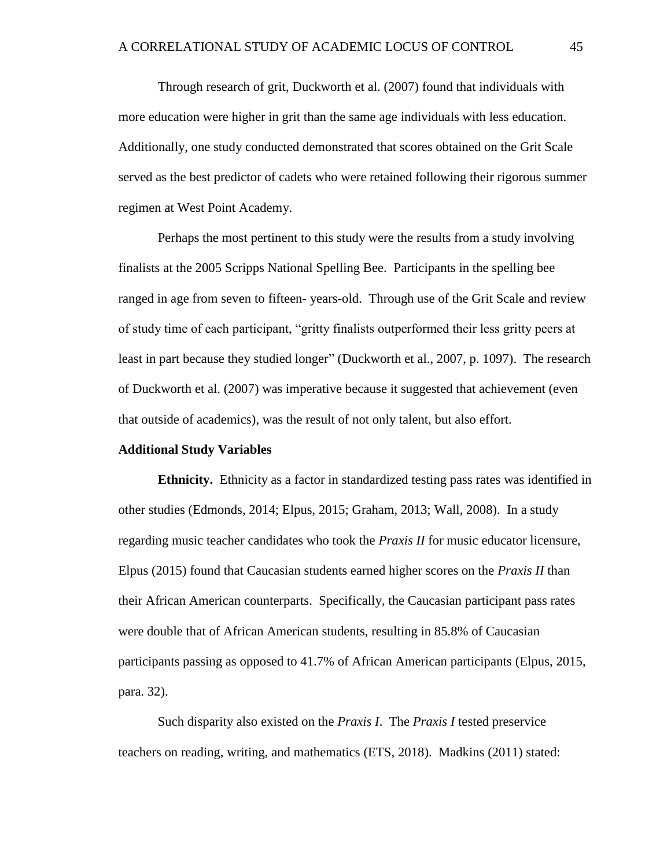Through research of grit, Duckworth et al. (2007) found that individuals with more education were higher in grit than the same age individuals with less education. Additionally, one study conducted demonstrated that scores obtained on the Grit Scale served as the best predictor of cadets who were retained following their rigorous summer regimen at West Point Academy.

Perhaps the most pertinent to this study were the results from a study involving finalists at the 2005 Scripps National Spelling Bee. Participants in the spelling bee ranged in age from seven to fifteen- years-old. Through use of the Grit Scale and review of study time of each participant, "gritty finalists outperformed their less gritty peers at least in part because they studied longer" (Duckworth et al., 2007, p. 1097). The research of Duckworth et al. (2007) was imperative because it suggested that achievement (even that outside of academics), was the result of not only talent, but also effort.

# **Additional Study Variables**

**Ethnicity.** Ethnicity as a factor in standardized testing pass rates was identified in other studies (Edmonds, 2014; Elpus, 2015; Graham, 2013; Wall, 2008). In a study regarding music teacher candidates who took the *Praxis II* for music educator licensure, Elpus (2015) found that Caucasian students earned higher scores on the *Praxis II* than their African American counterparts. Specifically, the Caucasian participant pass rates were double that of African American students, resulting in 85.8% of Caucasian participants passing as opposed to 41.7% of African American participants (Elpus, 2015, para. 32).

Such disparity also existed on the *Praxis I*. The *Praxis I* tested preservice teachers on reading, writing, and mathematics (ETS, 2018). Madkins (2011) stated: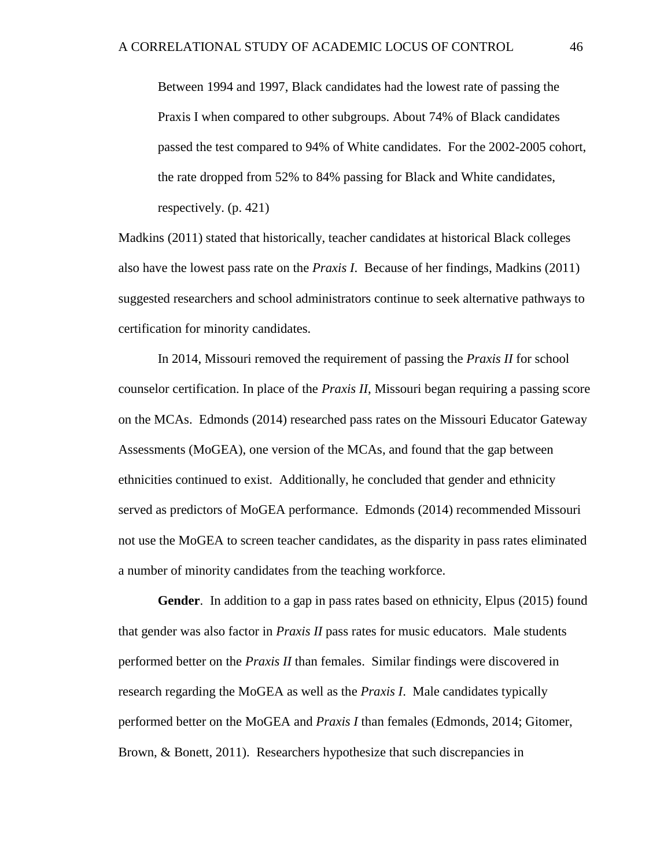Between 1994 and 1997, Black candidates had the lowest rate of passing the Praxis I when compared to other subgroups. About 74% of Black candidates passed the test compared to 94% of White candidates. For the 2002-2005 cohort, the rate dropped from 52% to 84% passing for Black and White candidates, respectively. (p. 421)

Madkins (2011) stated that historically, teacher candidates at historical Black colleges also have the lowest pass rate on the *Praxis I*. Because of her findings, Madkins (2011) suggested researchers and school administrators continue to seek alternative pathways to certification for minority candidates.

In 2014, Missouri removed the requirement of passing the *Praxis II* for school counselor certification. In place of the *Praxis II*, Missouri began requiring a passing score on the MCAs. Edmonds (2014) researched pass rates on the Missouri Educator Gateway Assessments (MoGEA), one version of the MCAs, and found that the gap between ethnicities continued to exist. Additionally, he concluded that gender and ethnicity served as predictors of MoGEA performance. Edmonds (2014) recommended Missouri not use the MoGEA to screen teacher candidates, as the disparity in pass rates eliminated a number of minority candidates from the teaching workforce.

**Gender**. In addition to a gap in pass rates based on ethnicity, Elpus (2015) found that gender was also factor in *Praxis II* pass rates for music educators. Male students performed better on the *Praxis II* than females. Similar findings were discovered in research regarding the MoGEA as well as the *Praxis I*. Male candidates typically performed better on the MoGEA and *Praxis I* than females (Edmonds, 2014; Gitomer, Brown, & Bonett, 2011). Researchers hypothesize that such discrepancies in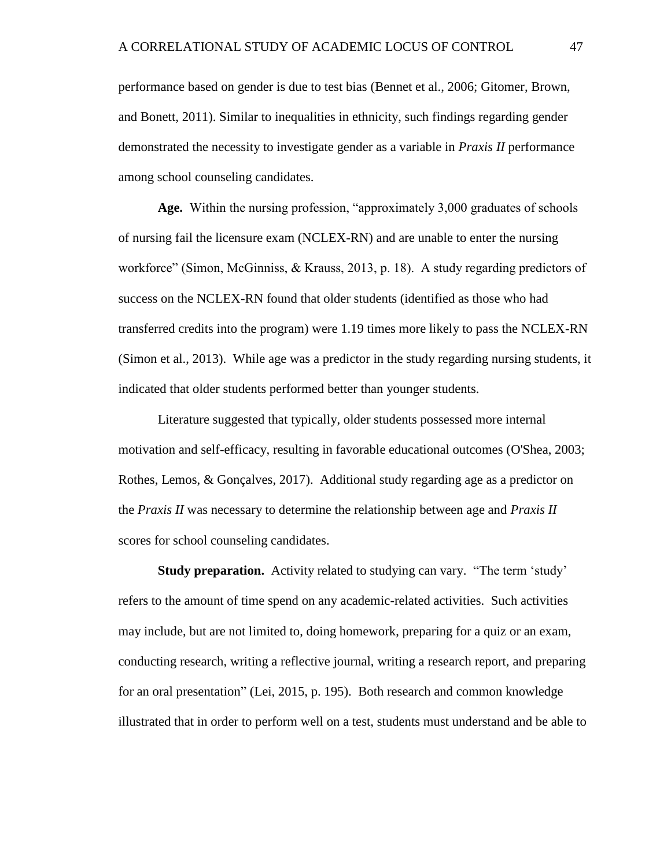performance based on gender is due to test bias (Bennet et al., 2006; Gitomer, Brown, and Bonett, 2011). Similar to inequalities in ethnicity, such findings regarding gender demonstrated the necessity to investigate gender as a variable in *Praxis II* performance among school counseling candidates.

**Age.** Within the nursing profession, "approximately 3,000 graduates of schools of nursing fail the licensure exam (NCLEX-RN) and are unable to enter the nursing workforce" (Simon, McGinniss, & Krauss, 2013, p. 18). A study regarding predictors of success on the NCLEX-RN found that older students (identified as those who had transferred credits into the program) were 1.19 times more likely to pass the NCLEX-RN (Simon et al., 2013). While age was a predictor in the study regarding nursing students, it indicated that older students performed better than younger students.

Literature suggested that typically, older students possessed more internal motivation and self-efficacy, resulting in favorable educational outcomes (O'Shea, 2003; Rothes, Lemos, & Gonçalves, 2017). Additional study regarding age as a predictor on the *Praxis II* was necessary to determine the relationship between age and *Praxis II* scores for school counseling candidates.

**Study preparation.** Activity related to studying can vary. "The term 'study' refers to the amount of time spend on any academic-related activities. Such activities may include, but are not limited to, doing homework, preparing for a quiz or an exam, conducting research, writing a reflective journal, writing a research report, and preparing for an oral presentation" (Lei, 2015, p. 195). Both research and common knowledge illustrated that in order to perform well on a test, students must understand and be able to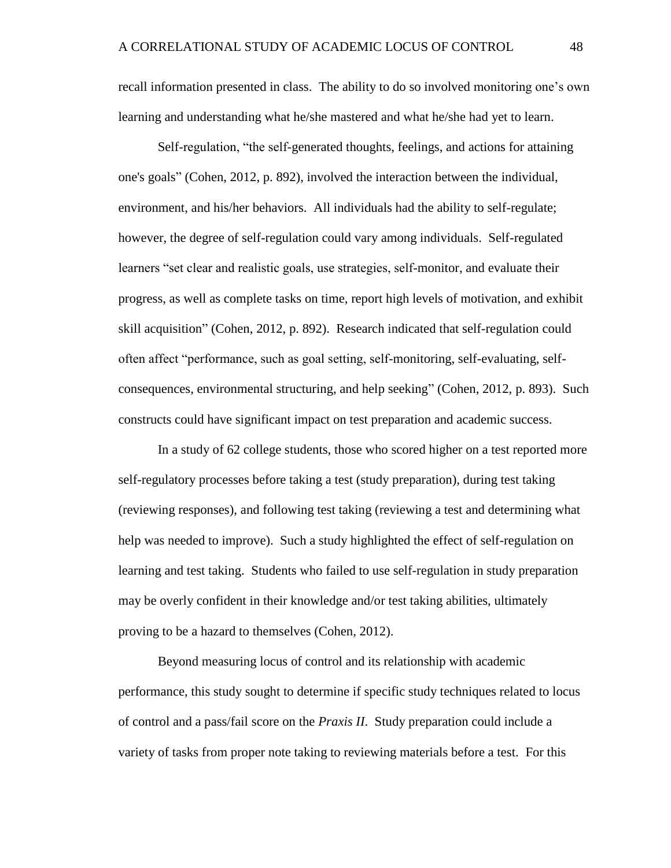recall information presented in class. The ability to do so involved monitoring one's own learning and understanding what he/she mastered and what he/she had yet to learn.

Self-regulation, "the self-generated thoughts, feelings, and actions for attaining one's goals" (Cohen, 2012, p. 892), involved the interaction between the individual, environment, and his/her behaviors. All individuals had the ability to self-regulate; however, the degree of self-regulation could vary among individuals. Self-regulated learners "set clear and realistic goals, use strategies, self-monitor, and evaluate their progress, as well as complete tasks on time, report high levels of motivation, and exhibit skill acquisition" (Cohen, 2012, p. 892). Research indicated that self-regulation could often affect "performance, such as goal setting, self-monitoring, self-evaluating, selfconsequences, environmental structuring, and help seeking" (Cohen, 2012, p. 893). Such constructs could have significant impact on test preparation and academic success.

In a study of 62 college students, those who scored higher on a test reported more self-regulatory processes before taking a test (study preparation), during test taking (reviewing responses), and following test taking (reviewing a test and determining what help was needed to improve). Such a study highlighted the effect of self-regulation on learning and test taking. Students who failed to use self-regulation in study preparation may be overly confident in their knowledge and/or test taking abilities, ultimately proving to be a hazard to themselves (Cohen, 2012).

Beyond measuring locus of control and its relationship with academic performance, this study sought to determine if specific study techniques related to locus of control and a pass/fail score on the *Praxis II*. Study preparation could include a variety of tasks from proper note taking to reviewing materials before a test. For this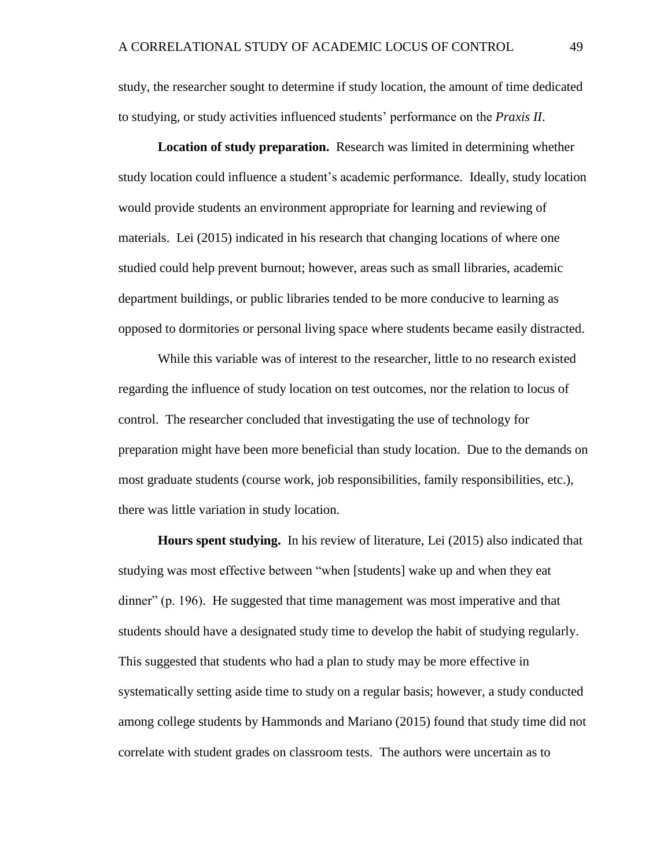study, the researcher sought to determine if study location, the amount of time dedicated to studying, or study activities influenced students' performance on the *Praxis II*.

**Location of study preparation.** Research was limited in determining whether study location could influence a student's academic performance. Ideally, study location would provide students an environment appropriate for learning and reviewing of materials. Lei (2015) indicated in his research that changing locations of where one studied could help prevent burnout; however, areas such as small libraries, academic department buildings, or public libraries tended to be more conducive to learning as opposed to dormitories or personal living space where students became easily distracted.

While this variable was of interest to the researcher, little to no research existed regarding the influence of study location on test outcomes, nor the relation to locus of control. The researcher concluded that investigating the use of technology for preparation might have been more beneficial than study location. Due to the demands on most graduate students (course work, job responsibilities, family responsibilities, etc.), there was little variation in study location.

**Hours spent studying.** In his review of literature, Lei (2015) also indicated that studying was most effective between "when [students] wake up and when they eat dinner" (p. 196). He suggested that time management was most imperative and that students should have a designated study time to develop the habit of studying regularly. This suggested that students who had a plan to study may be more effective in systematically setting aside time to study on a regular basis; however, a study conducted among college students by Hammonds and Mariano (2015) found that study time did not correlate with student grades on classroom tests. The authors were uncertain as to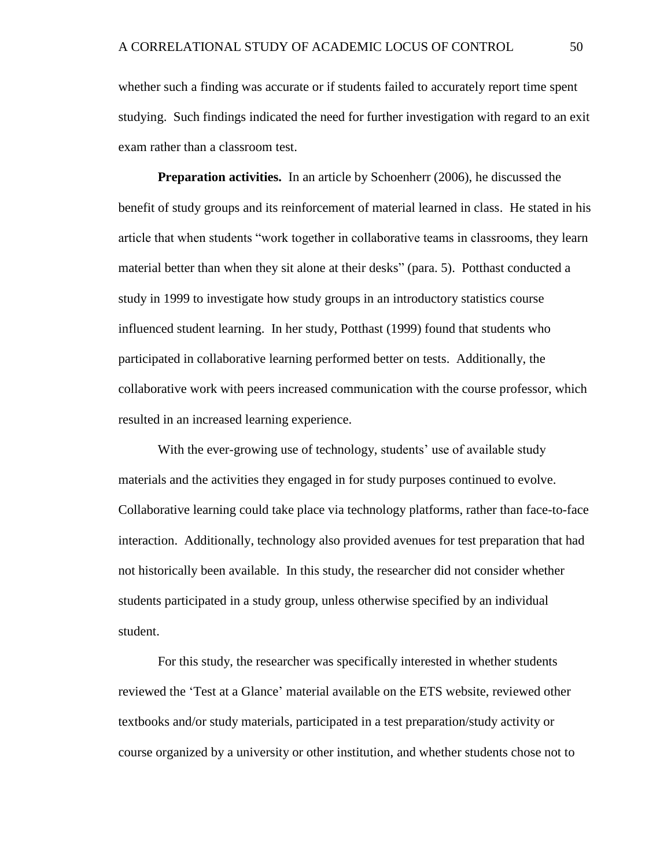whether such a finding was accurate or if students failed to accurately report time spent studying. Such findings indicated the need for further investigation with regard to an exit exam rather than a classroom test.

**Preparation activities.** In an article by Schoenherr (2006), he discussed the benefit of study groups and its reinforcement of material learned in class. He stated in his article that when students "work together in collaborative teams in classrooms, they learn material better than when they sit alone at their desks" (para. 5). Potthast conducted a study in 1999 to investigate how study groups in an introductory statistics course influenced student learning. In her study, Potthast (1999) found that students who participated in collaborative learning performed better on tests. Additionally, the collaborative work with peers increased communication with the course professor, which resulted in an increased learning experience.

With the ever-growing use of technology, students' use of available study materials and the activities they engaged in for study purposes continued to evolve. Collaborative learning could take place via technology platforms, rather than face-to-face interaction. Additionally, technology also provided avenues for test preparation that had not historically been available. In this study, the researcher did not consider whether students participated in a study group, unless otherwise specified by an individual student.

For this study, the researcher was specifically interested in whether students reviewed the 'Test at a Glance' material available on the ETS website, reviewed other textbooks and/or study materials, participated in a test preparation/study activity or course organized by a university or other institution, and whether students chose not to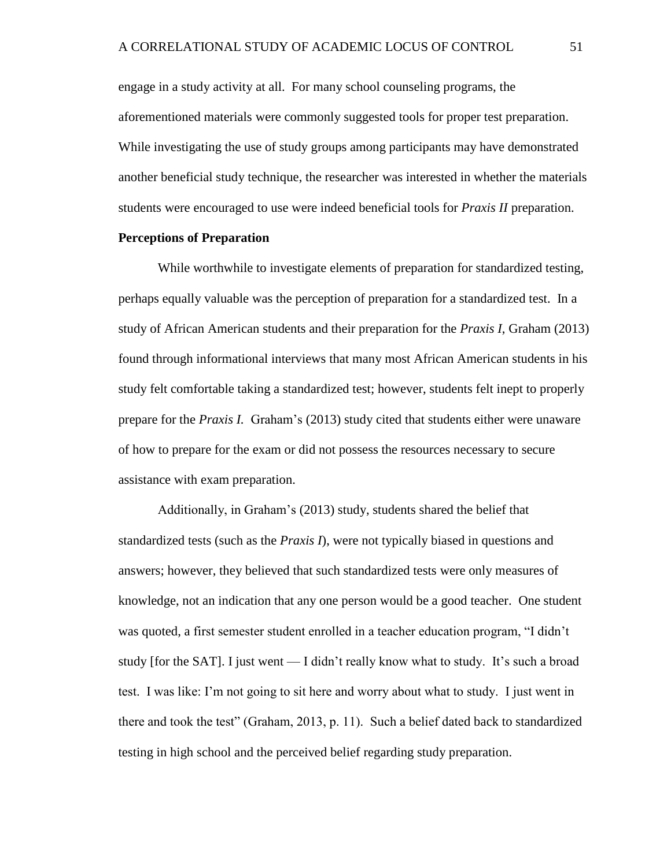engage in a study activity at all. For many school counseling programs, the aforementioned materials were commonly suggested tools for proper test preparation. While investigating the use of study groups among participants may have demonstrated another beneficial study technique, the researcher was interested in whether the materials students were encouraged to use were indeed beneficial tools for *Praxis II* preparation.

### **Perceptions of Preparation**

While worthwhile to investigate elements of preparation for standardized testing, perhaps equally valuable was the perception of preparation for a standardized test. In a study of African American students and their preparation for the *Praxis I*, Graham (2013) found through informational interviews that many most African American students in his study felt comfortable taking a standardized test; however, students felt inept to properly prepare for the *Praxis I.* Graham's (2013) study cited that students either were unaware of how to prepare for the exam or did not possess the resources necessary to secure assistance with exam preparation.

Additionally, in Graham's (2013) study, students shared the belief that standardized tests (such as the *Praxis I*), were not typically biased in questions and answers; however, they believed that such standardized tests were only measures of knowledge, not an indication that any one person would be a good teacher. One student was quoted, a first semester student enrolled in a teacher education program, "I didn't study [for the SAT]. I just went — I didn't really know what to study. It's such a broad test. I was like: I'm not going to sit here and worry about what to study. I just went in there and took the test" (Graham, 2013, p. 11). Such a belief dated back to standardized testing in high school and the perceived belief regarding study preparation.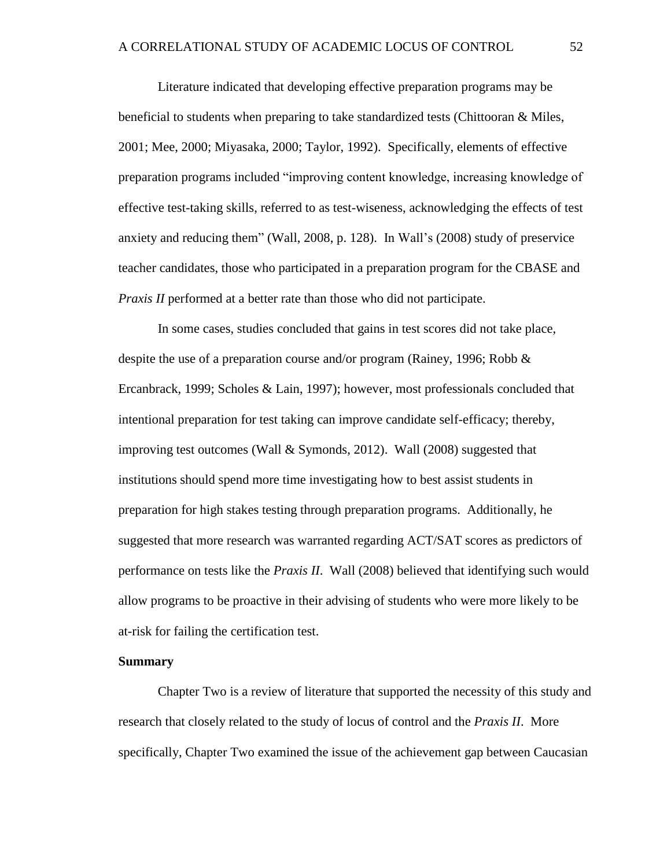Literature indicated that developing effective preparation programs may be beneficial to students when preparing to take standardized tests (Chittooran & Miles, 2001; Mee, 2000; Miyasaka, 2000; Taylor, 1992). Specifically, elements of effective preparation programs included "improving content knowledge, increasing knowledge of effective test-taking skills, referred to as test-wiseness, acknowledging the effects of test anxiety and reducing them" (Wall, 2008, p. 128). In Wall's (2008) study of preservice teacher candidates, those who participated in a preparation program for the CBASE and *Praxis II* performed at a better rate than those who did not participate.

In some cases, studies concluded that gains in test scores did not take place, despite the use of a preparation course and/or program (Rainey, 1996; Robb  $\&$ Ercanbrack, 1999; Scholes & Lain, 1997); however, most professionals concluded that intentional preparation for test taking can improve candidate self-efficacy; thereby, improving test outcomes (Wall & Symonds, 2012). Wall (2008) suggested that institutions should spend more time investigating how to best assist students in preparation for high stakes testing through preparation programs. Additionally, he suggested that more research was warranted regarding ACT/SAT scores as predictors of performance on tests like the *Praxis II*. Wall (2008) believed that identifying such would allow programs to be proactive in their advising of students who were more likely to be at-risk for failing the certification test.

# **Summary**

Chapter Two is a review of literature that supported the necessity of this study and research that closely related to the study of locus of control and the *Praxis II*. More specifically, Chapter Two examined the issue of the achievement gap between Caucasian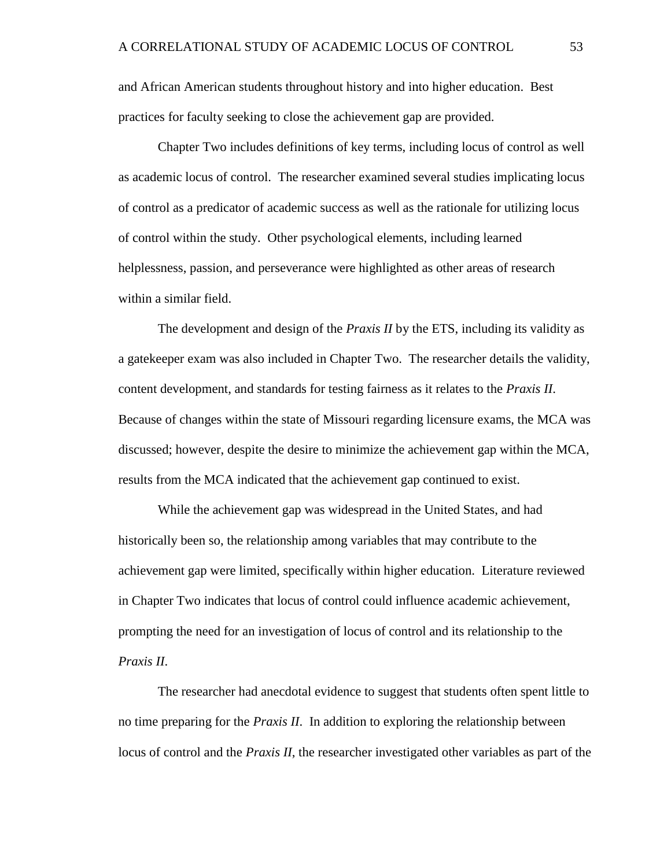and African American students throughout history and into higher education. Best practices for faculty seeking to close the achievement gap are provided.

Chapter Two includes definitions of key terms, including locus of control as well as academic locus of control. The researcher examined several studies implicating locus of control as a predicator of academic success as well as the rationale for utilizing locus of control within the study. Other psychological elements, including learned helplessness, passion, and perseverance were highlighted as other areas of research within a similar field.

The development and design of the *Praxis II* by the ETS, including its validity as a gatekeeper exam was also included in Chapter Two. The researcher details the validity, content development, and standards for testing fairness as it relates to the *Praxis II*. Because of changes within the state of Missouri regarding licensure exams, the MCA was discussed; however, despite the desire to minimize the achievement gap within the MCA, results from the MCA indicated that the achievement gap continued to exist.

While the achievement gap was widespread in the United States, and had historically been so, the relationship among variables that may contribute to the achievement gap were limited, specifically within higher education. Literature reviewed in Chapter Two indicates that locus of control could influence academic achievement, prompting the need for an investigation of locus of control and its relationship to the *Praxis II*.

The researcher had anecdotal evidence to suggest that students often spent little to no time preparing for the *Praxis II*. In addition to exploring the relationship between locus of control and the *Praxis II*, the researcher investigated other variables as part of the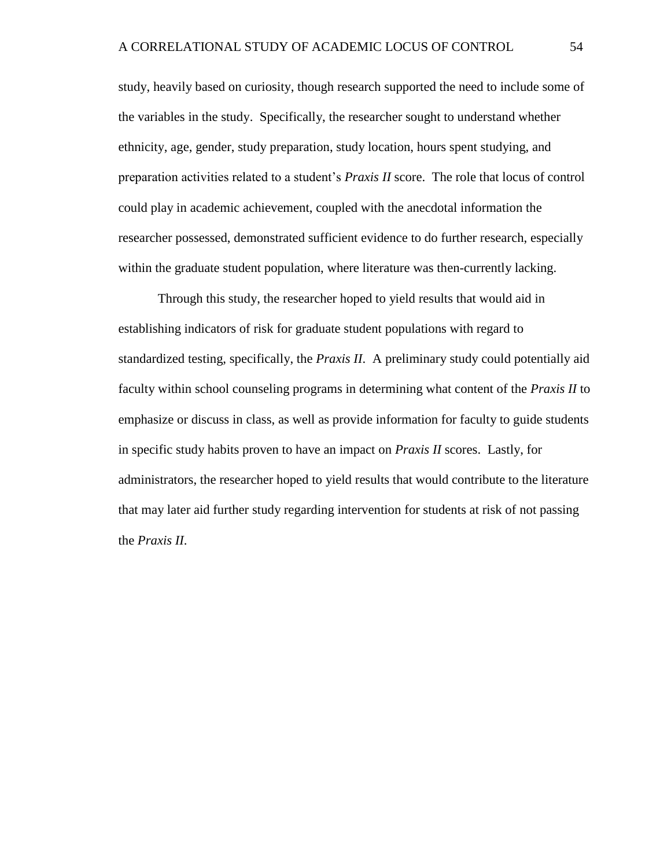study, heavily based on curiosity, though research supported the need to include some of the variables in the study. Specifically, the researcher sought to understand whether ethnicity, age, gender, study preparation, study location, hours spent studying, and preparation activities related to a student's *Praxis II* score. The role that locus of control could play in academic achievement, coupled with the anecdotal information the researcher possessed, demonstrated sufficient evidence to do further research, especially within the graduate student population, where literature was then-currently lacking.

Through this study, the researcher hoped to yield results that would aid in establishing indicators of risk for graduate student populations with regard to standardized testing, specifically, the *Praxis II*. A preliminary study could potentially aid faculty within school counseling programs in determining what content of the *Praxis II* to emphasize or discuss in class, as well as provide information for faculty to guide students in specific study habits proven to have an impact on *Praxis II* scores. Lastly, for administrators, the researcher hoped to yield results that would contribute to the literature that may later aid further study regarding intervention for students at risk of not passing the *Praxis II*.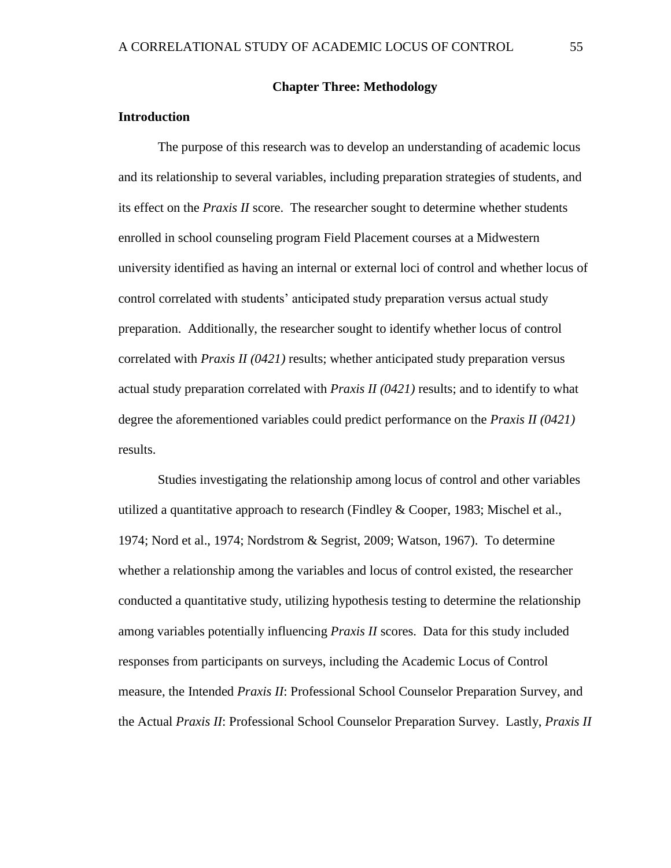### **Chapter Three: Methodology**

# **Introduction**

The purpose of this research was to develop an understanding of academic locus and its relationship to several variables, including preparation strategies of students, and its effect on the *Praxis II* score. The researcher sought to determine whether students enrolled in school counseling program Field Placement courses at a Midwestern university identified as having an internal or external loci of control and whether locus of control correlated with students' anticipated study preparation versus actual study preparation. Additionally, the researcher sought to identify whether locus of control correlated with *Praxis II (0421)* results; whether anticipated study preparation versus actual study preparation correlated with *Praxis II (0421)* results; and to identify to what degree the aforementioned variables could predict performance on the *Praxis II (0421)* results.

Studies investigating the relationship among locus of control and other variables utilized a quantitative approach to research (Findley & Cooper, 1983; Mischel et al., 1974; Nord et al., 1974; Nordstrom & Segrist, 2009; Watson, 1967). To determine whether a relationship among the variables and locus of control existed, the researcher conducted a quantitative study, utilizing hypothesis testing to determine the relationship among variables potentially influencing *Praxis II* scores. Data for this study included responses from participants on surveys, including the Academic Locus of Control measure, the Intended *Praxis II*: Professional School Counselor Preparation Survey, and the Actual *Praxis II*: Professional School Counselor Preparation Survey. Lastly, *Praxis II*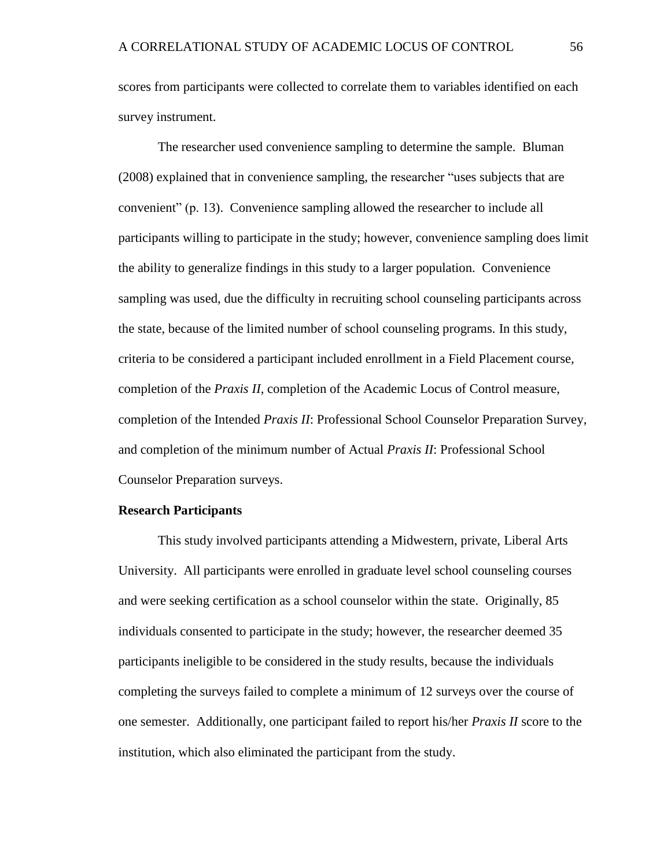scores from participants were collected to correlate them to variables identified on each survey instrument.

The researcher used convenience sampling to determine the sample. Bluman (2008) explained that in convenience sampling, the researcher "uses subjects that are convenient" (p. 13). Convenience sampling allowed the researcher to include all participants willing to participate in the study; however, convenience sampling does limit the ability to generalize findings in this study to a larger population. Convenience sampling was used, due the difficulty in recruiting school counseling participants across the state, because of the limited number of school counseling programs. In this study, criteria to be considered a participant included enrollment in a Field Placement course, completion of the *Praxis II*, completion of the Academic Locus of Control measure, completion of the Intended *Praxis II*: Professional School Counselor Preparation Survey, and completion of the minimum number of Actual *Praxis II*: Professional School Counselor Preparation surveys.

#### **Research Participants**

This study involved participants attending a Midwestern, private, Liberal Arts University. All participants were enrolled in graduate level school counseling courses and were seeking certification as a school counselor within the state. Originally, 85 individuals consented to participate in the study; however, the researcher deemed 35 participants ineligible to be considered in the study results, because the individuals completing the surveys failed to complete a minimum of 12 surveys over the course of one semester. Additionally, one participant failed to report his/her *Praxis II* score to the institution, which also eliminated the participant from the study.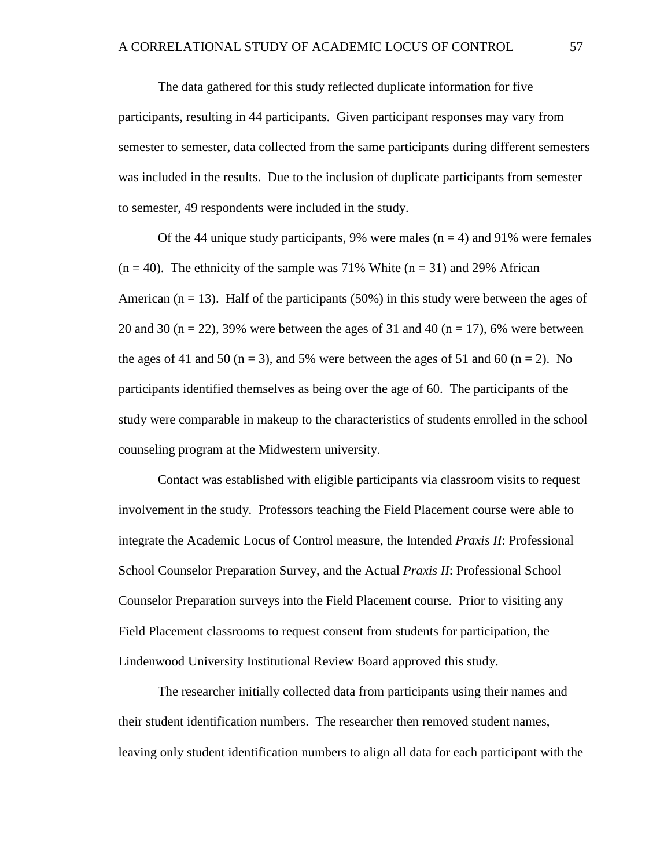The data gathered for this study reflected duplicate information for five participants, resulting in 44 participants. Given participant responses may vary from semester to semester, data collected from the same participants during different semesters was included in the results. Due to the inclusion of duplicate participants from semester to semester, 49 respondents were included in the study.

Of the 44 unique study participants, 9% were males ( $n = 4$ ) and 91% were females  $(n = 40)$ . The ethnicity of the sample was 71% White  $(n = 31)$  and 29% African American ( $n = 13$ ). Half of the participants (50%) in this study were between the ages of 20 and 30 ( $n = 22$ ), 39% were between the ages of 31 and 40 ( $n = 17$ ), 6% were between the ages of 41 and 50 ( $n = 3$ ), and 5% were between the ages of 51 and 60 ( $n = 2$ ). No participants identified themselves as being over the age of 60. The participants of the study were comparable in makeup to the characteristics of students enrolled in the school counseling program at the Midwestern university.

Contact was established with eligible participants via classroom visits to request involvement in the study. Professors teaching the Field Placement course were able to integrate the Academic Locus of Control measure, the Intended *Praxis II*: Professional School Counselor Preparation Survey, and the Actual *Praxis II*: Professional School Counselor Preparation surveys into the Field Placement course. Prior to visiting any Field Placement classrooms to request consent from students for participation, the Lindenwood University Institutional Review Board approved this study.

The researcher initially collected data from participants using their names and their student identification numbers. The researcher then removed student names, leaving only student identification numbers to align all data for each participant with the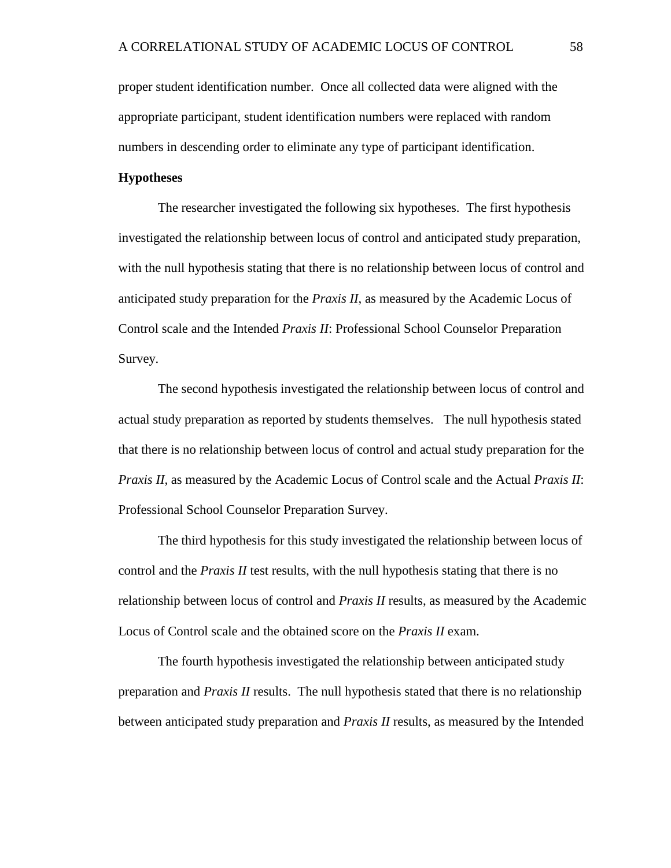proper student identification number. Once all collected data were aligned with the appropriate participant, student identification numbers were replaced with random numbers in descending order to eliminate any type of participant identification.

# **Hypotheses**

The researcher investigated the following six hypotheses. The first hypothesis investigated the relationship between locus of control and anticipated study preparation, with the null hypothesis stating that there is no relationship between locus of control and anticipated study preparation for the *Praxis II*, as measured by the Academic Locus of Control scale and the Intended *Praxis II*: Professional School Counselor Preparation Survey.

The second hypothesis investigated the relationship between locus of control and actual study preparation as reported by students themselves. The null hypothesis stated that there is no relationship between locus of control and actual study preparation for the *Praxis II,* as measured by the Academic Locus of Control scale and the Actual *Praxis II*: Professional School Counselor Preparation Survey.

The third hypothesis for this study investigated the relationship between locus of control and the *Praxis II* test results, with the null hypothesis stating that there is no relationship between locus of control and *Praxis II* results, as measured by the Academic Locus of Control scale and the obtained score on the *Praxis II* exam.

The fourth hypothesis investigated the relationship between anticipated study preparation and *Praxis II* results. The null hypothesis stated that there is no relationship between anticipated study preparation and *Praxis II* results, as measured by the Intended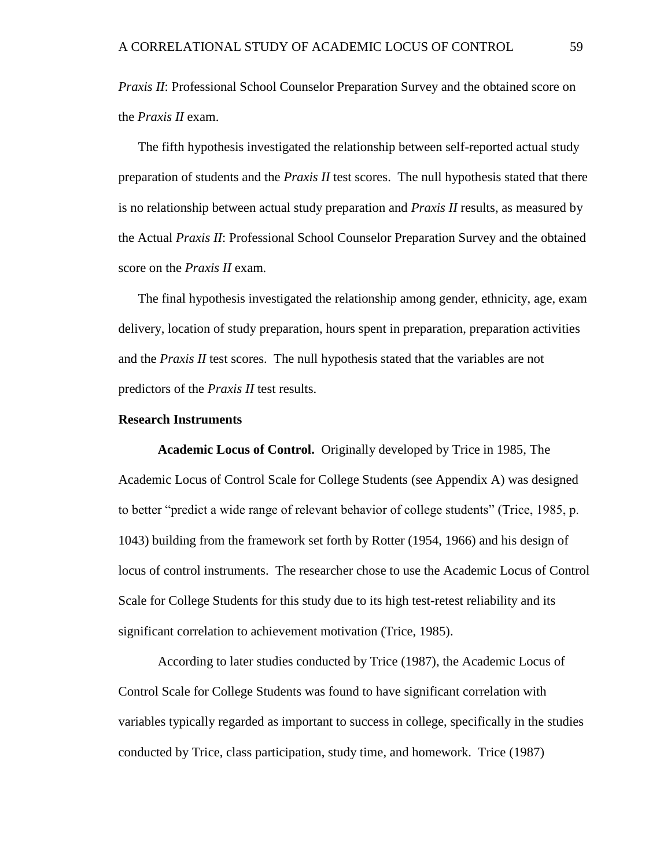*Praxis II*: Professional School Counselor Preparation Survey and the obtained score on the *Praxis II* exam.

The fifth hypothesis investigated the relationship between self-reported actual study preparation of students and the *Praxis II* test scores. The null hypothesis stated that there is no relationship between actual study preparation and *Praxis II* results, as measured by the Actual *Praxis II*: Professional School Counselor Preparation Survey and the obtained score on the *Praxis II* exam*.*

The final hypothesis investigated the relationship among gender, ethnicity, age, exam delivery, location of study preparation, hours spent in preparation, preparation activities and the *Praxis II* test scores. The null hypothesis stated that the variables are not predictors of the *Praxis II* test results.

#### **Research Instruments**

**Academic Locus of Control.** Originally developed by Trice in 1985, The Academic Locus of Control Scale for College Students (see Appendix A) was designed to better "predict a wide range of relevant behavior of college students" (Trice, 1985, p. 1043) building from the framework set forth by Rotter (1954, 1966) and his design of locus of control instruments. The researcher chose to use the Academic Locus of Control Scale for College Students for this study due to its high test-retest reliability and its significant correlation to achievement motivation (Trice, 1985).

According to later studies conducted by Trice (1987), the Academic Locus of Control Scale for College Students was found to have significant correlation with variables typically regarded as important to success in college, specifically in the studies conducted by Trice, class participation, study time, and homework. Trice (1987)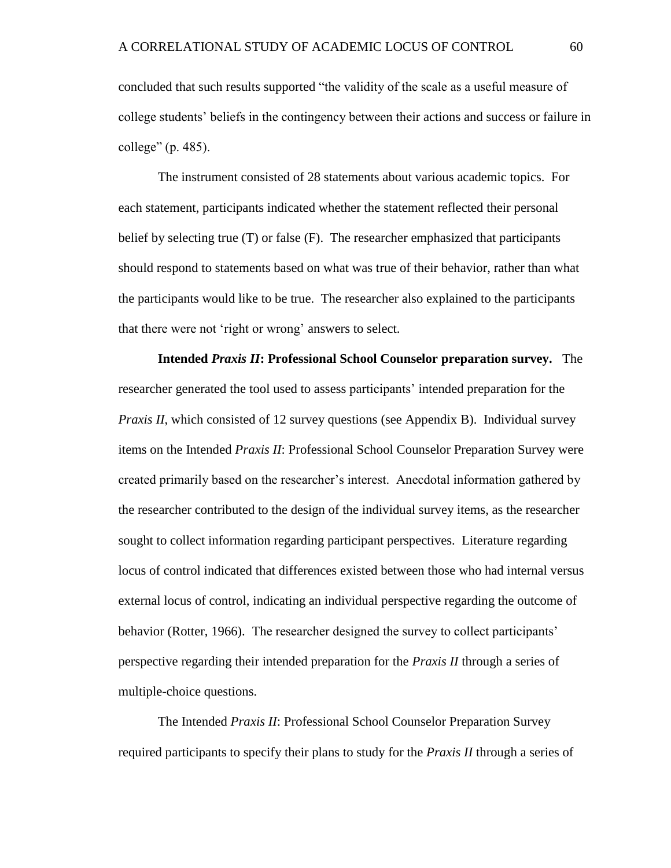concluded that such results supported "the validity of the scale as a useful measure of college students' beliefs in the contingency between their actions and success or failure in college" (p. 485).

The instrument consisted of 28 statements about various academic topics. For each statement, participants indicated whether the statement reflected their personal belief by selecting true (T) or false (F). The researcher emphasized that participants should respond to statements based on what was true of their behavior, rather than what the participants would like to be true. The researcher also explained to the participants that there were not 'right or wrong' answers to select.

**Intended** *Praxis II***: Professional School Counselor preparation survey.** The researcher generated the tool used to assess participants' intended preparation for the *Praxis II*, which consisted of 12 survey questions (see Appendix B). Individual survey items on the Intended *Praxis II*: Professional School Counselor Preparation Survey were created primarily based on the researcher's interest. Anecdotal information gathered by the researcher contributed to the design of the individual survey items, as the researcher sought to collect information regarding participant perspectives. Literature regarding locus of control indicated that differences existed between those who had internal versus external locus of control, indicating an individual perspective regarding the outcome of behavior (Rotter, 1966). The researcher designed the survey to collect participants' perspective regarding their intended preparation for the *Praxis II* through a series of multiple-choice questions.

The Intended *Praxis II*: Professional School Counselor Preparation Survey required participants to specify their plans to study for the *Praxis II* through a series of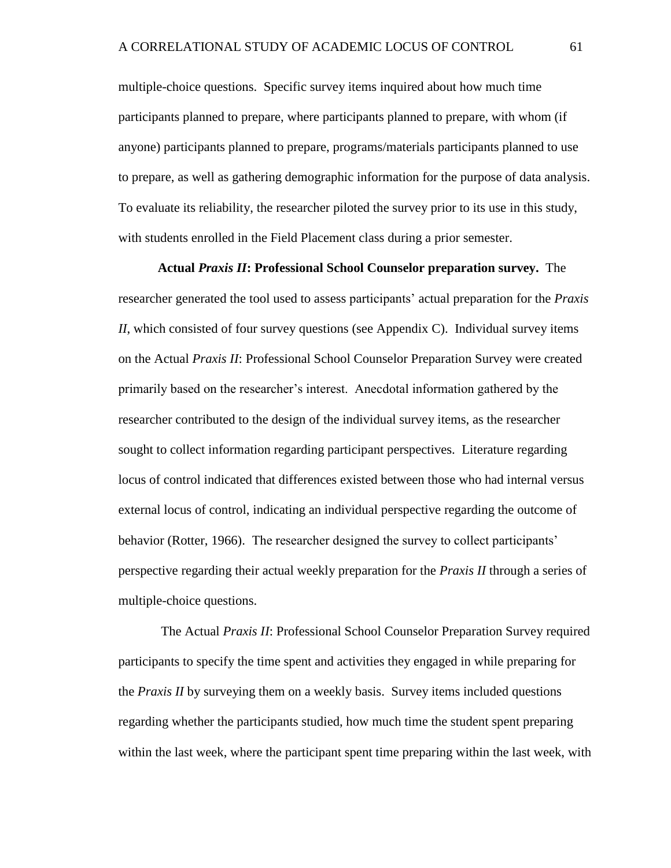multiple-choice questions. Specific survey items inquired about how much time participants planned to prepare, where participants planned to prepare, with whom (if anyone) participants planned to prepare, programs/materials participants planned to use to prepare, as well as gathering demographic information for the purpose of data analysis. To evaluate its reliability, the researcher piloted the survey prior to its use in this study, with students enrolled in the Field Placement class during a prior semester.

**Actual** *Praxis II***: Professional School Counselor preparation survey.** The researcher generated the tool used to assess participants' actual preparation for the *Praxis II*, which consisted of four survey questions (see Appendix C). Individual survey items on the Actual *Praxis II*: Professional School Counselor Preparation Survey were created primarily based on the researcher's interest. Anecdotal information gathered by the researcher contributed to the design of the individual survey items, as the researcher sought to collect information regarding participant perspectives. Literature regarding locus of control indicated that differences existed between those who had internal versus external locus of control, indicating an individual perspective regarding the outcome of behavior (Rotter, 1966). The researcher designed the survey to collect participants' perspective regarding their actual weekly preparation for the *Praxis II* through a series of multiple-choice questions.

The Actual *Praxis II*: Professional School Counselor Preparation Survey required participants to specify the time spent and activities they engaged in while preparing for the *Praxis II* by surveying them on a weekly basis. Survey items included questions regarding whether the participants studied, how much time the student spent preparing within the last week, where the participant spent time preparing within the last week, with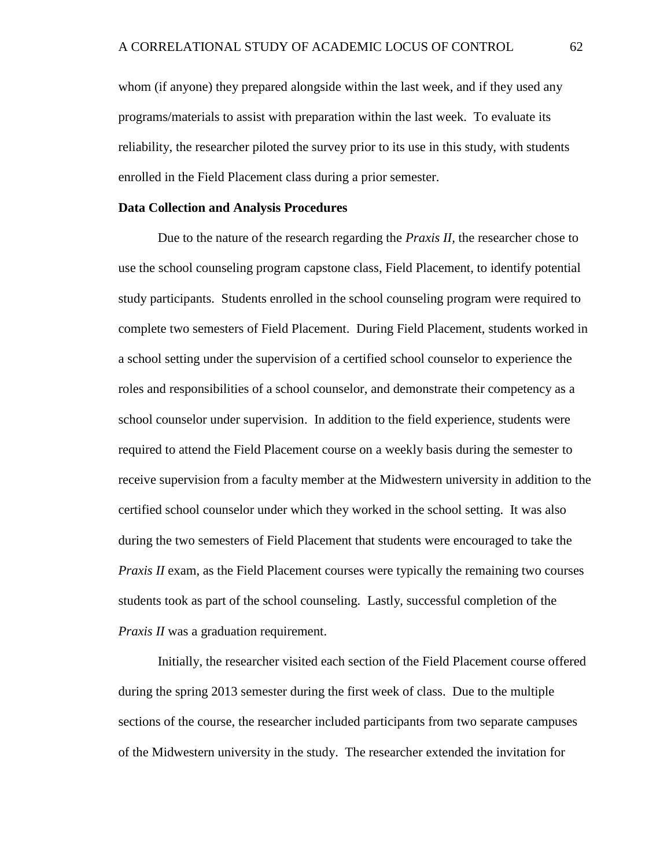whom (if anyone) they prepared alongside within the last week, and if they used any programs/materials to assist with preparation within the last week. To evaluate its reliability, the researcher piloted the survey prior to its use in this study, with students enrolled in the Field Placement class during a prior semester.

## **Data Collection and Analysis Procedures**

Due to the nature of the research regarding the *Praxis II,* the researcher chose to use the school counseling program capstone class, Field Placement, to identify potential study participants. Students enrolled in the school counseling program were required to complete two semesters of Field Placement. During Field Placement, students worked in a school setting under the supervision of a certified school counselor to experience the roles and responsibilities of a school counselor, and demonstrate their competency as a school counselor under supervision. In addition to the field experience, students were required to attend the Field Placement course on a weekly basis during the semester to receive supervision from a faculty member at the Midwestern university in addition to the certified school counselor under which they worked in the school setting. It was also during the two semesters of Field Placement that students were encouraged to take the *Praxis II* exam, as the Field Placement courses were typically the remaining two courses students took as part of the school counseling. Lastly, successful completion of the *Praxis II* was a graduation requirement.

Initially, the researcher visited each section of the Field Placement course offered during the spring 2013 semester during the first week of class. Due to the multiple sections of the course, the researcher included participants from two separate campuses of the Midwestern university in the study. The researcher extended the invitation for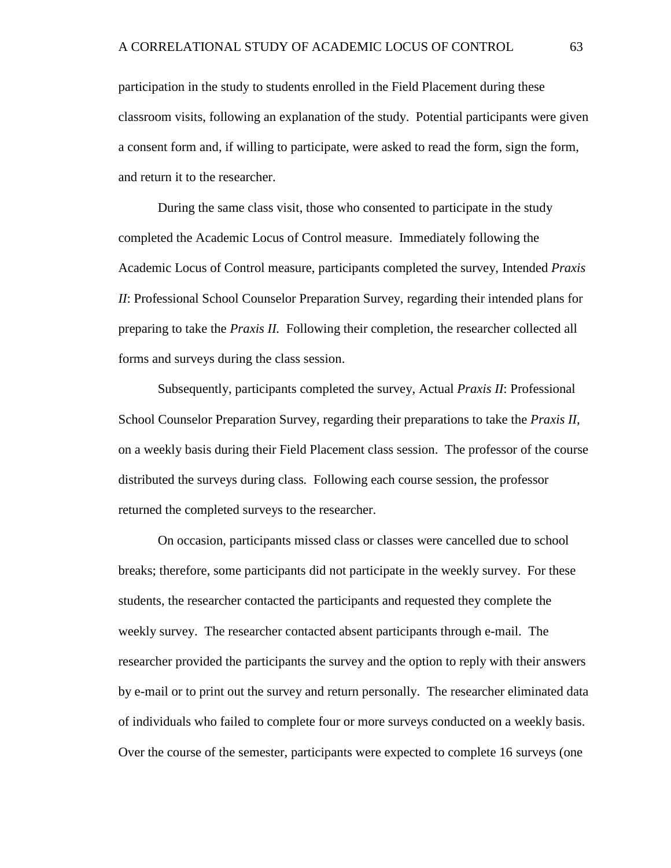participation in the study to students enrolled in the Field Placement during these classroom visits, following an explanation of the study. Potential participants were given a consent form and, if willing to participate, were asked to read the form, sign the form, and return it to the researcher.

During the same class visit, those who consented to participate in the study completed the Academic Locus of Control measure. Immediately following the Academic Locus of Control measure, participants completed the survey, Intended *Praxis II*: Professional School Counselor Preparation Survey, regarding their intended plans for preparing to take the *Praxis II.* Following their completion, the researcher collected all forms and surveys during the class session.

Subsequently, participants completed the survey, Actual *Praxis II*: Professional School Counselor Preparation Survey, regarding their preparations to take the *Praxis II,*  on a weekly basis during their Field Placement class session. The professor of the course distributed the surveys during class*.* Following each course session, the professor returned the completed surveys to the researcher.

On occasion, participants missed class or classes were cancelled due to school breaks; therefore, some participants did not participate in the weekly survey. For these students, the researcher contacted the participants and requested they complete the weekly survey. The researcher contacted absent participants through e-mail. The researcher provided the participants the survey and the option to reply with their answers by e-mail or to print out the survey and return personally. The researcher eliminated data of individuals who failed to complete four or more surveys conducted on a weekly basis. Over the course of the semester, participants were expected to complete 16 surveys (one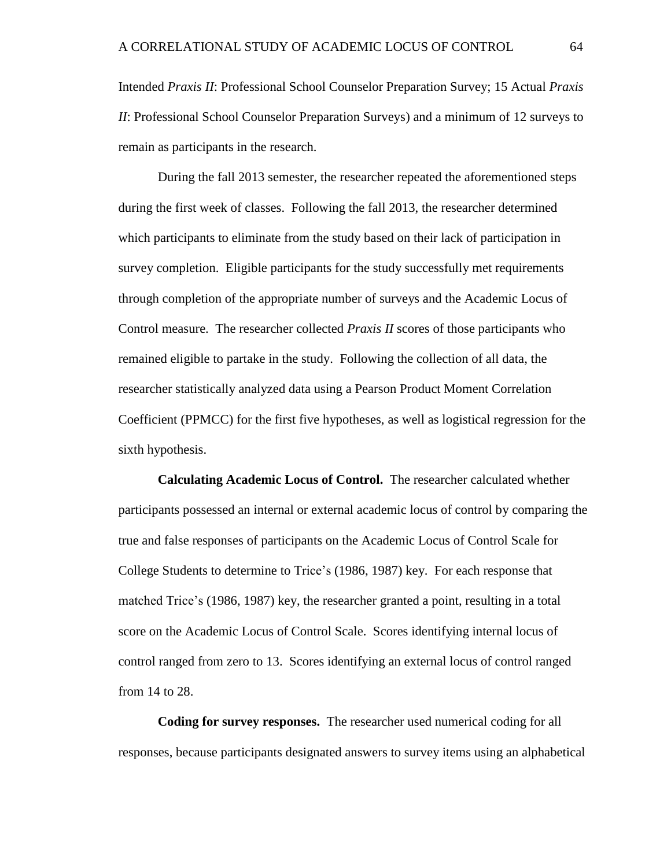Intended *Praxis II*: Professional School Counselor Preparation Survey; 15 Actual *Praxis II*: Professional School Counselor Preparation Surveys) and a minimum of 12 surveys to remain as participants in the research.

During the fall 2013 semester, the researcher repeated the aforementioned steps during the first week of classes. Following the fall 2013, the researcher determined which participants to eliminate from the study based on their lack of participation in survey completion. Eligible participants for the study successfully met requirements through completion of the appropriate number of surveys and the Academic Locus of Control measure. The researcher collected *Praxis II* scores of those participants who remained eligible to partake in the study. Following the collection of all data, the researcher statistically analyzed data using a Pearson Product Moment Correlation Coefficient (PPMCC) for the first five hypotheses, as well as logistical regression for the sixth hypothesis.

**Calculating Academic Locus of Control.** The researcher calculated whether participants possessed an internal or external academic locus of control by comparing the true and false responses of participants on the Academic Locus of Control Scale for College Students to determine to Trice's (1986, 1987) key. For each response that matched Trice's (1986, 1987) key, the researcher granted a point, resulting in a total score on the Academic Locus of Control Scale. Scores identifying internal locus of control ranged from zero to 13. Scores identifying an external locus of control ranged from 14 to 28.

**Coding for survey responses.** The researcher used numerical coding for all responses, because participants designated answers to survey items using an alphabetical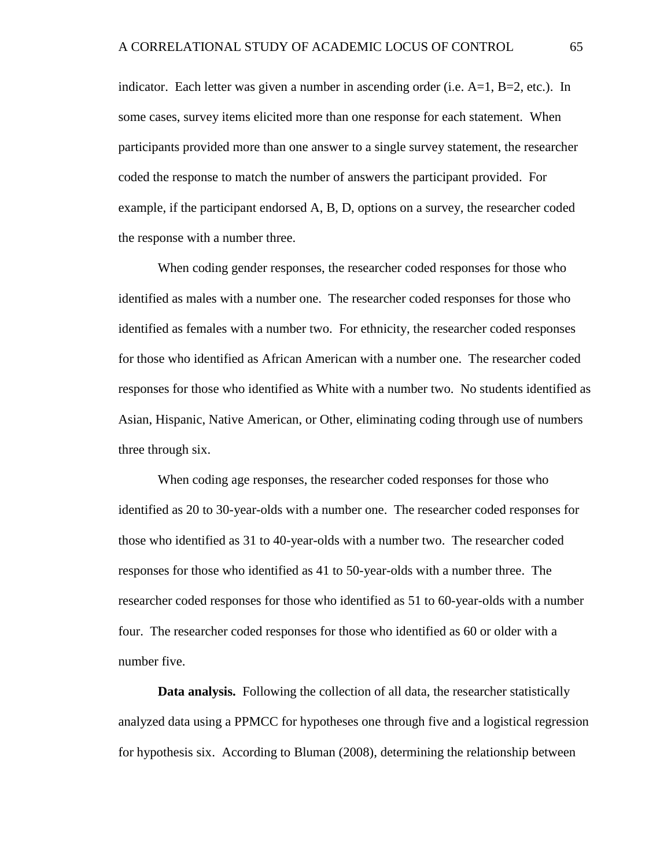indicator. Each letter was given a number in ascending order (i.e.  $A=1$ ,  $B=2$ , etc.). In some cases, survey items elicited more than one response for each statement. When participants provided more than one answer to a single survey statement, the researcher coded the response to match the number of answers the participant provided. For example, if the participant endorsed A, B, D, options on a survey, the researcher coded the response with a number three.

When coding gender responses, the researcher coded responses for those who identified as males with a number one. The researcher coded responses for those who identified as females with a number two. For ethnicity, the researcher coded responses for those who identified as African American with a number one. The researcher coded responses for those who identified as White with a number two. No students identified as Asian, Hispanic, Native American, or Other, eliminating coding through use of numbers three through six.

When coding age responses, the researcher coded responses for those who identified as 20 to 30-year-olds with a number one. The researcher coded responses for those who identified as 31 to 40-year-olds with a number two. The researcher coded responses for those who identified as 41 to 50-year-olds with a number three. The researcher coded responses for those who identified as 51 to 60-year-olds with a number four. The researcher coded responses for those who identified as 60 or older with a number five.

**Data analysis.** Following the collection of all data, the researcher statistically analyzed data using a PPMCC for hypotheses one through five and a logistical regression for hypothesis six. According to Bluman (2008), determining the relationship between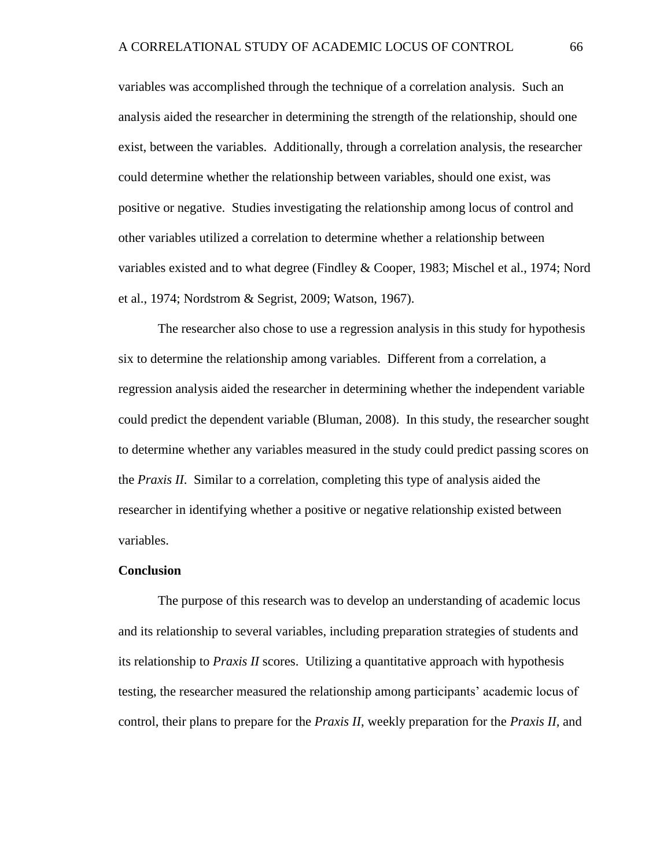variables was accomplished through the technique of a correlation analysis. Such an analysis aided the researcher in determining the strength of the relationship, should one exist, between the variables. Additionally, through a correlation analysis, the researcher could determine whether the relationship between variables, should one exist, was positive or negative. Studies investigating the relationship among locus of control and other variables utilized a correlation to determine whether a relationship between variables existed and to what degree (Findley & Cooper, 1983; Mischel et al., 1974; Nord et al., 1974; Nordstrom & Segrist, 2009; Watson, 1967).

The researcher also chose to use a regression analysis in this study for hypothesis six to determine the relationship among variables. Different from a correlation, a regression analysis aided the researcher in determining whether the independent variable could predict the dependent variable (Bluman, 2008). In this study, the researcher sought to determine whether any variables measured in the study could predict passing scores on the *Praxis II*. Similar to a correlation, completing this type of analysis aided the researcher in identifying whether a positive or negative relationship existed between variables.

## **Conclusion**

The purpose of this research was to develop an understanding of academic locus and its relationship to several variables, including preparation strategies of students and its relationship to *Praxis II* scores. Utilizing a quantitative approach with hypothesis testing, the researcher measured the relationship among participants' academic locus of control, their plans to prepare for the *Praxis II*, weekly preparation for the *Praxis II,* and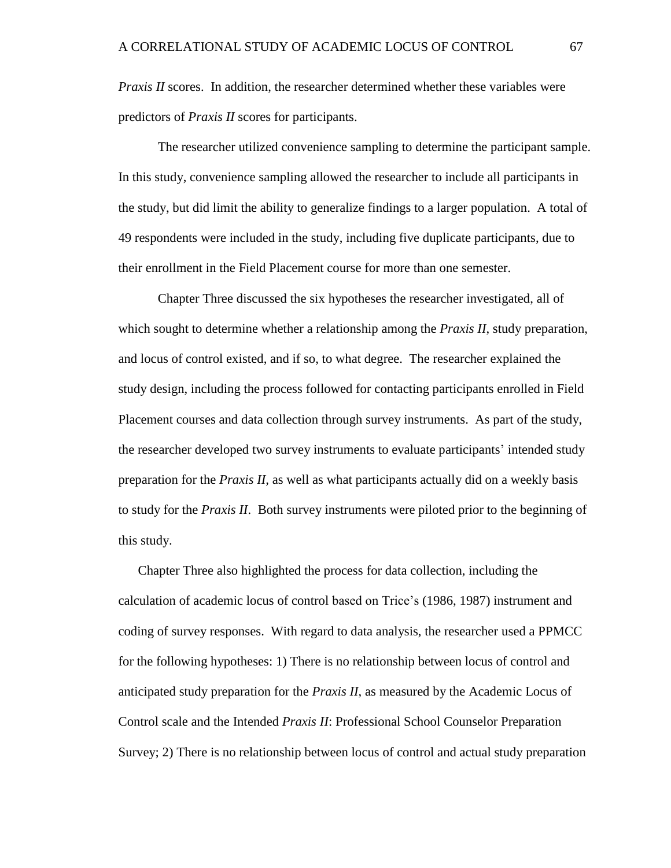*Praxis II* scores. In addition, the researcher determined whether these variables were predictors of *Praxis II* scores for participants.

The researcher utilized convenience sampling to determine the participant sample. In this study, convenience sampling allowed the researcher to include all participants in the study, but did limit the ability to generalize findings to a larger population. A total of 49 respondents were included in the study, including five duplicate participants, due to their enrollment in the Field Placement course for more than one semester.

Chapter Three discussed the six hypotheses the researcher investigated, all of which sought to determine whether a relationship among the *Praxis II*, study preparation, and locus of control existed, and if so, to what degree. The researcher explained the study design, including the process followed for contacting participants enrolled in Field Placement courses and data collection through survey instruments. As part of the study, the researcher developed two survey instruments to evaluate participants' intended study preparation for the *Praxis II,* as well as what participants actually did on a weekly basis to study for the *Praxis II*. Both survey instruments were piloted prior to the beginning of this study.

Chapter Three also highlighted the process for data collection, including the calculation of academic locus of control based on Trice's (1986, 1987) instrument and coding of survey responses. With regard to data analysis, the researcher used a PPMCC for the following hypotheses: 1) There is no relationship between locus of control and anticipated study preparation for the *Praxis II*, as measured by the Academic Locus of Control scale and the Intended *Praxis II*: Professional School Counselor Preparation Survey; 2) There is no relationship between locus of control and actual study preparation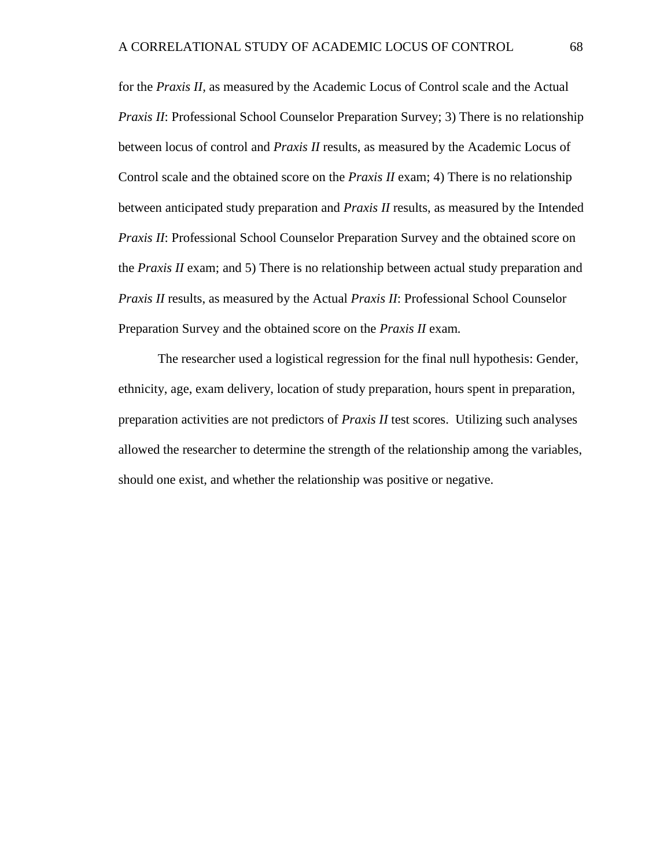for the *Praxis II,* as measured by the Academic Locus of Control scale and the Actual *Praxis II*: Professional School Counselor Preparation Survey; 3) There is no relationship between locus of control and *Praxis II* results, as measured by the Academic Locus of Control scale and the obtained score on the *Praxis II* exam; 4) There is no relationship between anticipated study preparation and *Praxis II* results, as measured by the Intended *Praxis II*: Professional School Counselor Preparation Survey and the obtained score on the *Praxis II* exam; and 5) There is no relationship between actual study preparation and *Praxis II* results, as measured by the Actual *Praxis II*: Professional School Counselor Preparation Survey and the obtained score on the *Praxis II* exam*.*

The researcher used a logistical regression for the final null hypothesis: Gender, ethnicity, age, exam delivery, location of study preparation, hours spent in preparation, preparation activities are not predictors of *Praxis II* test scores. Utilizing such analyses allowed the researcher to determine the strength of the relationship among the variables, should one exist, and whether the relationship was positive or negative.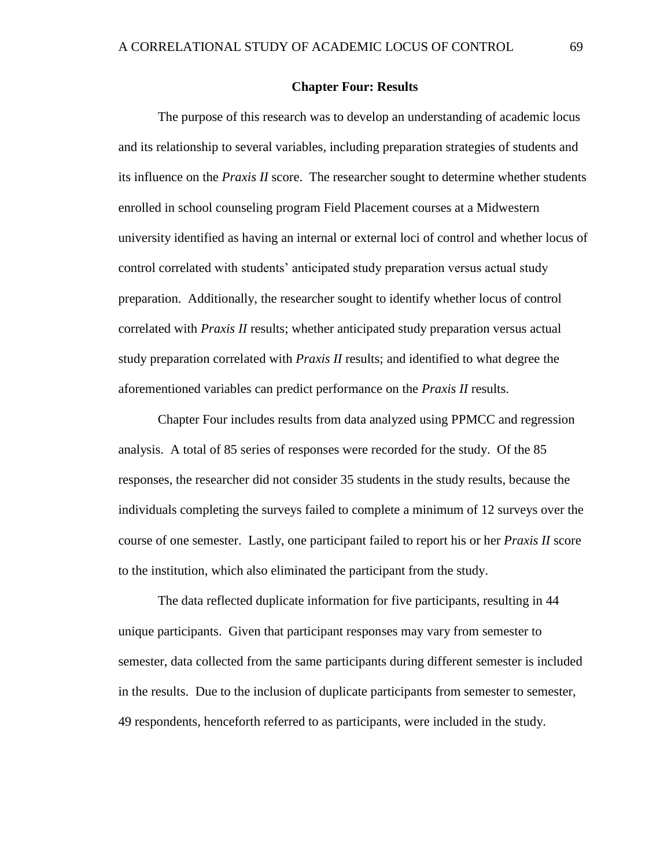## **Chapter Four: Results**

The purpose of this research was to develop an understanding of academic locus and its relationship to several variables, including preparation strategies of students and its influence on the *Praxis II* score. The researcher sought to determine whether students enrolled in school counseling program Field Placement courses at a Midwestern university identified as having an internal or external loci of control and whether locus of control correlated with students' anticipated study preparation versus actual study preparation. Additionally, the researcher sought to identify whether locus of control correlated with *Praxis II* results; whether anticipated study preparation versus actual study preparation correlated with *Praxis II* results; and identified to what degree the aforementioned variables can predict performance on the *Praxis II* results.

Chapter Four includes results from data analyzed using PPMCC and regression analysis. A total of 85 series of responses were recorded for the study. Of the 85 responses, the researcher did not consider 35 students in the study results, because the individuals completing the surveys failed to complete a minimum of 12 surveys over the course of one semester. Lastly, one participant failed to report his or her *Praxis II* score to the institution, which also eliminated the participant from the study.

The data reflected duplicate information for five participants, resulting in 44 unique participants. Given that participant responses may vary from semester to semester, data collected from the same participants during different semester is included in the results. Due to the inclusion of duplicate participants from semester to semester, 49 respondents, henceforth referred to as participants, were included in the study.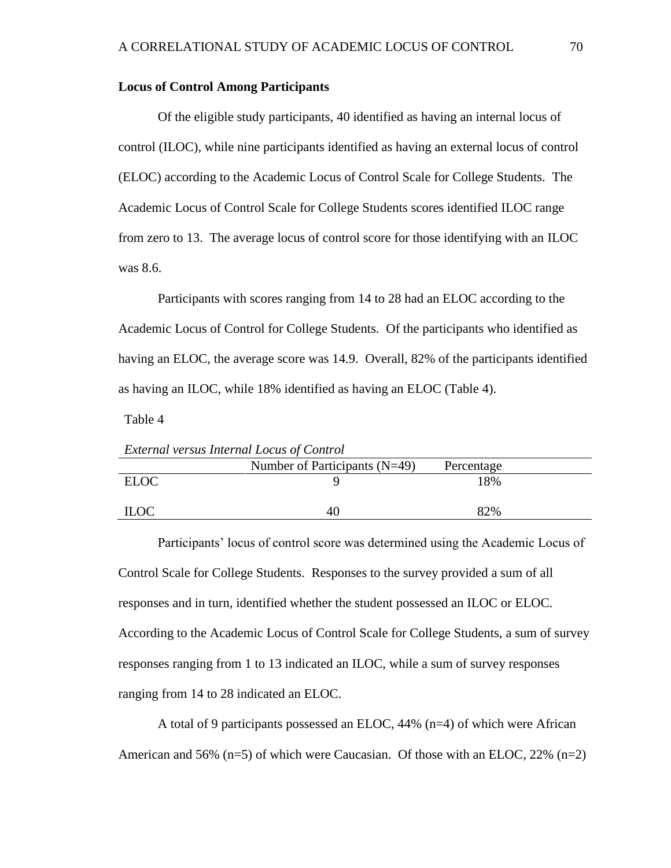# **Locus of Control Among Participants**

*External versus Internal Locus of Control*

Of the eligible study participants, 40 identified as having an internal locus of control (ILOC), while nine participants identified as having an external locus of control (ELOC) according to the Academic Locus of Control Scale for College Students. The Academic Locus of Control Scale for College Students scores identified ILOC range from zero to 13. The average locus of control score for those identifying with an ILOC was 8.6.

Participants with scores ranging from 14 to 28 had an ELOC according to the Academic Locus of Control for College Students. Of the participants who identified as having an ELOC, the average score was 14.9. Overall, 82% of the participants identified as having an ILOC, while 18% identified as having an ELOC (Table 4).

Table 4

| <b>Executive Verbus Internate Locus of Control</b> |                                 |            |  |
|----------------------------------------------------|---------------------------------|------------|--|
|                                                    | Number of Participants $(N=49)$ | Percentage |  |
| <b>ELOC</b>                                        |                                 | 18%        |  |
| <b>ILOC</b>                                        | 40                              | 82%        |  |

Participants' locus of control score was determined using the Academic Locus of Control Scale for College Students. Responses to the survey provided a sum of all responses and in turn, identified whether the student possessed an ILOC or ELOC. According to the Academic Locus of Control Scale for College Students, a sum of survey responses ranging from 1 to 13 indicated an ILOC, while a sum of survey responses ranging from 14 to 28 indicated an ELOC.

A total of 9 participants possessed an ELOC, 44% (n=4) of which were African American and 56%  $(n=5)$  of which were Caucasian. Of those with an ELOC, 22%  $(n=2)$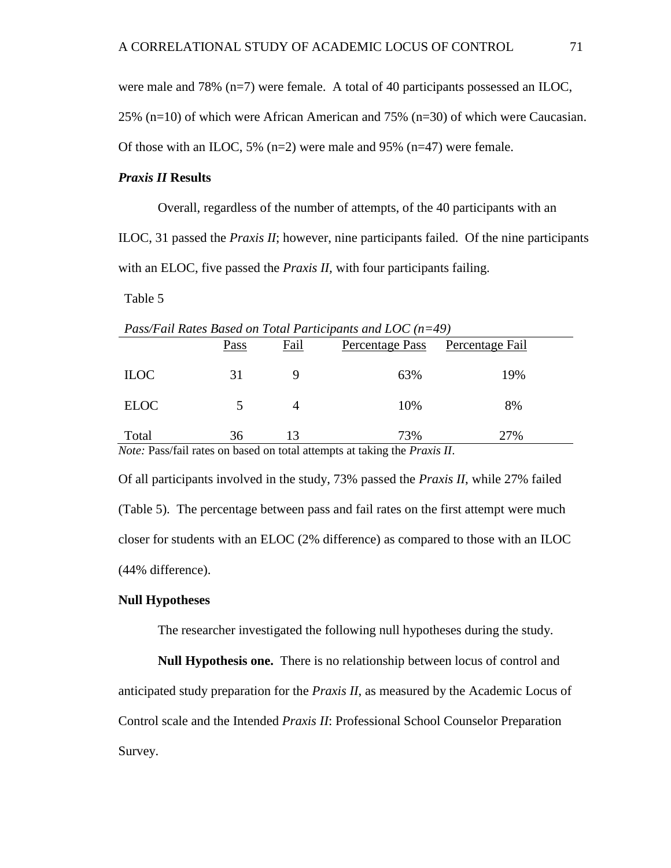were male and 78% (n=7) were female. A total of 40 participants possessed an ILOC,

25% (n=10) of which were African American and 75% (n=30) of which were Caucasian.

Of those with an ILOC, 5%  $(n=2)$  were male and 95%  $(n=47)$  were female.

# *Praxis II* **Results**

Overall, regardless of the number of attempts, of the 40 participants with an

ILOC, 31 passed the *Praxis II*; however, nine participants failed. Of the nine participants with an ELOC, five passed the *Praxis II*, with four participants failing.

Table 5

*Pass/Fail Rates Based on Total Participants and LOC (n=49)*

|             | Pass | Fail | Percentage Pass | Percentage Fail |
|-------------|------|------|-----------------|-----------------|
| <b>ILOC</b> |      |      | 63%             | 19%             |
| <b>ELOC</b> |      |      | 10%             | 8%              |
| Total       | 36   | 13   | 73%             | 27%             |

*Note:* Pass/fail rates on based on total attempts at taking the *Praxis II*.

Of all participants involved in the study, 73% passed the *Praxis II*, while 27% failed (Table 5). The percentage between pass and fail rates on the first attempt were much closer for students with an ELOC (2% difference) as compared to those with an ILOC (44% difference).

## **Null Hypotheses**

The researcher investigated the following null hypotheses during the study.

**Null Hypothesis one.** There is no relationship between locus of control and anticipated study preparation for the *Praxis II*, as measured by the Academic Locus of Control scale and the Intended *Praxis II*: Professional School Counselor Preparation Survey.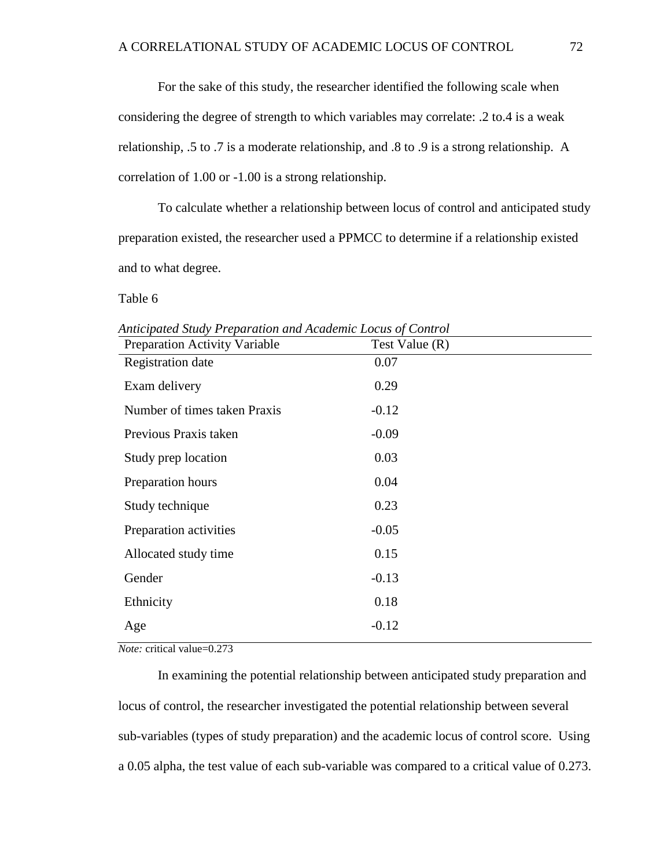For the sake of this study, the researcher identified the following scale when considering the degree of strength to which variables may correlate: .2 to.4 is a weak relationship, .5 to .7 is a moderate relationship, and .8 to .9 is a strong relationship. A correlation of 1.00 or -1.00 is a strong relationship.

To calculate whether a relationship between locus of control and anticipated study preparation existed, the researcher used a PPMCC to determine if a relationship existed and to what degree.

Table 6

| <b>Preparation Activity Variable</b> | Test Value $(R)$ |
|--------------------------------------|------------------|
| Registration date                    | 0.07             |
| Exam delivery                        | 0.29             |
| Number of times taken Praxis         | $-0.12$          |
| Previous Praxis taken                | $-0.09$          |
| Study prep location                  | 0.03             |
| Preparation hours                    | 0.04             |
| Study technique                      | 0.23             |
| Preparation activities               | $-0.05$          |
| Allocated study time                 | 0.15             |
| Gender                               | $-0.13$          |
| Ethnicity                            | 0.18             |
| Age                                  | $-0.12$          |

*Anticipated Study Preparation and Academic Locus of Control* 

*Note:* critical value=0.273

In examining the potential relationship between anticipated study preparation and locus of control, the researcher investigated the potential relationship between several sub-variables (types of study preparation) and the academic locus of control score. Using a 0.05 alpha, the test value of each sub-variable was compared to a critical value of 0.273.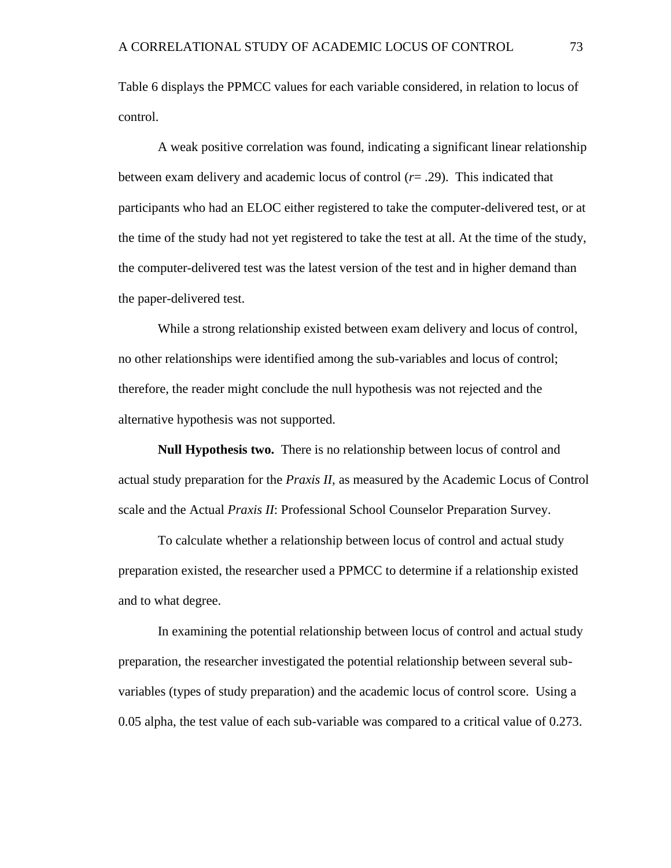Table 6 displays the PPMCC values for each variable considered, in relation to locus of control.

A weak positive correlation was found, indicating a significant linear relationship between exam delivery and academic locus of control (*r*= .29). This indicated that participants who had an ELOC either registered to take the computer-delivered test, or at the time of the study had not yet registered to take the test at all. At the time of the study, the computer-delivered test was the latest version of the test and in higher demand than the paper-delivered test.

While a strong relationship existed between exam delivery and locus of control, no other relationships were identified among the sub-variables and locus of control; therefore, the reader might conclude the null hypothesis was not rejected and the alternative hypothesis was not supported.

**Null Hypothesis two.** There is no relationship between locus of control and actual study preparation for the *Praxis II,* as measured by the Academic Locus of Control scale and the Actual *Praxis II*: Professional School Counselor Preparation Survey.

To calculate whether a relationship between locus of control and actual study preparation existed, the researcher used a PPMCC to determine if a relationship existed and to what degree.

In examining the potential relationship between locus of control and actual study preparation, the researcher investigated the potential relationship between several subvariables (types of study preparation) and the academic locus of control score. Using a 0.05 alpha, the test value of each sub-variable was compared to a critical value of 0.273.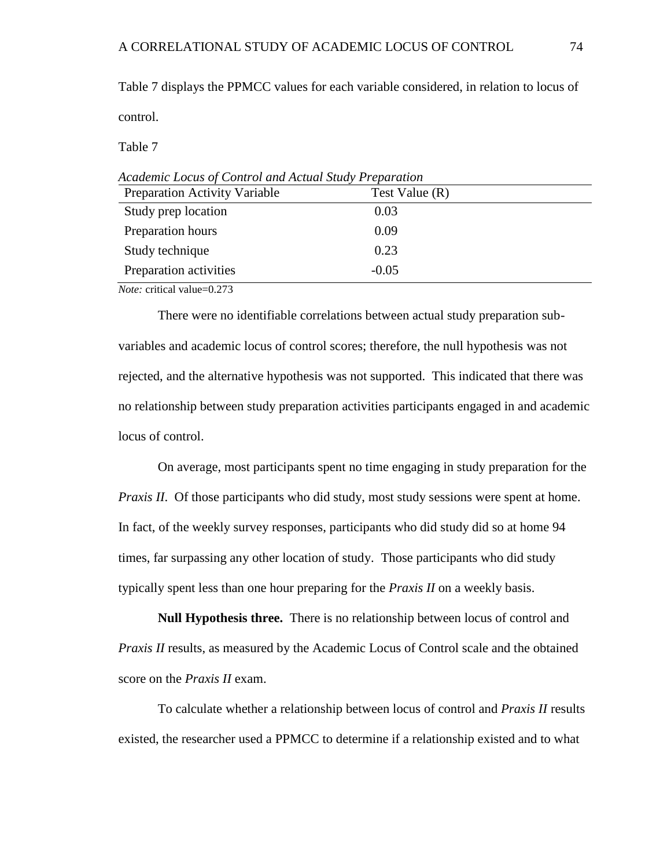Table 7 displays the PPMCC values for each variable considered, in relation to locus of control.

Table 7

| Preparation Activity Variable | Test Value $(R)$ |  |
|-------------------------------|------------------|--|
| Study prep location           | 0.03             |  |
| Preparation hours             | 0.09             |  |
| Study technique               | 0.23             |  |
| Preparation activities        | $-0.05$          |  |

*Academic Locus of Control and Actual Study Preparation*

*Note:* critical value=0.273

There were no identifiable correlations between actual study preparation subvariables and academic locus of control scores; therefore, the null hypothesis was not rejected, and the alternative hypothesis was not supported. This indicated that there was no relationship between study preparation activities participants engaged in and academic locus of control.

On average, most participants spent no time engaging in study preparation for the *Praxis II.* Of those participants who did study, most study sessions were spent at home. In fact, of the weekly survey responses, participants who did study did so at home 94 times, far surpassing any other location of study. Those participants who did study typically spent less than one hour preparing for the *Praxis II* on a weekly basis.

**Null Hypothesis three.** There is no relationship between locus of control and *Praxis II* results, as measured by the Academic Locus of Control scale and the obtained score on the *Praxis II* exam.

To calculate whether a relationship between locus of control and *Praxis II* results existed, the researcher used a PPMCC to determine if a relationship existed and to what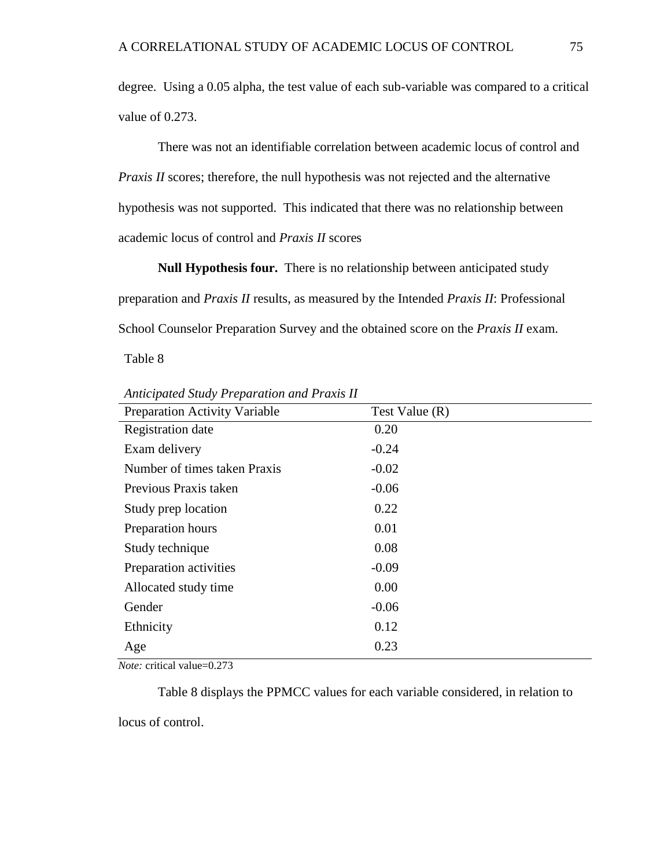degree. Using a 0.05 alpha, the test value of each sub-variable was compared to a critical value of 0.273.

There was not an identifiable correlation between academic locus of control and *Praxis II* scores; therefore, the null hypothesis was not rejected and the alternative hypothesis was not supported.This indicated that there was no relationship between academic locus of control and *Praxis II* scores

**Null Hypothesis four.** There is no relationship between anticipated study preparation and *Praxis II* results, as measured by the Intended *Praxis II*: Professional School Counselor Preparation Survey and the obtained score on the *Praxis II* exam.

Table 8

| Preparation Activity Variable | Test Value (R) |  |
|-------------------------------|----------------|--|
| Registration date             | 0.20           |  |
| Exam delivery                 | $-0.24$        |  |
| Number of times taken Praxis  | $-0.02$        |  |
| Previous Praxis taken         | $-0.06$        |  |
| Study prep location           | 0.22           |  |
| Preparation hours             | 0.01           |  |
| Study technique               | 0.08           |  |
| Preparation activities        | $-0.09$        |  |
| Allocated study time          | 0.00           |  |
| Gender                        | $-0.06$        |  |
| Ethnicity                     | 0.12           |  |
| Age                           | 0.23           |  |

*Anticipated Study Preparation and Praxis II*

*Note:* critical value=0.273

Table 8 displays the PPMCC values for each variable considered, in relation to

locus of control.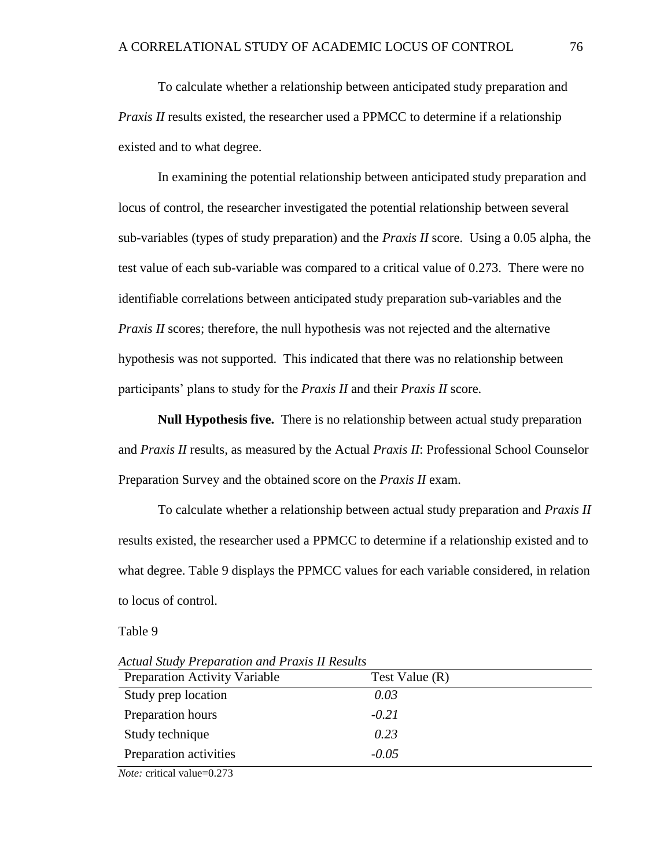To calculate whether a relationship between anticipated study preparation and *Praxis II* results existed, the researcher used a PPMCC to determine if a relationship existed and to what degree.

In examining the potential relationship between anticipated study preparation and locus of control, the researcher investigated the potential relationship between several sub-variables (types of study preparation) and the *Praxis II* score. Using a 0.05 alpha, the test value of each sub-variable was compared to a critical value of 0.273. There were no identifiable correlations between anticipated study preparation sub-variables and the *Praxis II* scores; therefore, the null hypothesis was not rejected and the alternative hypothesis was not supported. This indicated that there was no relationship between participants' plans to study for the *Praxis II* and their *Praxis II* score.

**Null Hypothesis five.** There is no relationship between actual study preparation and *Praxis II* results*,* as measured by the Actual *Praxis II*: Professional School Counselor Preparation Survey and the obtained score on the *Praxis II* exam.

To calculate whether a relationship between actual study preparation and *Praxis II* results existed, the researcher used a PPMCC to determine if a relationship existed and to what degree. Table 9 displays the PPMCC values for each variable considered, in relation to locus of control.

#### Table 9

*Actual Study Preparation and Praxis II Results*

| <b>Preparation Activity Variable</b>                                                    | Test Value (R) |  |
|-----------------------------------------------------------------------------------------|----------------|--|
| Study prep location                                                                     | 0.03           |  |
| Preparation hours                                                                       | $-0.21$        |  |
| Study technique                                                                         | 0.23           |  |
| Preparation activities                                                                  | $-0.05$        |  |
| $\mathbf{r}$ and $\mathbf{r}$ and $\mathbf{r}$ and $\mathbf{r}$<br>$\sim$ $\sim$ $\sim$ |                |  |

*Note:* critical value=0.273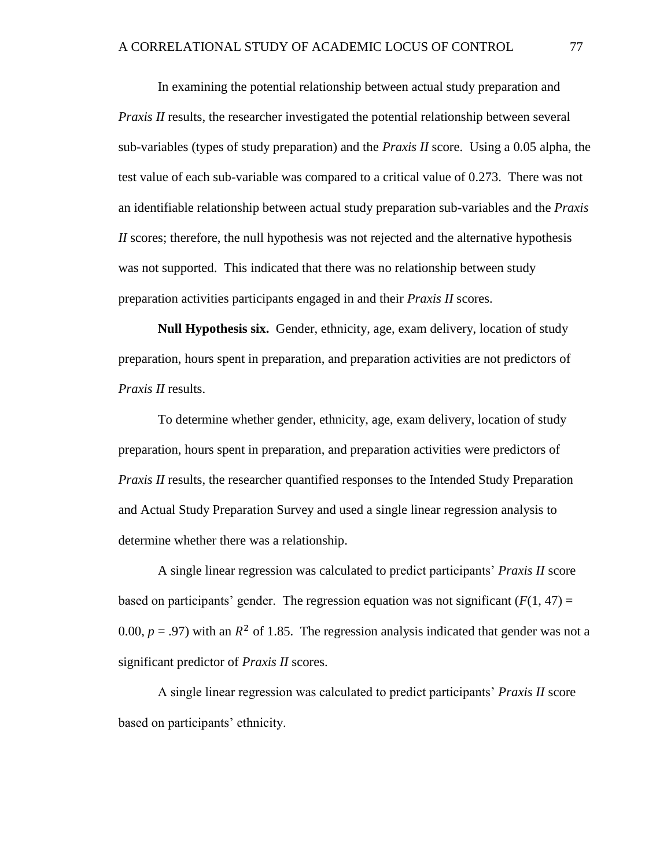In examining the potential relationship between actual study preparation and *Praxis II* results, the researcher investigated the potential relationship between several sub-variables (types of study preparation) and the *Praxis II* score. Using a 0.05 alpha, the test value of each sub-variable was compared to a critical value of 0.273. There was not an identifiable relationship between actual study preparation sub-variables and the *Praxis II* scores; therefore, the null hypothesis was not rejected and the alternative hypothesis was not supported. This indicated that there was no relationship between study preparation activities participants engaged in and their *Praxis II* scores.

**Null Hypothesis six.** Gender, ethnicity, age, exam delivery, location of study preparation, hours spent in preparation, and preparation activities are not predictors of *Praxis II* results.

To determine whether gender, ethnicity, age, exam delivery, location of study preparation, hours spent in preparation, and preparation activities were predictors of *Praxis II* results, the researcher quantified responses to the Intended Study Preparation and Actual Study Preparation Survey and used a single linear regression analysis to determine whether there was a relationship.

A single linear regression was calculated to predict participants' *Praxis II* score based on participants' gender. The regression equation was not significant  $(F(1, 47)) =$ 0.00,  $p = .97$ ) with an  $R^2$  of 1.85. The regression analysis indicated that gender was not a significant predictor of *Praxis II* scores.

A single linear regression was calculated to predict participants' *Praxis II* score based on participants' ethnicity.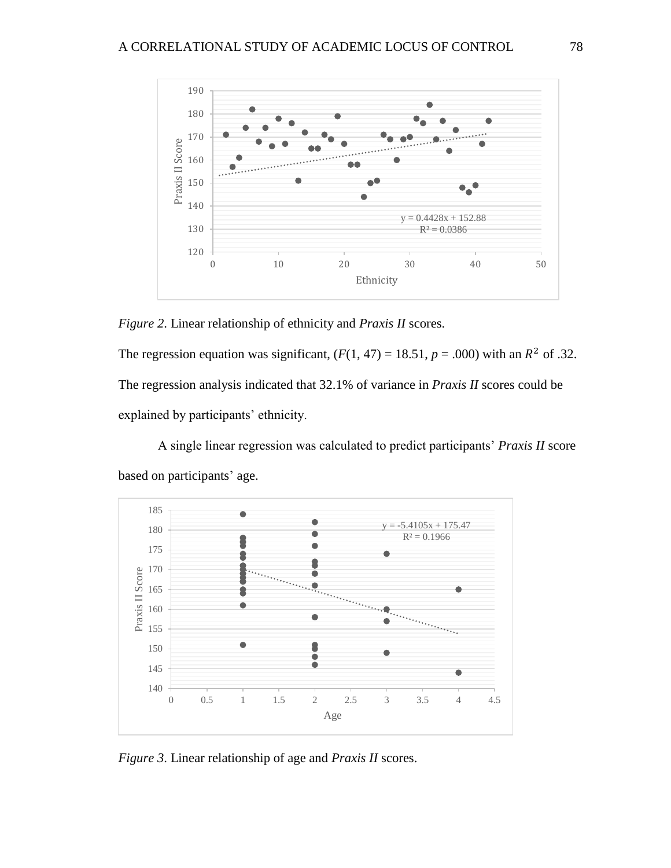

*Figure 2*. Linear relationship of ethnicity and *Praxis II* scores.

The regression equation was significant,  $(F(1, 47) = 18.51, p = .000)$  with an  $R^2$  of .32. The regression analysis indicated that 32.1% of variance in *Praxis II* scores could be explained by participants' ethnicity.

A single linear regression was calculated to predict participants' *Praxis II* score based on participants' age.



*Figure 3*. Linear relationship of age and *Praxis II* scores.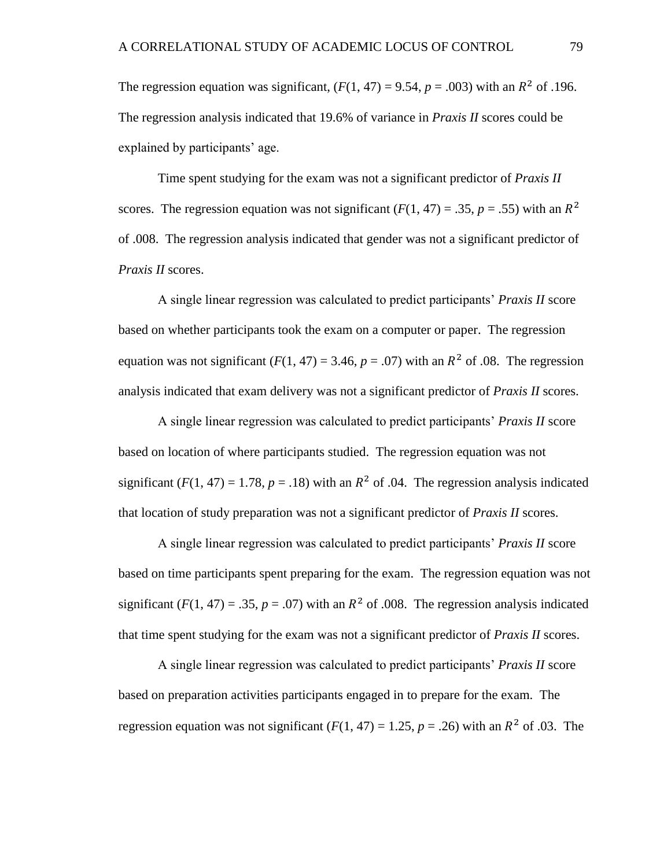The regression equation was significant,  $(F(1, 47) = 9.54, p = .003)$  with an  $R^2$  of .196. The regression analysis indicated that 19.6% of variance in *Praxis II* scores could be explained by participants' age.

Time spent studying for the exam was not a significant predictor of *Praxis II* scores. The regression equation was not significant  $(F(1, 47) = .35, p = .55)$  with an  $R^2$ of .008. The regression analysis indicated that gender was not a significant predictor of *Praxis II* scores.

A single linear regression was calculated to predict participants' *Praxis II* score based on whether participants took the exam on a computer or paper. The regression equation was not significant  $(F(1, 47) = 3.46, p = .07)$  with an  $R^2$  of .08. The regression analysis indicated that exam delivery was not a significant predictor of *Praxis II* scores.

A single linear regression was calculated to predict participants' *Praxis II* score based on location of where participants studied. The regression equation was not significant  $(F(1, 47) = 1.78, p = .18)$  with an  $R^2$  of .04. The regression analysis indicated that location of study preparation was not a significant predictor of *Praxis II* scores.

A single linear regression was calculated to predict participants' *Praxis II* score based on time participants spent preparing for the exam. The regression equation was not significant ( $F(1, 47) = .35$ ,  $p = .07$ ) with an  $R^2$  of .008. The regression analysis indicated that time spent studying for the exam was not a significant predictor of *Praxis II* scores.

A single linear regression was calculated to predict participants' *Praxis II* score based on preparation activities participants engaged in to prepare for the exam. The regression equation was not significant  $(F(1, 47) = 1.25, p = .26)$  with an  $R^2$  of .03. The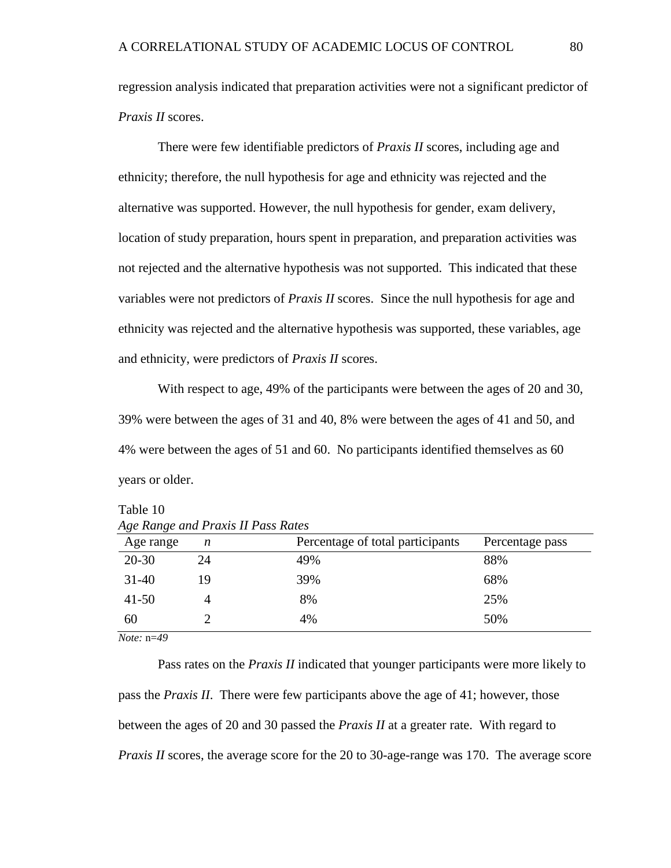regression analysis indicated that preparation activities were not a significant predictor of *Praxis II* scores.

There were few identifiable predictors of *Praxis II* scores, including age and ethnicity; therefore, the null hypothesis for age and ethnicity was rejected and the alternative was supported. However, the null hypothesis for gender, exam delivery, location of study preparation, hours spent in preparation, and preparation activities was not rejected and the alternative hypothesis was not supported. This indicated that these variables were not predictors of *Praxis II* scores. Since the null hypothesis for age and ethnicity was rejected and the alternative hypothesis was supported, these variables, age and ethnicity, were predictors of *Praxis II* scores.

With respect to age, 49% of the participants were between the ages of 20 and 30, 39% were between the ages of 31 and 40, 8% were between the ages of 41 and 50, and 4% were between the ages of 51 and 60. No participants identified themselves as 60 years or older.

Table 10 *Age Range and Praxis II Pass Rates*

| Age range | n  | Percentage of total participants | Percentage pass |
|-----------|----|----------------------------------|-----------------|
| $20 - 30$ | 24 | 49%                              | 88%             |
| $31 - 40$ | 19 | 39%                              | 68%             |
| $41 - 50$ |    | 8%                               | 25%             |
| 60        |    | 4%                               | 50%             |

*Note:* n=*49*

Pass rates on the *Praxis II* indicated that younger participants were more likely to pass the *Praxis II*. There were few participants above the age of 41; however, those between the ages of 20 and 30 passed the *Praxis II* at a greater rate. With regard to *Praxis II* scores, the average score for the 20 to 30-age-range was 170. The average score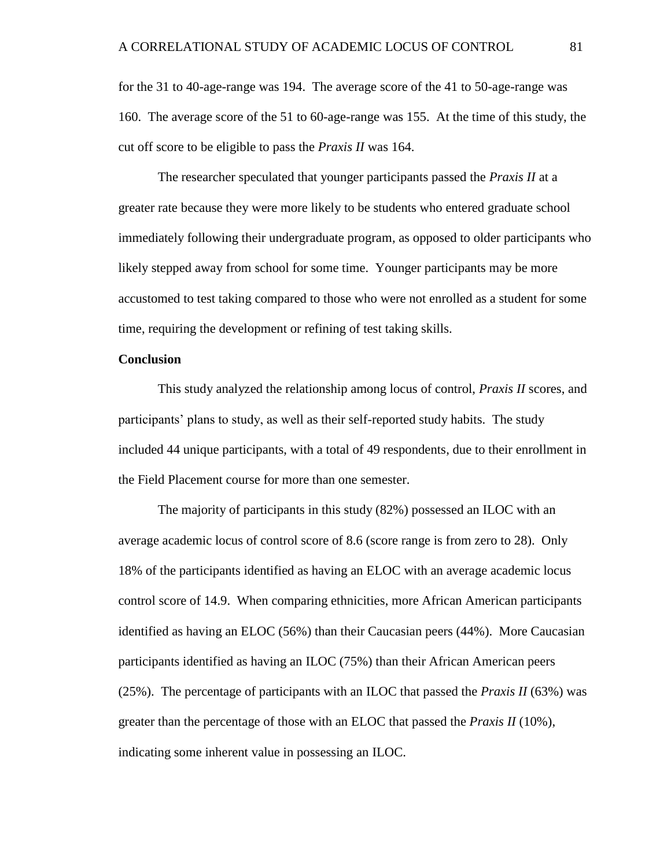for the 31 to 40-age-range was 194. The average score of the 41 to 50-age-range was 160. The average score of the 51 to 60-age-range was 155. At the time of this study, the cut off score to be eligible to pass the *Praxis II* was 164.

The researcher speculated that younger participants passed the *Praxis II* at a greater rate because they were more likely to be students who entered graduate school immediately following their undergraduate program, as opposed to older participants who likely stepped away from school for some time. Younger participants may be more accustomed to test taking compared to those who were not enrolled as a student for some time, requiring the development or refining of test taking skills.

# **Conclusion**

This study analyzed the relationship among locus of control, *Praxis II* scores, and participants' plans to study, as well as their self-reported study habits. The study included 44 unique participants, with a total of 49 respondents, due to their enrollment in the Field Placement course for more than one semester.

The majority of participants in this study (82%) possessed an ILOC with an average academic locus of control score of 8.6 (score range is from zero to 28). Only 18% of the participants identified as having an ELOC with an average academic locus control score of 14.9. When comparing ethnicities, more African American participants identified as having an ELOC (56%) than their Caucasian peers (44%). More Caucasian participants identified as having an ILOC (75%) than their African American peers (25%). The percentage of participants with an ILOC that passed the *Praxis II* (63%) was greater than the percentage of those with an ELOC that passed the *Praxis II* (10%), indicating some inherent value in possessing an ILOC.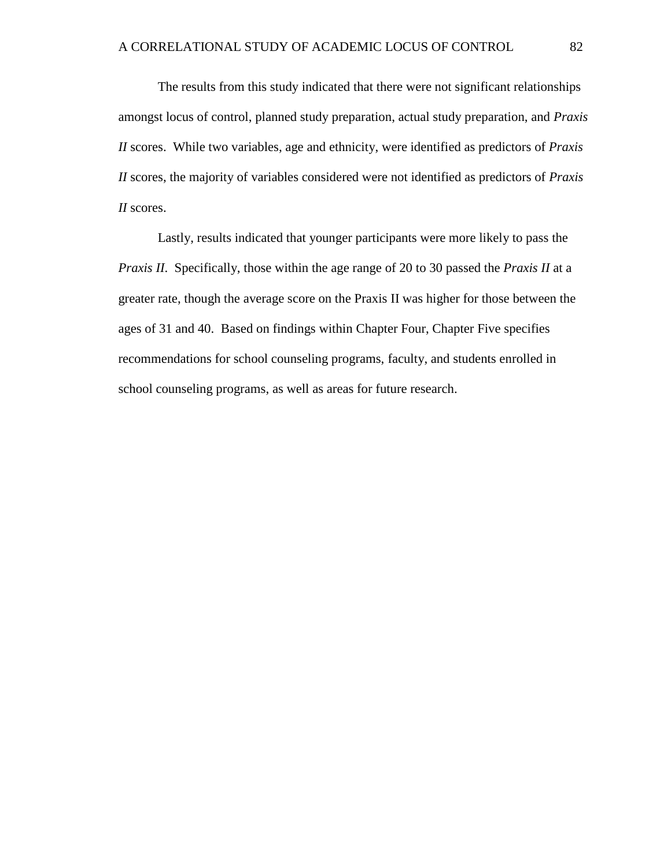The results from this study indicated that there were not significant relationships amongst locus of control, planned study preparation, actual study preparation, and *Praxis II* scores. While two variables, age and ethnicity, were identified as predictors of *Praxis II* scores, the majority of variables considered were not identified as predictors of *Praxis II* scores.

Lastly, results indicated that younger participants were more likely to pass the *Praxis II*. Specifically, those within the age range of 20 to 30 passed the *Praxis II* at a greater rate, though the average score on the Praxis II was higher for those between the ages of 31 and 40. Based on findings within Chapter Four, Chapter Five specifies recommendations for school counseling programs, faculty, and students enrolled in school counseling programs, as well as areas for future research.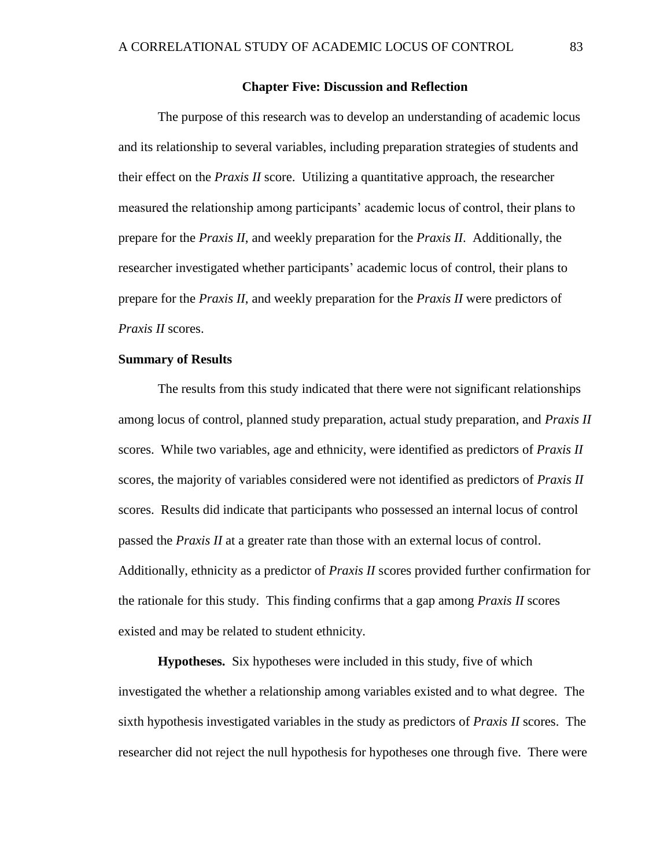## **Chapter Five: Discussion and Reflection**

The purpose of this research was to develop an understanding of academic locus and its relationship to several variables, including preparation strategies of students and their effect on the *Praxis II* score. Utilizing a quantitative approach, the researcher measured the relationship among participants' academic locus of control, their plans to prepare for the *Praxis II*, and weekly preparation for the *Praxis II*. Additionally, the researcher investigated whether participants' academic locus of control, their plans to prepare for the *Praxis II*, and weekly preparation for the *Praxis II* were predictors of *Praxis II* scores.

#### **Summary of Results**

The results from this study indicated that there were not significant relationships among locus of control, planned study preparation, actual study preparation, and *Praxis II* scores. While two variables, age and ethnicity, were identified as predictors of *Praxis II* scores, the majority of variables considered were not identified as predictors of *Praxis II* scores. Results did indicate that participants who possessed an internal locus of control passed the *Praxis II* at a greater rate than those with an external locus of control. Additionally, ethnicity as a predictor of *Praxis II* scores provided further confirmation for the rationale for this study. This finding confirms that a gap among *Praxis II* scores existed and may be related to student ethnicity.

**Hypotheses.** Six hypotheses were included in this study, five of which investigated the whether a relationship among variables existed and to what degree. The sixth hypothesis investigated variables in the study as predictors of *Praxis II* scores. The researcher did not reject the null hypothesis for hypotheses one through five. There were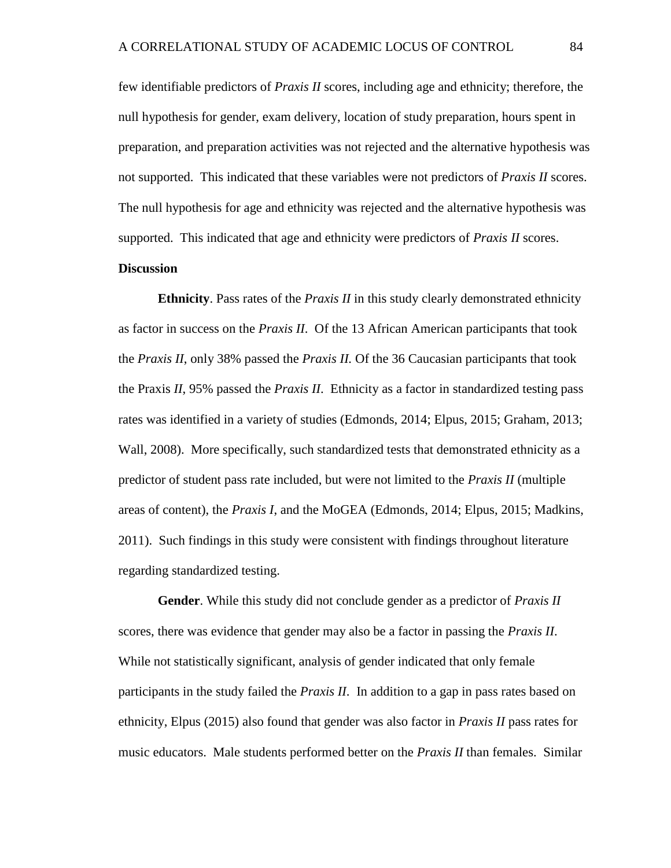few identifiable predictors of *Praxis II* scores, including age and ethnicity; therefore, the null hypothesis for gender, exam delivery, location of study preparation, hours spent in preparation, and preparation activities was not rejected and the alternative hypothesis was not supported. This indicated that these variables were not predictors of *Praxis II* scores. The null hypothesis for age and ethnicity was rejected and the alternative hypothesis was supported. This indicated that age and ethnicity were predictors of *Praxis II* scores.

# **Discussion**

**Ethnicity**. Pass rates of the *Praxis II* in this study clearly demonstrated ethnicity as factor in success on the *Praxis II*. Of the 13 African American participants that took the *Praxis II*, only 38% passed the *Praxis II.* Of the 36 Caucasian participants that took the Praxis *II*, 95% passed the *Praxis II*. Ethnicity as a factor in standardized testing pass rates was identified in a variety of studies (Edmonds, 2014; Elpus, 2015; Graham, 2013; Wall, 2008). More specifically, such standardized tests that demonstrated ethnicity as a predictor of student pass rate included, but were not limited to the *Praxis II* (multiple areas of content), the *Praxis I*, and the MoGEA (Edmonds, 2014; Elpus, 2015; Madkins, 2011). Such findings in this study were consistent with findings throughout literature regarding standardized testing.

**Gender**. While this study did not conclude gender as a predictor of *Praxis II* scores, there was evidence that gender may also be a factor in passing the *Praxis II*. While not statistically significant, analysis of gender indicated that only female participants in the study failed the *Praxis II*. In addition to a gap in pass rates based on ethnicity, Elpus (2015) also found that gender was also factor in *Praxis II* pass rates for music educators. Male students performed better on the *Praxis II* than females. Similar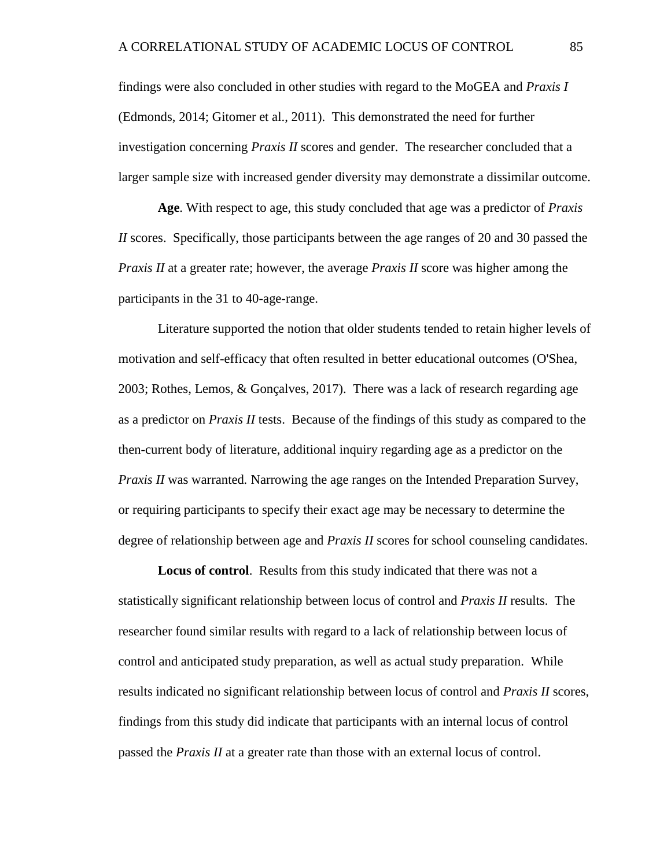findings were also concluded in other studies with regard to the MoGEA and *Praxis I* (Edmonds, 2014; Gitomer et al., 2011). This demonstrated the need for further investigation concerning *Praxis II* scores and gender. The researcher concluded that a larger sample size with increased gender diversity may demonstrate a dissimilar outcome.

**Age**. With respect to age, this study concluded that age was a predictor of *Praxis II* scores. Specifically, those participants between the age ranges of 20 and 30 passed the *Praxis II* at a greater rate; however, the average *Praxis II* score was higher among the participants in the 31 to 40-age-range.

Literature supported the notion that older students tended to retain higher levels of motivation and self-efficacy that often resulted in better educational outcomes (O'Shea, 2003; Rothes, Lemos, & Gonçalves, 2017). There was a lack of research regarding age as a predictor on *Praxis II* tests. Because of the findings of this study as compared to the then-current body of literature, additional inquiry regarding age as a predictor on the *Praxis II* was warranted*.* Narrowing the age ranges on the Intended Preparation Survey, or requiring participants to specify their exact age may be necessary to determine the degree of relationship between age and *Praxis II* scores for school counseling candidates.

**Locus of control**. Results from this study indicated that there was not a statistically significant relationship between locus of control and *Praxis II* results. The researcher found similar results with regard to a lack of relationship between locus of control and anticipated study preparation, as well as actual study preparation. While results indicated no significant relationship between locus of control and *Praxis II* scores, findings from this study did indicate that participants with an internal locus of control passed the *Praxis II* at a greater rate than those with an external locus of control.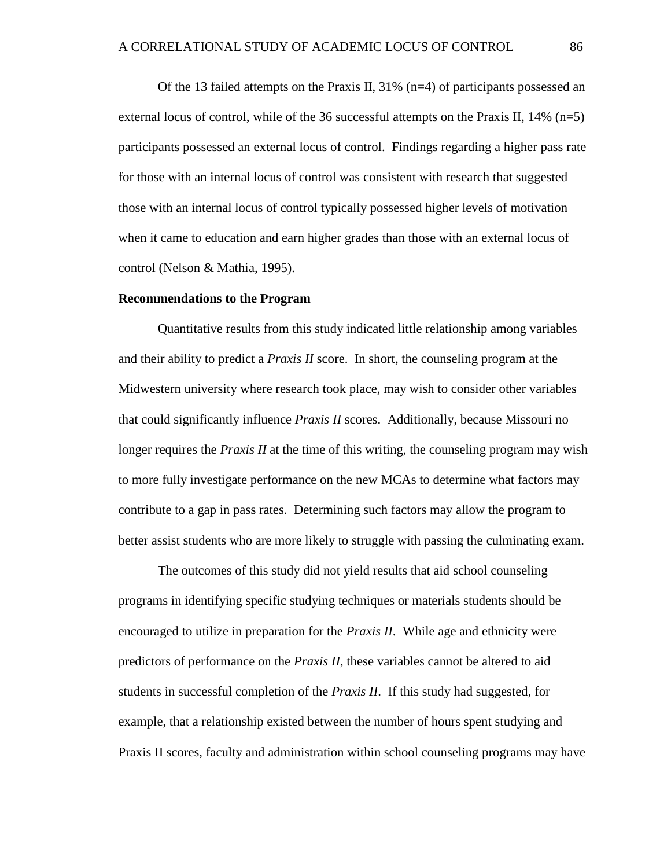Of the 13 failed attempts on the Praxis II,  $31\%$  (n=4) of participants possessed an external locus of control, while of the 36 successful attempts on the Praxis II,  $14\%$  (n=5) participants possessed an external locus of control. Findings regarding a higher pass rate for those with an internal locus of control was consistent with research that suggested those with an internal locus of control typically possessed higher levels of motivation when it came to education and earn higher grades than those with an external locus of control (Nelson & Mathia, 1995).

#### **Recommendations to the Program**

Quantitative results from this study indicated little relationship among variables and their ability to predict a *Praxis II* score. In short, the counseling program at the Midwestern university where research took place, may wish to consider other variables that could significantly influence *Praxis II* scores. Additionally, because Missouri no longer requires the *Praxis II* at the time of this writing, the counseling program may wish to more fully investigate performance on the new MCAs to determine what factors may contribute to a gap in pass rates. Determining such factors may allow the program to better assist students who are more likely to struggle with passing the culminating exam.

The outcomes of this study did not yield results that aid school counseling programs in identifying specific studying techniques or materials students should be encouraged to utilize in preparation for the *Praxis II*. While age and ethnicity were predictors of performance on the *Praxis II*, these variables cannot be altered to aid students in successful completion of the *Praxis II*. If this study had suggested, for example, that a relationship existed between the number of hours spent studying and Praxis II scores, faculty and administration within school counseling programs may have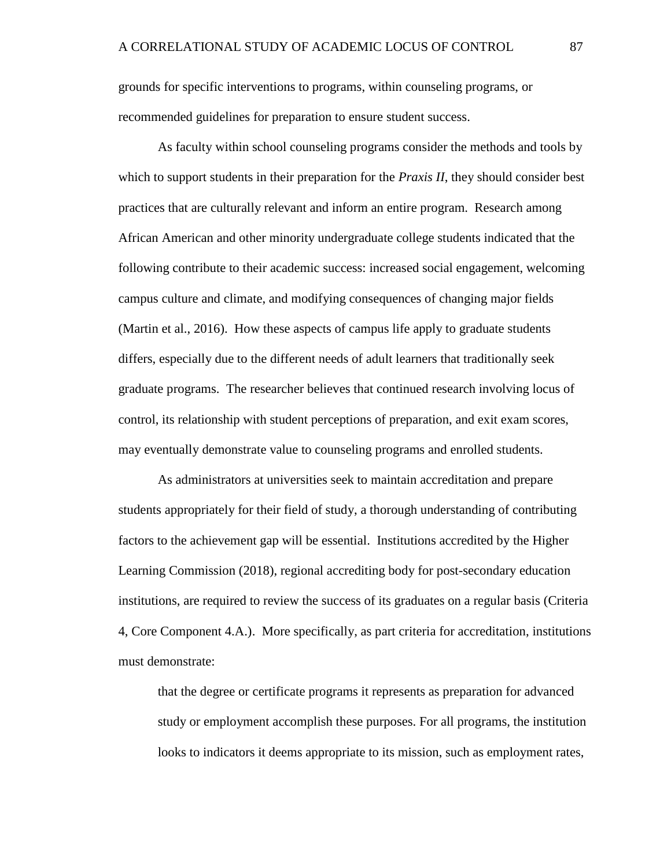grounds for specific interventions to programs, within counseling programs, or recommended guidelines for preparation to ensure student success.

As faculty within school counseling programs consider the methods and tools by which to support students in their preparation for the *Praxis II*, they should consider best practices that are culturally relevant and inform an entire program. Research among African American and other minority undergraduate college students indicated that the following contribute to their academic success: increased social engagement, welcoming campus culture and climate, and modifying consequences of changing major fields (Martin et al., 2016). How these aspects of campus life apply to graduate students differs, especially due to the different needs of adult learners that traditionally seek graduate programs. The researcher believes that continued research involving locus of control, its relationship with student perceptions of preparation, and exit exam scores, may eventually demonstrate value to counseling programs and enrolled students.

As administrators at universities seek to maintain accreditation and prepare students appropriately for their field of study, a thorough understanding of contributing factors to the achievement gap will be essential. Institutions accredited by the Higher Learning Commission (2018), regional accrediting body for post-secondary education institutions, are required to review the success of its graduates on a regular basis (Criteria 4, Core Component 4.A.). More specifically, as part criteria for accreditation, institutions must demonstrate:

that the degree or certificate programs it represents as preparation for advanced study or employment accomplish these purposes. For all programs, the institution looks to indicators it deems appropriate to its mission, such as employment rates,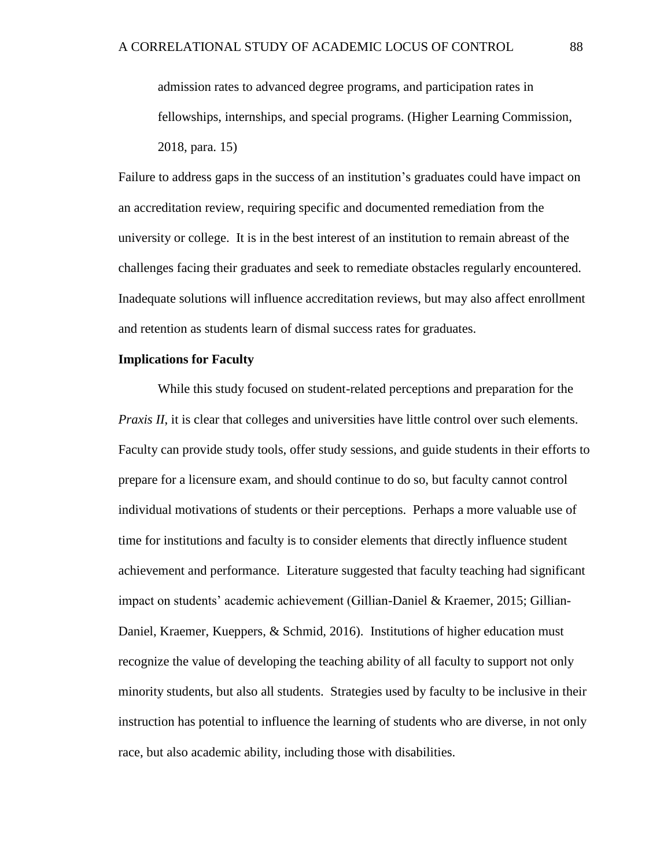admission rates to advanced degree programs, and participation rates in fellowships, internships, and special programs. (Higher Learning Commission, 2018, para. 15)

Failure to address gaps in the success of an institution's graduates could have impact on an accreditation review, requiring specific and documented remediation from the university or college. It is in the best interest of an institution to remain abreast of the challenges facing their graduates and seek to remediate obstacles regularly encountered. Inadequate solutions will influence accreditation reviews, but may also affect enrollment and retention as students learn of dismal success rates for graduates.

# **Implications for Faculty**

While this study focused on student-related perceptions and preparation for the *Praxis II*, it is clear that colleges and universities have little control over such elements. Faculty can provide study tools, offer study sessions, and guide students in their efforts to prepare for a licensure exam, and should continue to do so, but faculty cannot control individual motivations of students or their perceptions. Perhaps a more valuable use of time for institutions and faculty is to consider elements that directly influence student achievement and performance. Literature suggested that faculty teaching had significant impact on students' academic achievement (Gillian-Daniel & Kraemer, 2015; Gillian-Daniel, Kraemer, Kueppers, & Schmid, 2016). Institutions of higher education must recognize the value of developing the teaching ability of all faculty to support not only minority students, but also all students. Strategies used by faculty to be inclusive in their instruction has potential to influence the learning of students who are diverse, in not only race, but also academic ability, including those with disabilities.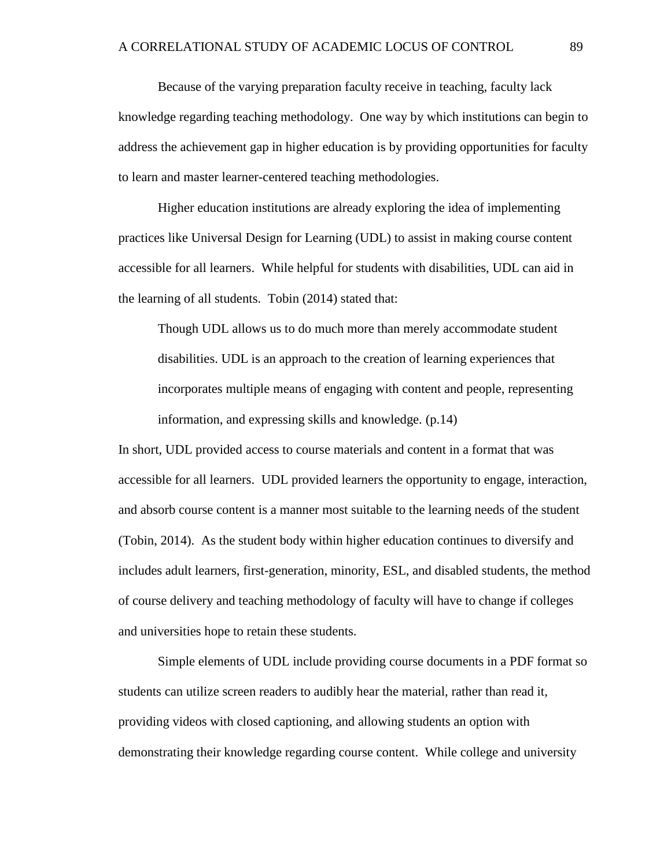Because of the varying preparation faculty receive in teaching, faculty lack knowledge regarding teaching methodology. One way by which institutions can begin to address the achievement gap in higher education is by providing opportunities for faculty to learn and master learner-centered teaching methodologies.

Higher education institutions are already exploring the idea of implementing practices like Universal Design for Learning (UDL) to assist in making course content accessible for all learners. While helpful for students with disabilities, UDL can aid in the learning of all students. Tobin (2014) stated that:

Though UDL allows us to do much more than merely accommodate student disabilities. UDL is an approach to the creation of learning experiences that incorporates multiple means of engaging with content and people, representing information, and expressing skills and knowledge. (p.14)

In short, UDL provided access to course materials and content in a format that was accessible for all learners. UDL provided learners the opportunity to engage, interaction, and absorb course content is a manner most suitable to the learning needs of the student (Tobin, 2014). As the student body within higher education continues to diversify and includes adult learners, first-generation, minority, ESL, and disabled students, the method of course delivery and teaching methodology of faculty will have to change if colleges and universities hope to retain these students.

Simple elements of UDL include providing course documents in a PDF format so students can utilize screen readers to audibly hear the material, rather than read it, providing videos with closed captioning, and allowing students an option with demonstrating their knowledge regarding course content. While college and university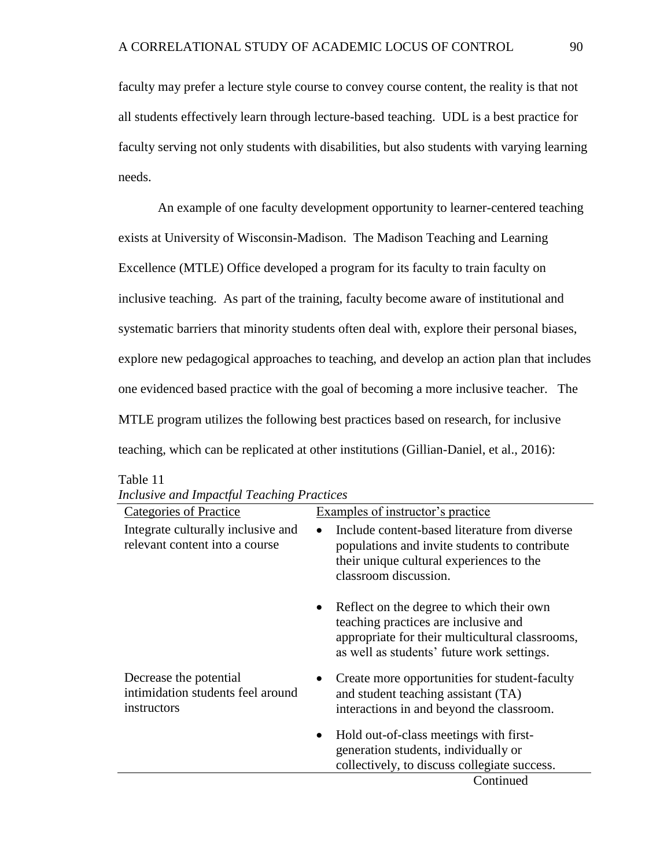faculty may prefer a lecture style course to convey course content, the reality is that not all students effectively learn through lecture-based teaching. UDL is a best practice for faculty serving not only students with disabilities, but also students with varying learning needs.

An example of one faculty development opportunity to learner-centered teaching exists at University of Wisconsin-Madison. The Madison Teaching and Learning Excellence (MTLE) Office developed a program for its faculty to train faculty on inclusive teaching. As part of the training, faculty become aware of institutional and systematic barriers that minority students often deal with, explore their personal biases, explore new pedagogical approaches to teaching, and develop an action plan that includes one evidenced based practice with the goal of becoming a more inclusive teacher. The MTLE program utilizes the following best practices based on research, for inclusive teaching, which can be replicated at other institutions (Gillian-Daniel, et al., 2016):

| measive and impact at Teaching Trachees                                    |                                                                                                                                                                                        |
|----------------------------------------------------------------------------|----------------------------------------------------------------------------------------------------------------------------------------------------------------------------------------|
| Categories of Practice                                                     | Examples of instructor's practice                                                                                                                                                      |
| Integrate culturally inclusive and<br>relevant content into a course       | Include content-based literature from diverse<br>populations and invite students to contribute<br>their unique cultural experiences to the<br>classroom discussion.                    |
|                                                                            | Reflect on the degree to which their own<br>٠<br>teaching practices are inclusive and<br>appropriate for their multicultural classrooms,<br>as well as students' future work settings. |
| Decrease the potential<br>intimidation students feel around<br>instructors | Create more opportunities for student-faculty<br>$\bullet$<br>and student teaching assistant (TA)<br>interactions in and beyond the classroom.                                         |
|                                                                            | Hold out-of-class meetings with first-<br>٠<br>generation students, individually or<br>collectively, to discuss collegiate success.                                                    |
|                                                                            | Continued                                                                                                                                                                              |

|  | <b>Inclusive and Impactful Teaching Practices</b> |  |
|--|---------------------------------------------------|--|
|  |                                                   |  |

Table 11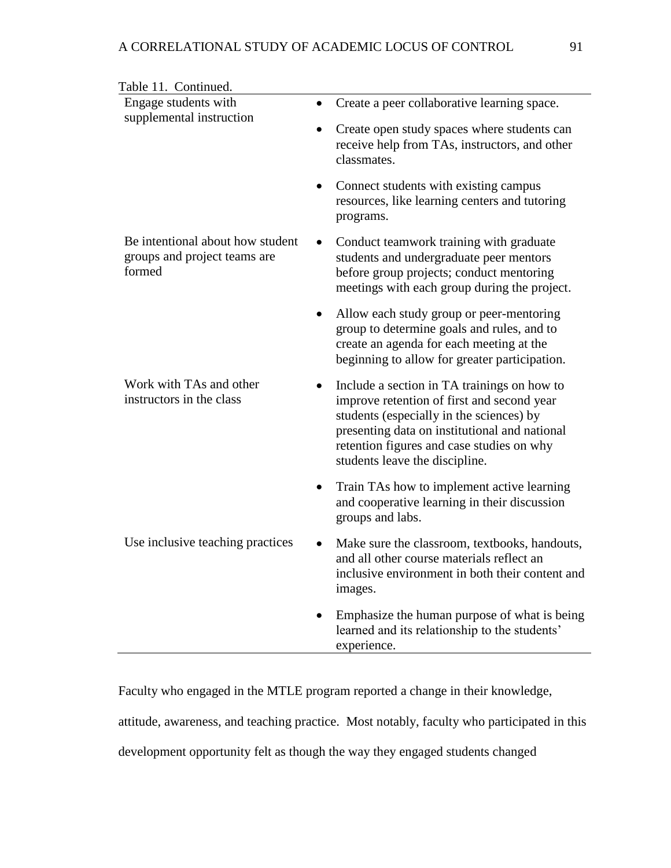| Table 11. Continued.                                                       |                                                                                                                                                                                                                                                                       |
|----------------------------------------------------------------------------|-----------------------------------------------------------------------------------------------------------------------------------------------------------------------------------------------------------------------------------------------------------------------|
| Engage students with                                                       | Create a peer collaborative learning space.<br>$\bullet$                                                                                                                                                                                                              |
| supplemental instruction                                                   | Create open study spaces where students can<br>$\bullet$<br>receive help from TAs, instructors, and other<br>classmates.                                                                                                                                              |
|                                                                            | Connect students with existing campus<br>$\bullet$<br>resources, like learning centers and tutoring<br>programs.                                                                                                                                                      |
| Be intentional about how student<br>groups and project teams are<br>formed | Conduct teamwork training with graduate<br>students and undergraduate peer mentors<br>before group projects; conduct mentoring<br>meetings with each group during the project.                                                                                        |
|                                                                            | Allow each study group or peer-mentoring<br>$\bullet$<br>group to determine goals and rules, and to<br>create an agenda for each meeting at the<br>beginning to allow for greater participation.                                                                      |
| Work with TAs and other<br>instructors in the class                        | Include a section in TA trainings on how to<br>improve retention of first and second year<br>students (especially in the sciences) by<br>presenting data on institutional and national<br>retention figures and case studies on why<br>students leave the discipline. |
|                                                                            | Train TAs how to implement active learning<br>and cooperative learning in their discussion<br>groups and labs.                                                                                                                                                        |
| Use inclusive teaching practices                                           | Make sure the classroom, textbooks, handouts,<br>$\bullet$<br>and all other course materials reflect an<br>inclusive environment in both their content and<br>images.                                                                                                 |
|                                                                            | Emphasize the human purpose of what is being<br>learned and its relationship to the students'<br>experience.                                                                                                                                                          |

Faculty who engaged in the MTLE program reported a change in their knowledge, attitude, awareness, and teaching practice. Most notably, faculty who participated in this development opportunity felt as though the way they engaged students changed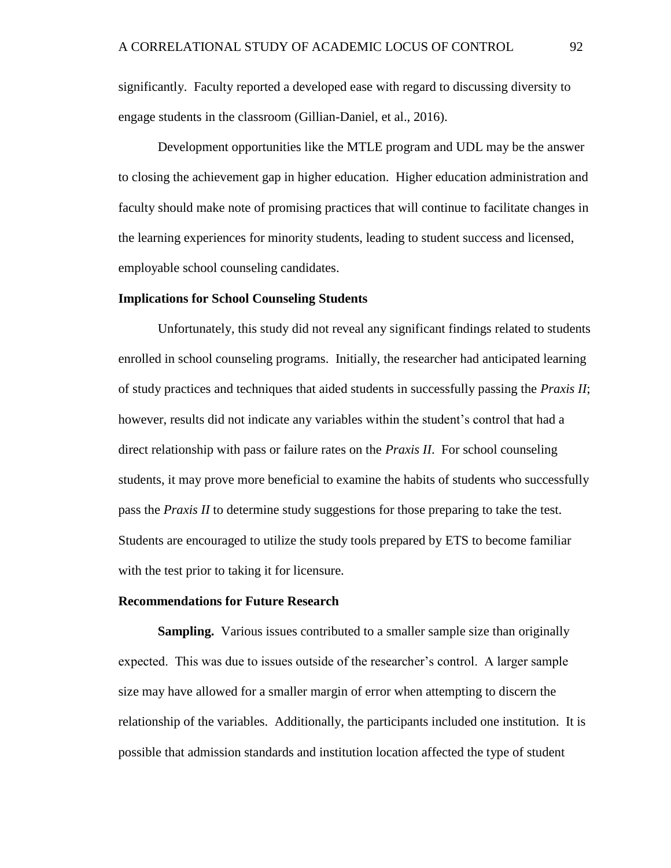significantly. Faculty reported a developed ease with regard to discussing diversity to engage students in the classroom (Gillian-Daniel, et al., 2016).

Development opportunities like the MTLE program and UDL may be the answer to closing the achievement gap in higher education. Higher education administration and faculty should make note of promising practices that will continue to facilitate changes in the learning experiences for minority students, leading to student success and licensed, employable school counseling candidates.

## **Implications for School Counseling Students**

Unfortunately, this study did not reveal any significant findings related to students enrolled in school counseling programs. Initially, the researcher had anticipated learning of study practices and techniques that aided students in successfully passing the *Praxis II*; however, results did not indicate any variables within the student's control that had a direct relationship with pass or failure rates on the *Praxis II*. For school counseling students, it may prove more beneficial to examine the habits of students who successfully pass the *Praxis II* to determine study suggestions for those preparing to take the test. Students are encouraged to utilize the study tools prepared by ETS to become familiar with the test prior to taking it for licensure.

#### **Recommendations for Future Research**

**Sampling.** Various issues contributed to a smaller sample size than originally expected. This was due to issues outside of the researcher's control. A larger sample size may have allowed for a smaller margin of error when attempting to discern the relationship of the variables. Additionally, the participants included one institution. It is possible that admission standards and institution location affected the type of student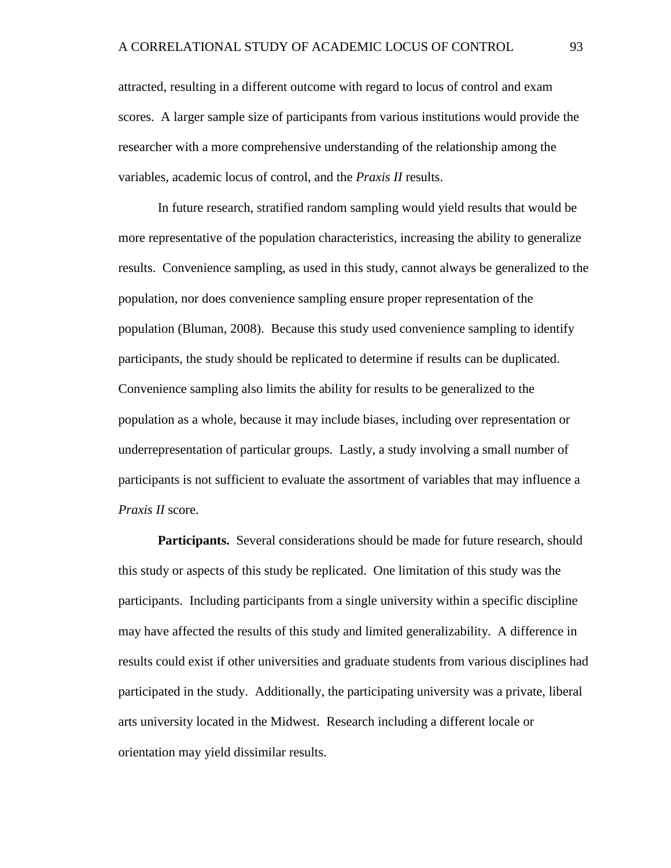attracted, resulting in a different outcome with regard to locus of control and exam scores. A larger sample size of participants from various institutions would provide the researcher with a more comprehensive understanding of the relationship among the variables, academic locus of control, and the *Praxis II* results.

In future research, stratified random sampling would yield results that would be more representative of the population characteristics, increasing the ability to generalize results. Convenience sampling, as used in this study, cannot always be generalized to the population, nor does convenience sampling ensure proper representation of the population (Bluman, 2008). Because this study used convenience sampling to identify participants, the study should be replicated to determine if results can be duplicated. Convenience sampling also limits the ability for results to be generalized to the population as a whole, because it may include biases, including over representation or underrepresentation of particular groups. Lastly, a study involving a small number of participants is not sufficient to evaluate the assortment of variables that may influence a *Praxis II* score.

**Participants.** Several considerations should be made for future research, should this study or aspects of this study be replicated. One limitation of this study was the participants. Including participants from a single university within a specific discipline may have affected the results of this study and limited generalizability. A difference in results could exist if other universities and graduate students from various disciplines had participated in the study. Additionally, the participating university was a private, liberal arts university located in the Midwest. Research including a different locale or orientation may yield dissimilar results.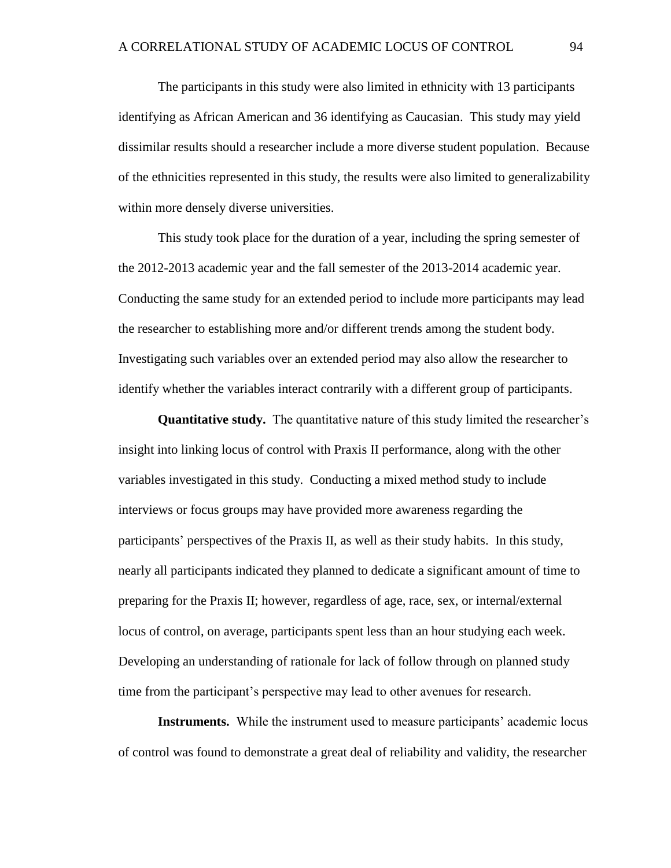The participants in this study were also limited in ethnicity with 13 participants identifying as African American and 36 identifying as Caucasian. This study may yield dissimilar results should a researcher include a more diverse student population. Because of the ethnicities represented in this study, the results were also limited to generalizability within more densely diverse universities.

This study took place for the duration of a year, including the spring semester of the 2012-2013 academic year and the fall semester of the 2013-2014 academic year. Conducting the same study for an extended period to include more participants may lead the researcher to establishing more and/or different trends among the student body. Investigating such variables over an extended period may also allow the researcher to identify whether the variables interact contrarily with a different group of participants.

**Quantitative study.** The quantitative nature of this study limited the researcher's insight into linking locus of control with Praxis II performance, along with the other variables investigated in this study. Conducting a mixed method study to include interviews or focus groups may have provided more awareness regarding the participants' perspectives of the Praxis II, as well as their study habits. In this study, nearly all participants indicated they planned to dedicate a significant amount of time to preparing for the Praxis II; however, regardless of age, race, sex, or internal/external locus of control, on average, participants spent less than an hour studying each week. Developing an understanding of rationale for lack of follow through on planned study time from the participant's perspective may lead to other avenues for research.

**Instruments.** While the instrument used to measure participants' academic locus of control was found to demonstrate a great deal of reliability and validity, the researcher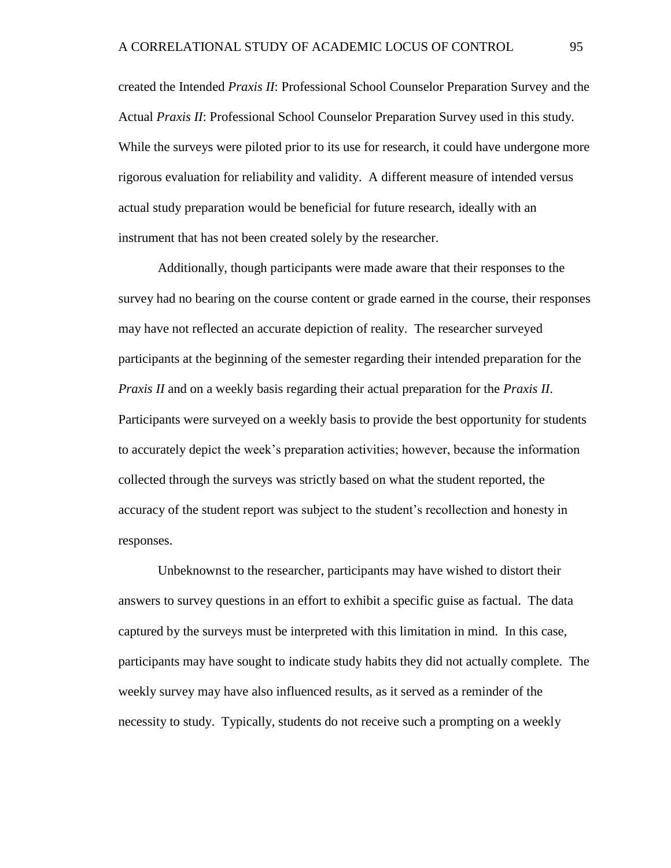created the Intended *Praxis II*: Professional School Counselor Preparation Survey and the Actual *Praxis II*: Professional School Counselor Preparation Survey used in this study. While the surveys were piloted prior to its use for research, it could have undergone more rigorous evaluation for reliability and validity. A different measure of intended versus actual study preparation would be beneficial for future research, ideally with an instrument that has not been created solely by the researcher.

Additionally, though participants were made aware that their responses to the survey had no bearing on the course content or grade earned in the course, their responses may have not reflected an accurate depiction of reality. The researcher surveyed participants at the beginning of the semester regarding their intended preparation for the *Praxis II* and on a weekly basis regarding their actual preparation for the *Praxis II*. Participants were surveyed on a weekly basis to provide the best opportunity for students to accurately depict the week's preparation activities; however, because the information collected through the surveys was strictly based on what the student reported, the accuracy of the student report was subject to the student's recollection and honesty in responses.

Unbeknownst to the researcher, participants may have wished to distort their answers to survey questions in an effort to exhibit a specific guise as factual. The data captured by the surveys must be interpreted with this limitation in mind. In this case, participants may have sought to indicate study habits they did not actually complete. The weekly survey may have also influenced results, as it served as a reminder of the necessity to study. Typically, students do not receive such a prompting on a weekly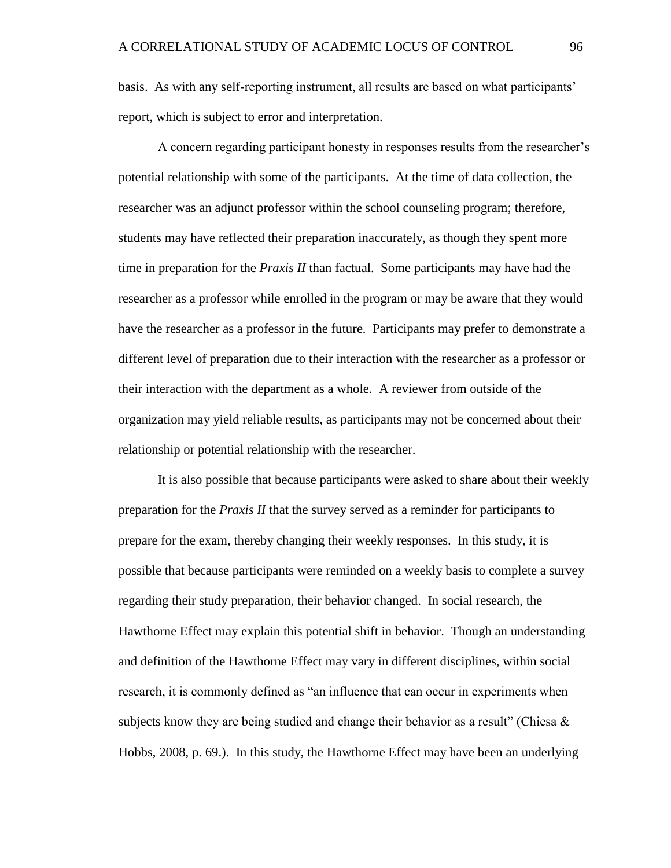basis. As with any self-reporting instrument, all results are based on what participants' report, which is subject to error and interpretation.

A concern regarding participant honesty in responses results from the researcher's potential relationship with some of the participants. At the time of data collection, the researcher was an adjunct professor within the school counseling program; therefore, students may have reflected their preparation inaccurately, as though they spent more time in preparation for the *Praxis II* than factual. Some participants may have had the researcher as a professor while enrolled in the program or may be aware that they would have the researcher as a professor in the future. Participants may prefer to demonstrate a different level of preparation due to their interaction with the researcher as a professor or their interaction with the department as a whole. A reviewer from outside of the organization may yield reliable results, as participants may not be concerned about their relationship or potential relationship with the researcher.

It is also possible that because participants were asked to share about their weekly preparation for the *Praxis II* that the survey served as a reminder for participants to prepare for the exam, thereby changing their weekly responses. In this study, it is possible that because participants were reminded on a weekly basis to complete a survey regarding their study preparation, their behavior changed. In social research, the Hawthorne Effect may explain this potential shift in behavior. Though an understanding and definition of the Hawthorne Effect may vary in different disciplines, within social research, it is commonly defined as "an influence that can occur in experiments when subjects know they are being studied and change their behavior as a result" (Chiesa  $\&$ Hobbs, 2008, p. 69.). In this study, the Hawthorne Effect may have been an underlying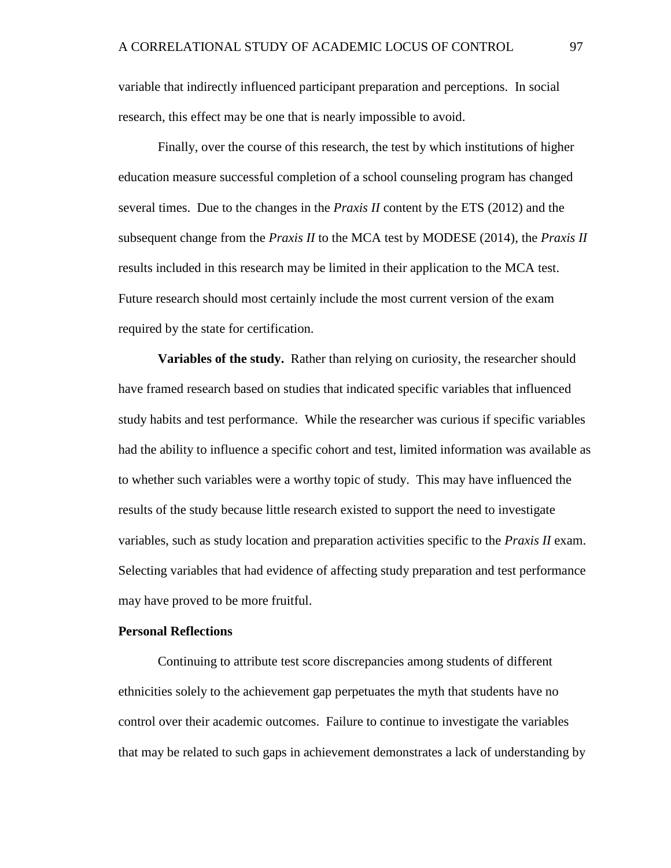variable that indirectly influenced participant preparation and perceptions. In social research, this effect may be one that is nearly impossible to avoid.

Finally, over the course of this research, the test by which institutions of higher education measure successful completion of a school counseling program has changed several times. Due to the changes in the *Praxis II* content by the ETS (2012) and the subsequent change from the *Praxis II* to the MCA test by MODESE (2014), the *Praxis II* results included in this research may be limited in their application to the MCA test. Future research should most certainly include the most current version of the exam required by the state for certification.

**Variables of the study.** Rather than relying on curiosity, the researcher should have framed research based on studies that indicated specific variables that influenced study habits and test performance. While the researcher was curious if specific variables had the ability to influence a specific cohort and test, limited information was available as to whether such variables were a worthy topic of study. This may have influenced the results of the study because little research existed to support the need to investigate variables, such as study location and preparation activities specific to the *Praxis II* exam. Selecting variables that had evidence of affecting study preparation and test performance may have proved to be more fruitful.

#### **Personal Reflections**

Continuing to attribute test score discrepancies among students of different ethnicities solely to the achievement gap perpetuates the myth that students have no control over their academic outcomes. Failure to continue to investigate the variables that may be related to such gaps in achievement demonstrates a lack of understanding by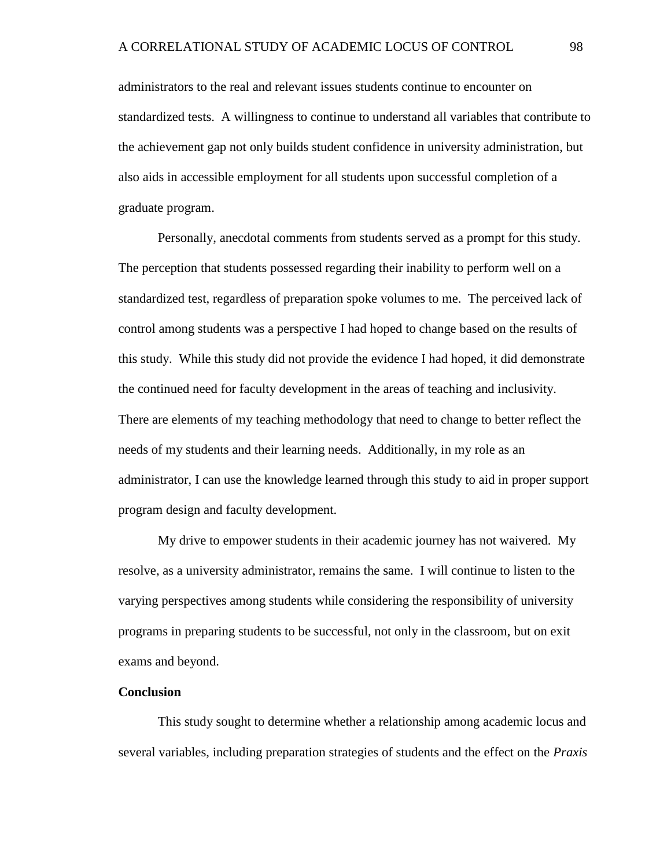administrators to the real and relevant issues students continue to encounter on standardized tests. A willingness to continue to understand all variables that contribute to the achievement gap not only builds student confidence in university administration, but also aids in accessible employment for all students upon successful completion of a graduate program.

Personally, anecdotal comments from students served as a prompt for this study. The perception that students possessed regarding their inability to perform well on a standardized test, regardless of preparation spoke volumes to me. The perceived lack of control among students was a perspective I had hoped to change based on the results of this study. While this study did not provide the evidence I had hoped, it did demonstrate the continued need for faculty development in the areas of teaching and inclusivity. There are elements of my teaching methodology that need to change to better reflect the needs of my students and their learning needs. Additionally, in my role as an administrator, I can use the knowledge learned through this study to aid in proper support program design and faculty development.

My drive to empower students in their academic journey has not waivered. My resolve, as a university administrator, remains the same. I will continue to listen to the varying perspectives among students while considering the responsibility of university programs in preparing students to be successful, not only in the classroom, but on exit exams and beyond.

#### **Conclusion**

This study sought to determine whether a relationship among academic locus and several variables, including preparation strategies of students and the effect on the *Praxis*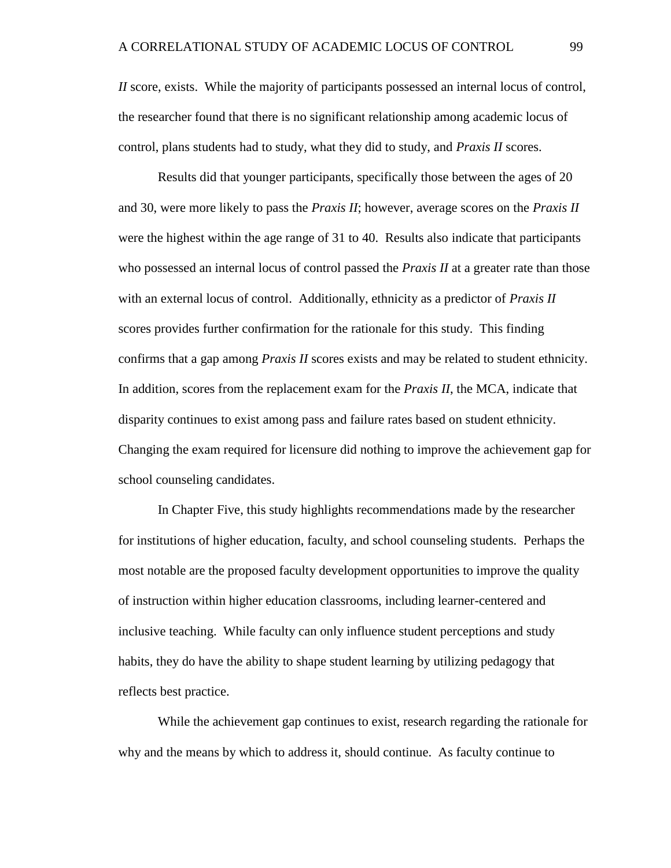*II* score, exists. While the majority of participants possessed an internal locus of control, the researcher found that there is no significant relationship among academic locus of control, plans students had to study, what they did to study, and *Praxis II* scores.

Results did that younger participants, specifically those between the ages of 20 and 30, were more likely to pass the *Praxis II*; however, average scores on the *Praxis II* were the highest within the age range of 31 to 40. Results also indicate that participants who possessed an internal locus of control passed the *Praxis II* at a greater rate than those with an external locus of control. Additionally, ethnicity as a predictor of *Praxis II* scores provides further confirmation for the rationale for this study. This finding confirms that a gap among *Praxis II* scores exists and may be related to student ethnicity. In addition, scores from the replacement exam for the *Praxis II*, the MCA, indicate that disparity continues to exist among pass and failure rates based on student ethnicity. Changing the exam required for licensure did nothing to improve the achievement gap for school counseling candidates.

In Chapter Five, this study highlights recommendations made by the researcher for institutions of higher education, faculty, and school counseling students. Perhaps the most notable are the proposed faculty development opportunities to improve the quality of instruction within higher education classrooms, including learner-centered and inclusive teaching. While faculty can only influence student perceptions and study habits, they do have the ability to shape student learning by utilizing pedagogy that reflects best practice.

While the achievement gap continues to exist, research regarding the rationale for why and the means by which to address it, should continue. As faculty continue to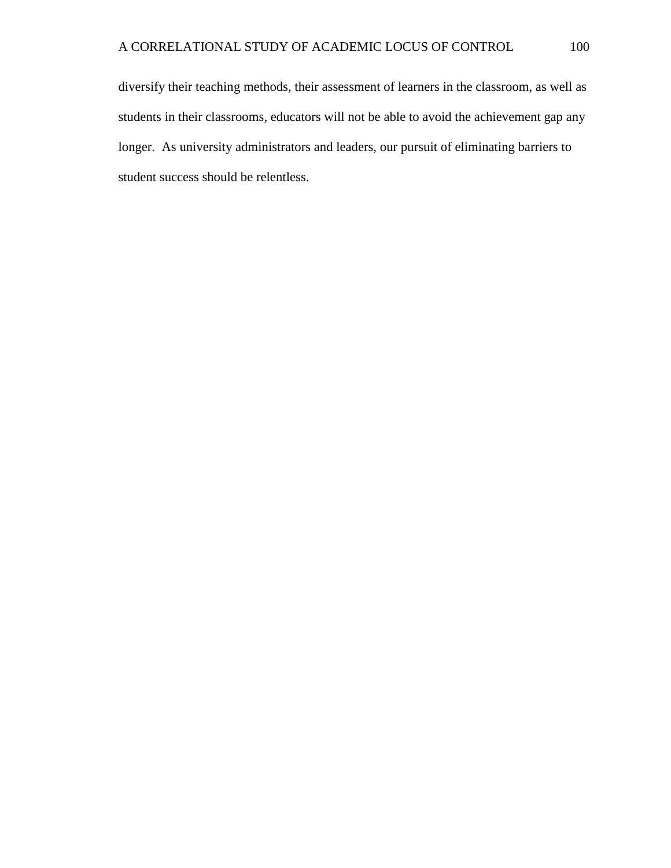diversify their teaching methods, their assessment of learners in the classroom, as well as students in their classrooms, educators will not be able to avoid the achievement gap any longer. As university administrators and leaders, our pursuit of eliminating barriers to student success should be relentless.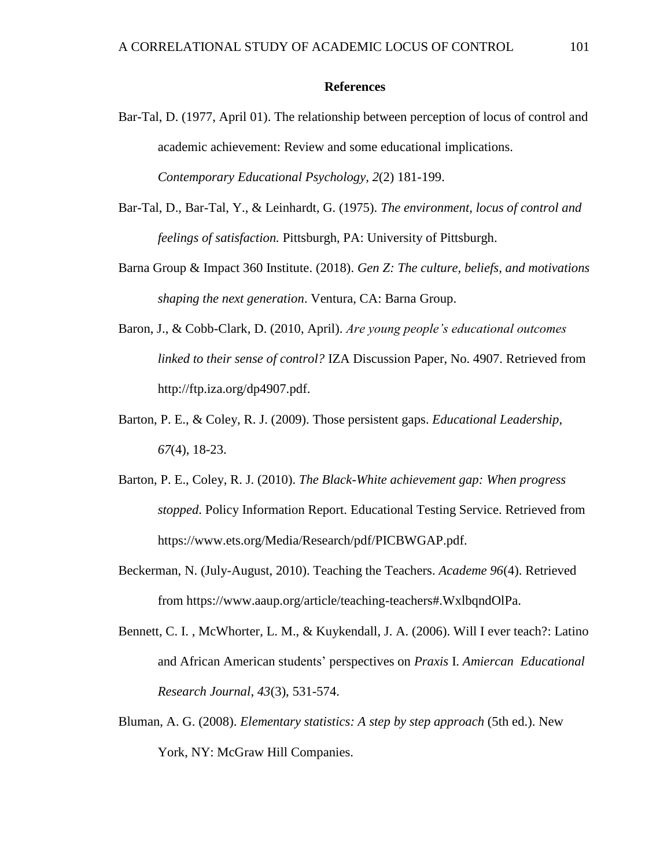#### **References**

- Bar-Tal, D. (1977, April 01). The relationship between perception of locus of control and academic achievement: Review and some educational implications. *Contemporary Educational Psychology, 2*(2) 181-199.
- Bar-Tal, D., Bar-Tal, Y., & Leinhardt, G. (1975). *The environment, locus of control and feelings of satisfaction.* Pittsburgh, PA: University of Pittsburgh.
- Barna Group & Impact 360 Institute. (2018). *Gen Z: The culture, beliefs, and motivations shaping the next generation*. Ventura, CA: Barna Group.
- Baron, J., & Cobb-Clark, D. (2010, April). *Are young people's educational outcomes linked to their sense of control?* IZA Discussion Paper, No. 4907. Retrieved from http://ftp.iza.org/dp4907.pdf.
- Barton, P. E., & Coley, R. J. (2009). Those persistent gaps. *Educational Leadership*, *67*(4), 18-23.
- Barton, P. E., Coley, R. J. (2010). *The Black-White achievement gap: When progress stopped*. Policy Information Report. Educational Testing Service. Retrieved from https://www.ets.org/Media/Research/pdf/PICBWGAP.pdf.
- Beckerman, N. (July-August, 2010). Teaching the Teachers. *Academe 96*(4). Retrieved from https://www.aaup.org/article/teaching-teachers#.WxlbqndOlPa.
- Bennett, C. I. , McWhorter, L. M., & Kuykendall, J. A. (2006). Will I ever teach?: Latino and African American students' perspectives on *Praxis* I. *Amiercan Educational Research Journal*, *43*(3), 531-574.
- Bluman, A. G. (2008). *Elementary statistics: A step by step approach* (5th ed.). New York, NY: McGraw Hill Companies.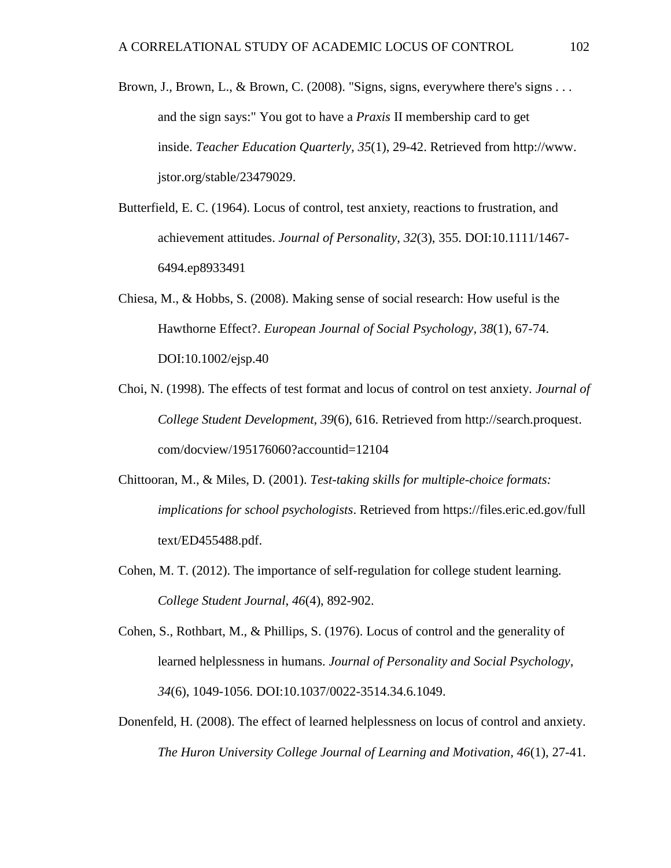- Brown, J., Brown, L., & Brown, C. (2008). "Signs, signs, everywhere there's signs . . . and the sign says:" You got to have a *Praxis* II membership card to get inside. *Teacher Education Quarterly, 35*(1), 29-42. Retrieved from http://www. jstor.org/stable/23479029.
- Butterfield, E. C. (1964). Locus of control, test anxiety, reactions to frustration, and achievement attitudes. *Journal of Personality*, *32*(3), 355. DOI:10.1111/1467- 6494.ep8933491
- Chiesa, M., & Hobbs, S. (2008). Making sense of social research: How useful is the Hawthorne Effect?. *European Journal of Social Psychology, 38*(1), 67-74. DOI:10.1002/ejsp.40
- Choi, N. (1998). The effects of test format and locus of control on test anxiety. *Journal of College Student Development, 39*(6), 616. Retrieved from http://search.proquest. com/docview/195176060?accountid=12104
- Chittooran, M., & Miles, D. (2001). *Test-taking skills for multiple-choice formats: implications for school psychologists*. Retrieved from https://files.eric.ed.gov/full text/ED455488.pdf.
- Cohen, M. T. (2012). The importance of self-regulation for college student learning. *College Student Journal*, *46*(4), 892-902.
- Cohen, S., Rothbart, M., & Phillips, S. (1976). Locus of control and the generality of learned helplessness in humans. *Journal of Personality and Social Psychology*, *34*(6), 1049-1056. DOI:10.1037/0022-3514.34.6.1049.
- Donenfeld, H. (2008). The effect of learned helplessness on locus of control and anxiety. *The Huron University College Journal of Learning and Motivation, 46*(1), 27-41.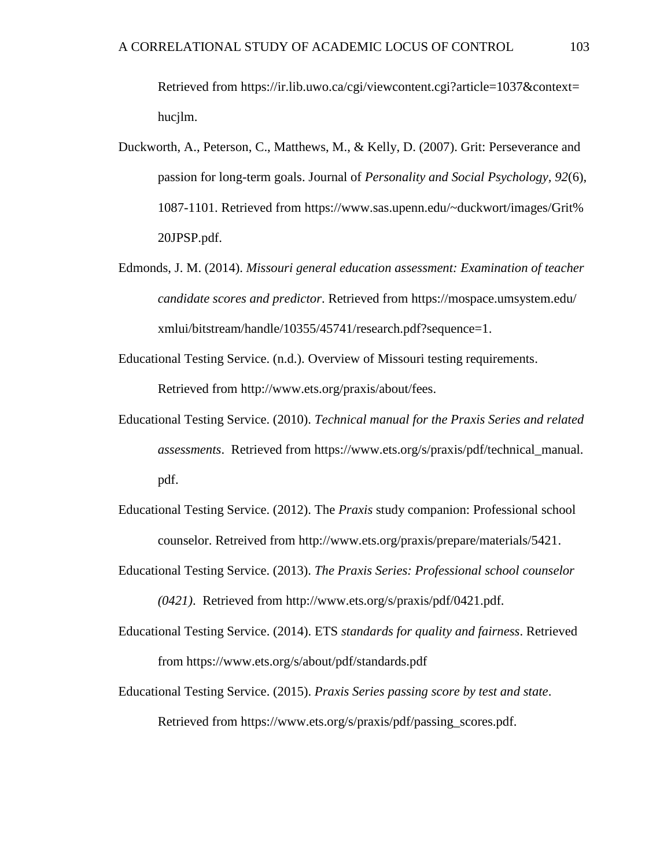Retrieved from https://ir.lib.uwo.ca/cgi/viewcontent.cgi?article=1037&context= hucjlm.

- Duckworth, A., Peterson, C., Matthews, M., & Kelly, D. (2007). Grit: Perseverance and passion for long-term goals. Journal of *Personality and Social Psychology, 92*(6), 1087-1101. Retrieved from https://www.sas.upenn.edu/~duckwort/images/Grit% 20JPSP.pdf.
- Edmonds, J. M. (2014). *Missouri general education assessment: Examination of teacher candidate scores and predictor*. Retrieved from https://mospace.umsystem.edu/ xmlui/bitstream/handle/10355/45741/research.pdf?sequence=1.
- Educational Testing Service. (n.d.). Overview of Missouri testing requirements. Retrieved from http://www.ets.org/praxis/about/fees.
- Educational Testing Service. (2010). *Technical manual for the Praxis Series and related assessments*. Retrieved from https://www.ets.org/s/praxis/pdf/technical\_manual. pdf.
- Educational Testing Service. (2012). The *Praxis* study companion: Professional school counselor. Retreived from http://www.ets.org/praxis/prepare/materials/5421.
- Educational Testing Service. (2013). *The Praxis Series: Professional school counselor (0421)*. Retrieved from http://www.ets.org/s/praxis/pdf/0421.pdf.
- Educational Testing Service. (2014). ETS *standards for quality and fairness*. Retrieved from https://www.ets.org/s/about/pdf/standards.pdf
- Educational Testing Service. (2015). *Praxis Series passing score by test and state*. Retrieved from https://www.ets.org/s/praxis/pdf/passing\_scores.pdf.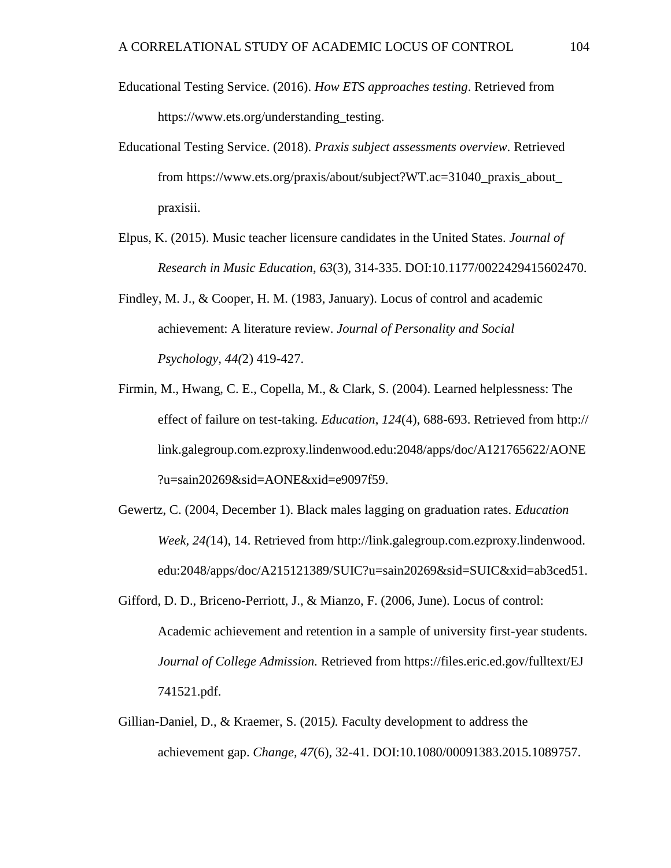- Educational Testing Service. (2016). *How ETS approaches testing*. Retrieved from https://www.ets.org/understanding\_testing.
- Educational Testing Service. (2018). *Praxis subject assessments overview*. Retrieved from https://www.ets.org/praxis/about/subject?WT.ac=31040\_praxis\_about\_ praxisii.
- Elpus, K. (2015). Music teacher licensure candidates in the United States. *Journal of Research in Music Education*, *63*(3), 314-335. DOI:10.1177/0022429415602470.
- Findley, M. J., & Cooper, H. M. (1983, January). Locus of control and academic achievement: A literature review. *Journal of Personality and Social Psychology, 44(*2) 419-427.
- Firmin, M., Hwang, C. E., Copella, M., & Clark, S. (2004). Learned helplessness: The effect of failure on test-taking. *Education*, *124*(4), 688-693. Retrieved from http:// link.galegroup.com.ezproxy.lindenwood.edu:2048/apps/doc/A121765622/AONE ?u=sain20269&sid=AONE&xid=e9097f59.
- Gewertz, C. (2004, December 1). Black males lagging on graduation rates. *Education Week, 24(*14), 14. Retrieved from http://link.galegroup.com.ezproxy.lindenwood. edu:2048/apps/doc/A215121389/SUIC?u=sain20269&sid=SUIC&xid=ab3ced51.
- Gifford, D. D., Briceno-Perriott, J., & Mianzo, F. (2006, June). Locus of control: Academic achievement and retention in a sample of university first-year students. *Journal of College Admission.* Retrieved from https://files.eric.ed.gov/fulltext/EJ 741521.pdf.
- Gillian-Daniel, D., & Kraemer, S. (2015*).* Faculty development to address the achievement gap. *Change, 47*(6), 32-41. DOI:10.1080/00091383.2015.1089757.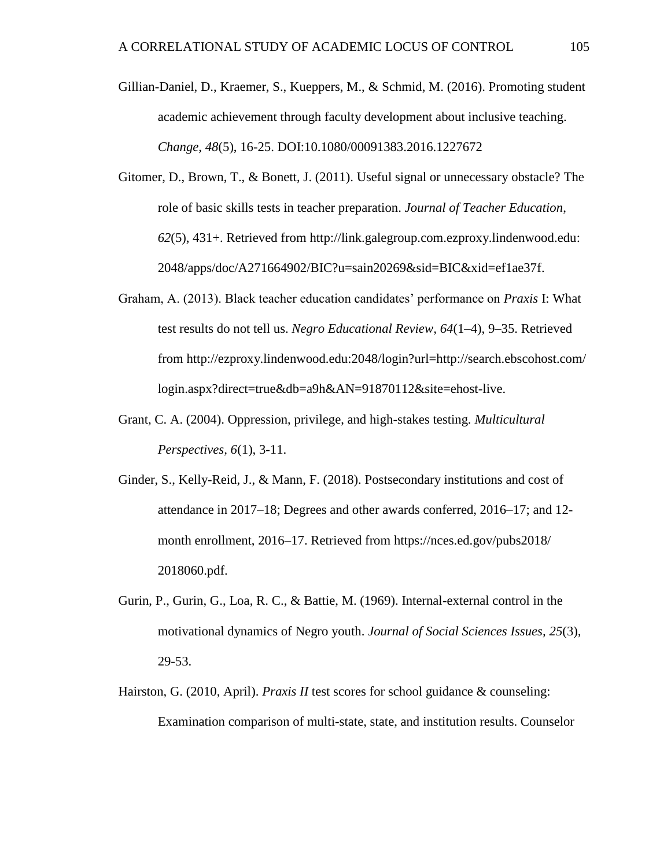- Gillian-Daniel, D., Kraemer, S., Kueppers, M., & Schmid, M. (2016). Promoting student academic achievement through faculty development about inclusive teaching. *Change*, *48*(5), 16-25. DOI:10.1080/00091383.2016.1227672
- Gitomer, D., Brown, T., & Bonett, J. (2011). Useful signal or unnecessary obstacle? The role of basic skills tests in teacher preparation. *Journal of Teacher Education*, *62*(5), 431+. Retrieved from http://link.galegroup.com.ezproxy.lindenwood.edu: 2048/apps/doc/A271664902/BIC?u=sain20269&sid=BIC&xid=ef1ae37f.
- Graham, A. (2013). Black teacher education candidates' performance on *Praxis* I: What test results do not tell us. *Negro Educational Review, 64*(1–4), 9–35. Retrieved from http://ezproxy.lindenwood.edu:2048/login?url=http://search.ebscohost.com/ login.aspx?direct=true&db=a9h&AN=91870112&site=ehost-live.
- Grant, C. A. (2004). Oppression, privilege, and high-stakes testing. *Multicultural Perspectives, 6*(1), 3-11.
- Ginder, S., Kelly-Reid, J., & Mann, F. (2018). Postsecondary institutions and cost of attendance in 2017–18; Degrees and other awards conferred, 2016–17; and 12 month enrollment, 2016–17. Retrieved from https://nces.ed.gov/pubs2018/ 2018060.pdf.
- Gurin, P., Gurin, G., Loa, R. C., & Battie, M. (1969). Internal-external control in the motivational dynamics of Negro youth. *Journal of Social Sciences Issues, 25*(3)*,* 29-53.
- Hairston, G. (2010, April). *Praxis II* test scores for school guidance & counseling: Examination comparison of multi-state, state, and institution results. Counselor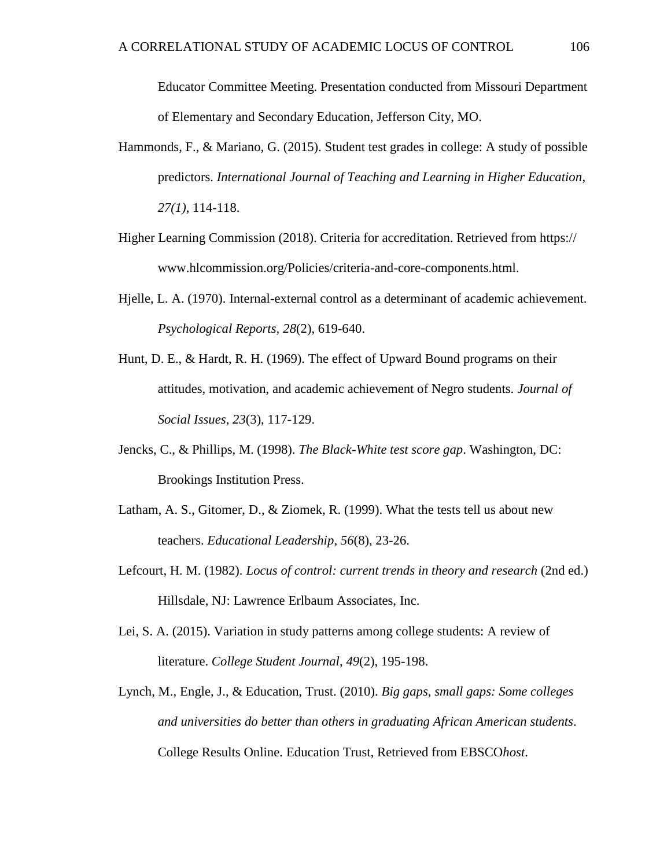Educator Committee Meeting. Presentation conducted from Missouri Department of Elementary and Secondary Education, Jefferson City, MO.

- Hammonds, F., & Mariano, G. (2015). Student test grades in college: A study of possible predictors. *International Journal of Teaching and Learning in Higher Education*, *27(1)*, 114-118.
- Higher Learning Commission (2018). Criteria for accreditation. Retrieved from https:// www.hlcommission.org/Policies/criteria-and-core-components.html.
- Hjelle, L. A. (1970). Internal-external control as a determinant of academic achievement. *Psychological Reports, 28*(2), 619-640.
- Hunt, D. E., & Hardt, R. H. (1969). The effect of Upward Bound programs on their attitudes, motivation, and academic achievement of Negro students. *Journal of Social Issues*, *23*(3), 117-129.
- Jencks, C., & Phillips, M. (1998). *The Black-White test score gap*. Washington, DC: Brookings Institution Press.
- Latham, A. S., Gitomer, D., & Ziomek, R. (1999). What the tests tell us about new teachers. *Educational Leadership*, *56*(8), 23-26.
- Lefcourt, H. M. (1982). *Locus of control: current trends in theory and research* (2nd ed.) Hillsdale, NJ: Lawrence Erlbaum Associates, Inc.
- Lei, S. A. (2015). Variation in study patterns among college students: A review of literature. *College Student Journal*, *49*(2), 195-198.
- Lynch, M., Engle, J., & Education, Trust. (2010). *Big gaps, small gaps: Some colleges and universities do better than others in graduating African American students*. College Results Online. Education Trust, Retrieved from EBSCO*host*.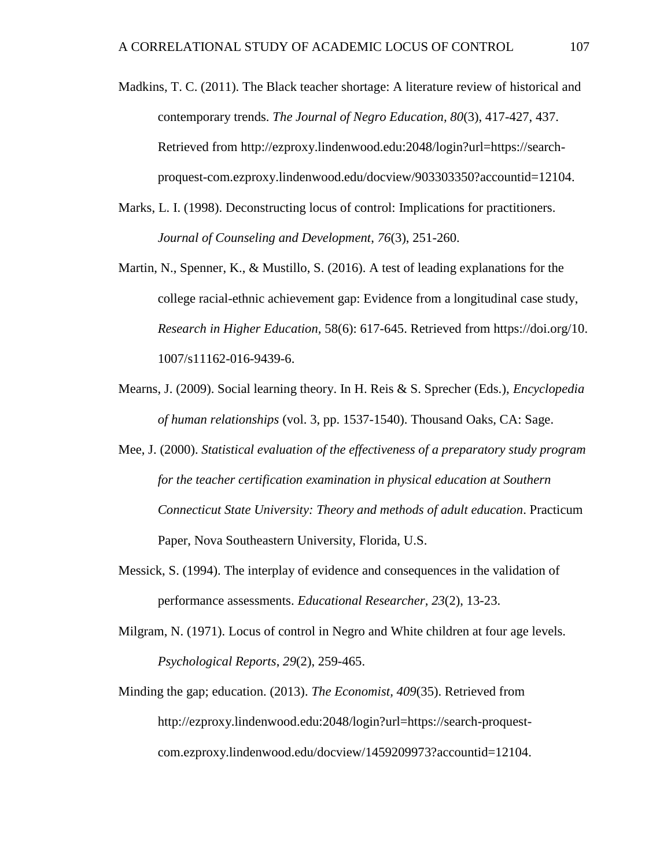- Madkins, T. C. (2011). The Black teacher shortage: A literature review of historical and contemporary trends. *The Journal of Negro Education, 80*(3), 417-427, 437. Retrieved from http://ezproxy.lindenwood.edu:2048/login?url=https://searchproquest-com.ezproxy.lindenwood.edu/docview/903303350?accountid=12104.
- Marks, L. I. (1998). Deconstructing locus of control: Implications for practitioners. *Journal of Counseling and Development*, *76*(3), 251-260.
- Martin, N., Spenner, K., & Mustillo, S. (2016). A test of leading explanations for the college racial-ethnic achievement gap: Evidence from a longitudinal case study, *Research in Higher Education,* 58(6): 617-645. Retrieved from https://doi.org/10. 1007/s11162-016-9439-6.
- Mearns, J. (2009). Social learning theory. In H. Reis & S. Sprecher (Eds.), *Encyclopedia of human relationships* (vol. 3, pp. 1537-1540). Thousand Oaks, CA: Sage.
- Mee, J. (2000). *Statistical evaluation of the effectiveness of a preparatory study program for the teacher certification examination in physical education at Southern Connecticut State University: Theory and methods of adult education*. Practicum Paper, Nova Southeastern University, Florida, U.S.
- Messick, S. (1994). The interplay of evidence and consequences in the validation of performance assessments. *Educational Researcher, 23*(2), 13-23.
- Milgram, N. (1971). Locus of control in Negro and White children at four age levels. *Psychological Reports*, *29*(2), 259-465.
- Minding the gap; education. (2013). *The Economist, 409*(35). Retrieved from http://ezproxy.lindenwood.edu:2048/login?url=https://search-proquestcom.ezproxy.lindenwood.edu/docview/1459209973?accountid=12104.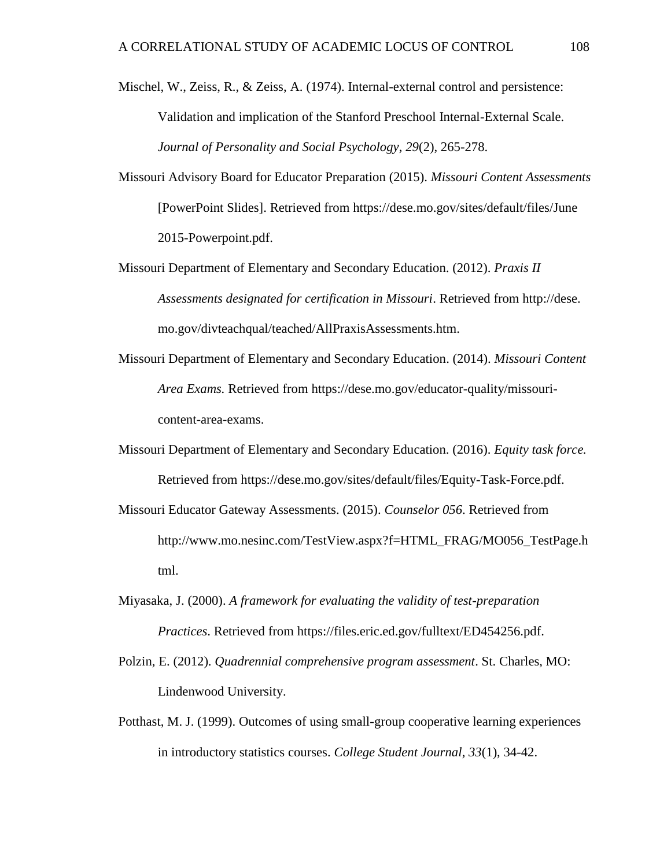Mischel, W., Zeiss, R., & Zeiss, A. (1974). Internal-external control and persistence: Validation and implication of the Stanford Preschool Internal-External Scale. *Journal of Personality and Social Psychology*, *29*(2), 265-278.

- Missouri Advisory Board for Educator Preparation (2015). *Missouri Content Assessments* [PowerPoint Slides]. Retrieved from https://dese.mo.gov/sites/default/files/June 2015-Powerpoint.pdf.
- Missouri Department of Elementary and Secondary Education. (2012). *Praxis II Assessments designated for certification in Missouri*. Retrieved from http://dese. mo.gov/divteachqual/teached/AllPraxisAssessments.htm.
- Missouri Department of Elementary and Secondary Education. (2014). *Missouri Content Area Exams.* Retrieved from https://dese.mo.gov/educator-quality/missouricontent-area-exams.
- Missouri Department of Elementary and Secondary Education. (2016). *Equity task force.*  Retrieved from https://dese.mo.gov/sites/default/files/Equity-Task-Force.pdf.
- Missouri Educator Gateway Assessments. (2015). *Counselor 056*. Retrieved from http://www.mo.nesinc.com/TestView.aspx?f=HTML\_FRAG/MO056\_TestPage.h tml.
- Miyasaka, J. (2000). *A framework for evaluating the validity of test-preparation Practices*. Retrieved from https://files.eric.ed.gov/fulltext/ED454256.pdf.
- Polzin, E. (2012). *Quadrennial comprehensive program assessment*. St. Charles, MO: Lindenwood University.
- Potthast, M. J. (1999). Outcomes of using small-group cooperative learning experiences in introductory statistics courses. *College Student Journal*, *33*(1), 34-42.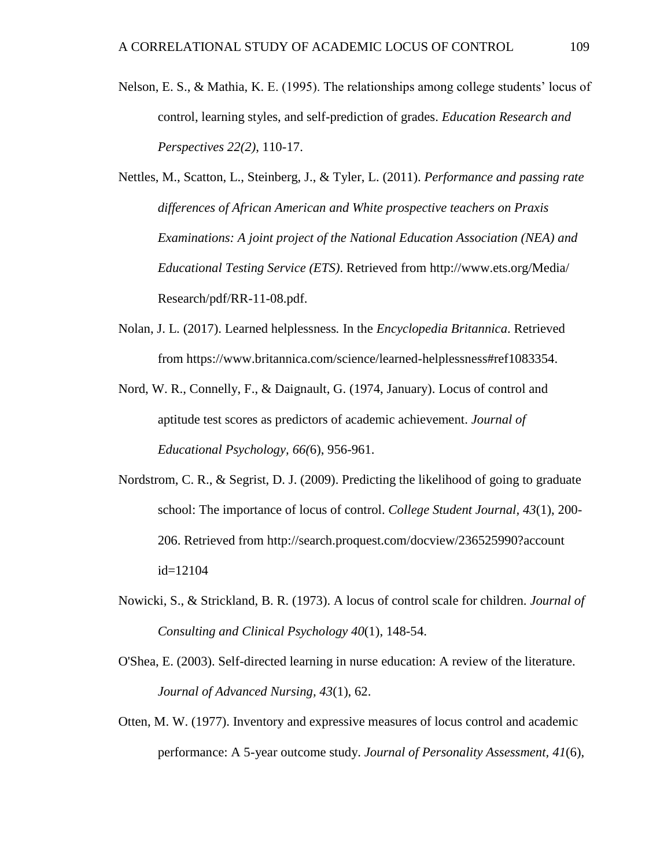- Nelson, E. S., & Mathia, K. E. (1995). The relationships among college students' locus of control, learning styles, and self-prediction of grades. *Education Research and Perspectives 22(2)*, 110-17.
- Nettles, M., Scatton, L., Steinberg, J., & Tyler, L. (2011). *Performance and passing rate differences of African American and White prospective teachers on Praxis Examinations: A joint project of the National Education Association (NEA) and Educational Testing Service (ETS)*. Retrieved from http://www.ets.org/Media/ Research/pdf/RR-11-08.pdf.
- Nolan, J. L. (2017). Learned helplessness*.* In the *Encyclopedia Britannica*. Retrieved from https://www.britannica.com/science/learned-helplessness#ref1083354.
- Nord, W. R., Connelly, F., & Daignault, G. (1974, January). Locus of control and aptitude test scores as predictors of academic achievement. *Journal of Educational Psychology, 66(*6), 956-961.
- Nordstrom, C. R., & Segrist, D. J. (2009). Predicting the likelihood of going to graduate school: The importance of locus of control. *College Student Journal, 43*(1), 200- 206. Retrieved from http://search.proquest.com/docview/236525990?account id=12104
- Nowicki, S., & Strickland, B. R. (1973). A locus of control scale for children. *Journal of Consulting and Clinical Psychology 40*(1), 148-54.
- O'Shea, E. (2003). Self-directed learning in nurse education: A review of the literature. *Journal of Advanced Nursing, 43*(1), 62.
- Otten, M. W. (1977). Inventory and expressive measures of locus control and academic performance: A 5-year outcome study. *Journal of Personality Assessment, 41*(6),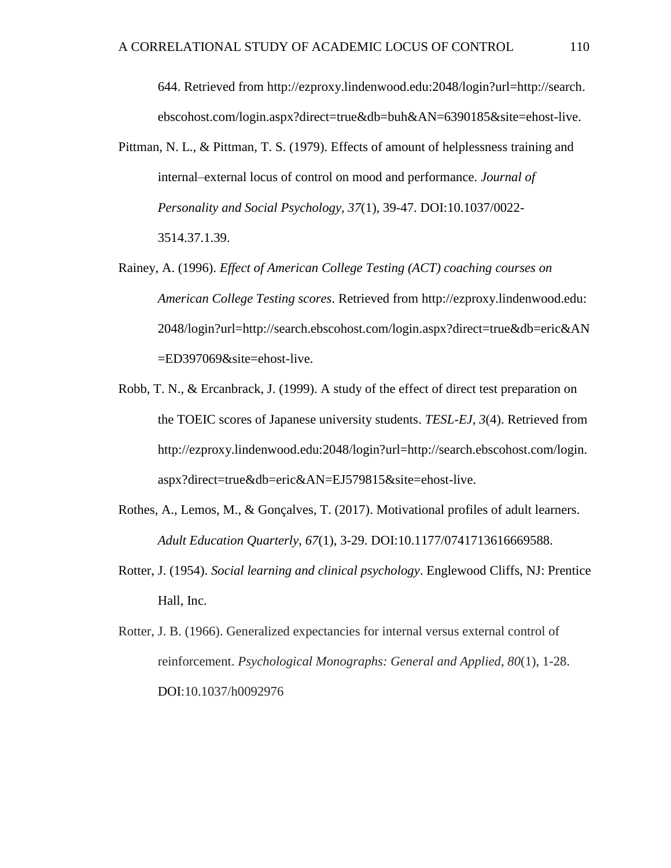644. Retrieved from http://ezproxy.lindenwood.edu:2048/login?url=http://search. ebscohost.com/login.aspx?direct=true&db=buh&AN=6390185&site=ehost-live.

- Pittman, N. L., & Pittman, T. S. (1979). Effects of amount of helplessness training and internal–external locus of control on mood and performance. *Journal of Personality and Social Psychology, 37*(1), 39-47. DOI:10.1037/0022- 3514.37.1.39.
- Rainey, A. (1996). *Effect of American College Testing (ACT) coaching courses on American College Testing scores*. Retrieved from http://ezproxy.lindenwood.edu: 2048/login?url=http://search.ebscohost.com/login.aspx?direct=true&db=eric&AN =ED397069&site=ehost-live.
- Robb, T. N., & Ercanbrack, J. (1999). A study of the effect of direct test preparation on the TOEIC scores of Japanese university students. *TESL-EJ, 3*(4). Retrieved from http://ezproxy.lindenwood.edu:2048/login?url=http://search.ebscohost.com/login. aspx?direct=true&db=eric&AN=EJ579815&site=ehost-live.
- Rothes, A., Lemos, M., & Gonçalves, T. (2017). Motivational profiles of adult learners. *Adult Education Quarterly*, *67*(1), 3-29. DOI:10.1177/0741713616669588.
- Rotter, J. (1954). *Social learning and clinical psychology*. Englewood Cliffs, NJ: Prentice Hall, Inc.
- Rotter, J. B. (1966). Generalized expectancies for internal versus external control of reinforcement. *Psychological Monographs: General and Applied*, *80*(1), 1-28. DOI:10.1037/h0092976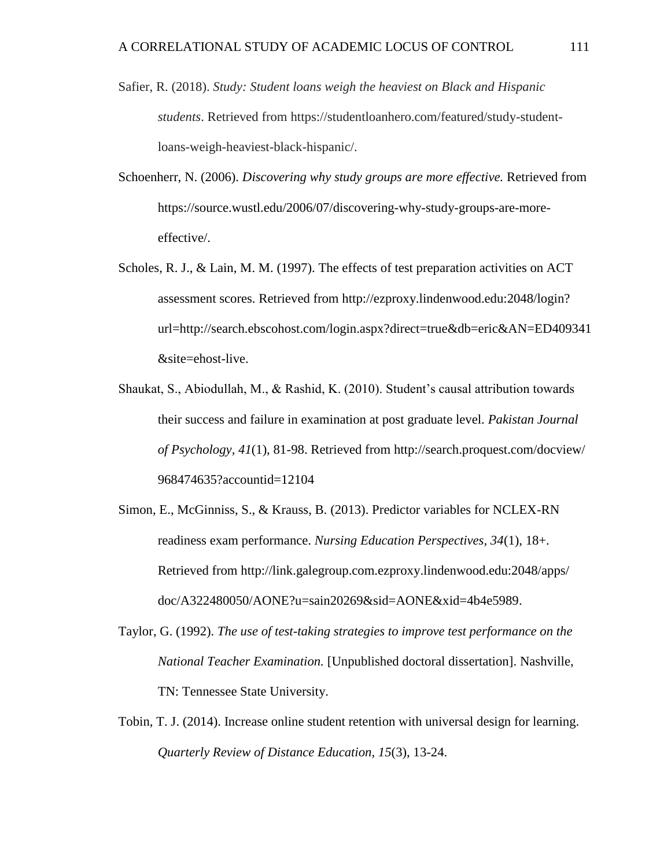- Safier, R. (2018). *Study: Student loans weigh the heaviest on Black and Hispanic students*. Retrieved from https://studentloanhero.com/featured/study-studentloans-weigh-heaviest-black-hispanic/.
- Schoenherr, N. (2006). *Discovering why study groups are more effective.* Retrieved from https://source.wustl.edu/2006/07/discovering-why-study-groups-are-moreeffective/.
- Scholes, R. J., & Lain, M. M. (1997). The effects of test preparation activities on ACT assessment scores. Retrieved from http://ezproxy.lindenwood.edu:2048/login? url=http://search.ebscohost.com/login.aspx?direct=true&db=eric&AN=ED409341 &site=ehost-live.
- Shaukat, S., Abiodullah, M., & Rashid, K. (2010). Student's causal attribution towards their success and failure in examination at post graduate level. *Pakistan Journal of Psychology, 41*(1), 81-98. Retrieved from http://search.proquest.com/docview/ 968474635?accountid=12104
- Simon, E., McGinniss, S., & Krauss, B. (2013). Predictor variables for NCLEX-RN readiness exam performance. *Nursing Education Perspectives, 34*(1), 18+. Retrieved from http://link.galegroup.com.ezproxy.lindenwood.edu:2048/apps/ doc/A322480050/AONE?u=sain20269&sid=AONE&xid=4b4e5989.
- Taylor, G. (1992). *The use of test-taking strategies to improve test performance on the National Teacher Examination.* [Unpublished doctoral dissertation]. Nashville, TN: Tennessee State University.
- Tobin, T. J. (2014). Increase online student retention with universal design for learning. *Quarterly Review of Distance Education*, *15*(3), 13-24.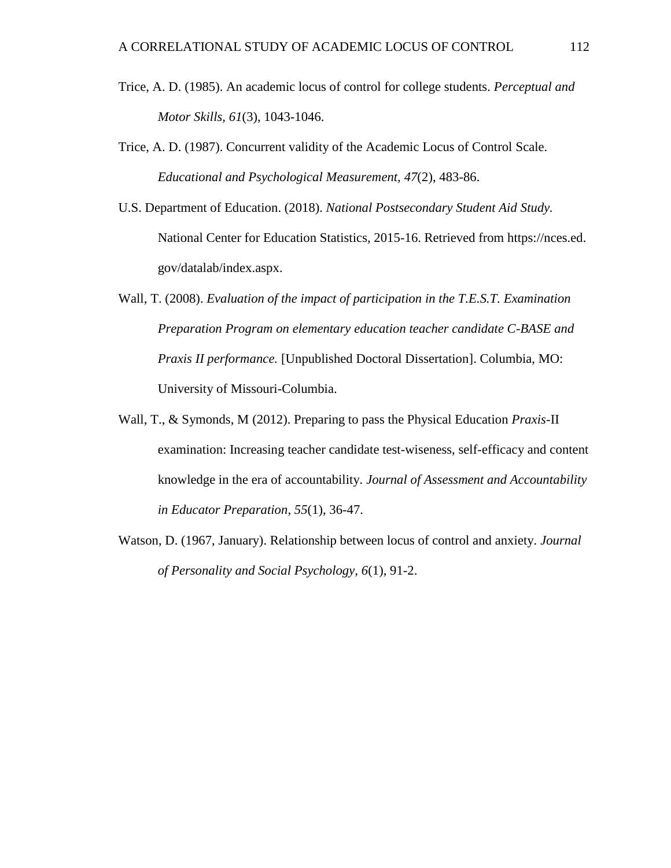- Trice, A. D. (1985). An academic locus of control for college students. *Perceptual and Motor Skills, 61*(3), 1043-1046.
- Trice, A. D. (1987). Concurrent validity of the Academic Locus of Control Scale. *Educational and Psychological Measurement, 47*(2), 483-86.
- U.S. Department of Education. (2018). *National Postsecondary Student Aid Study.* National Center for Education Statistics, 2015-16. Retrieved from https://nces.ed. gov/datalab/index.aspx.
- Wall, T. (2008). *Evaluation of the impact of participation in the T.E.S.T. Examination Preparation Program on elementary education teacher candidate C-BASE and Praxis II performance.* [Unpublished Doctoral Dissertation]. Columbia, MO: University of Missouri-Columbia.
- Wall, T., & Symonds, M (2012). Preparing to pass the Physical Education *Praxis*-II examination: Increasing teacher candidate test-wiseness, self-efficacy and content knowledge in the era of accountability. *Journal of Assessment and Accountability in Educator Preparation, 55*(1), 36-47.
- Watson, D. (1967, January). Relationship between locus of control and anxiety. *Journal of Personality and Social Psychology, 6*(1), 91-2.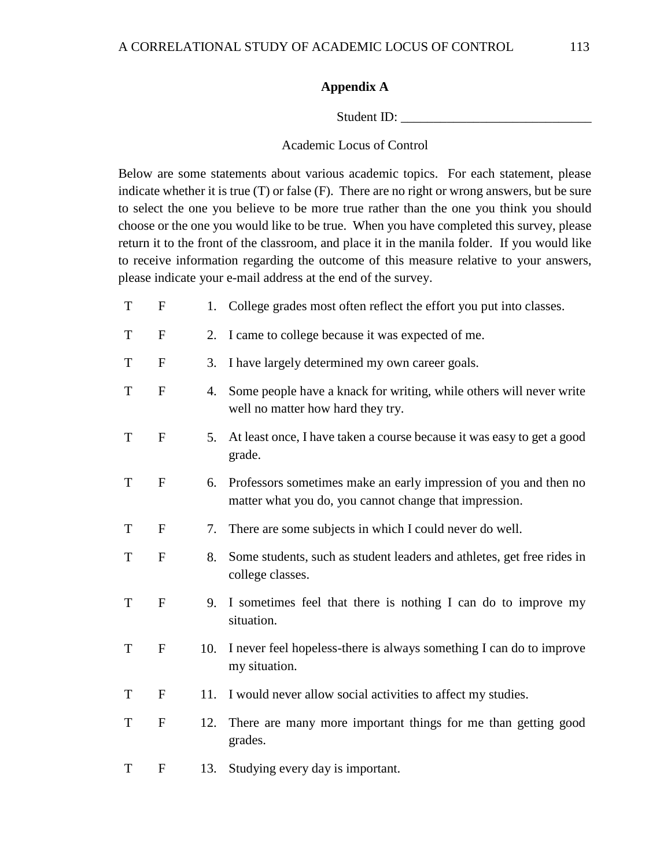### **Appendix A**

Student ID:

### Academic Locus of Control

Below are some statements about various academic topics. For each statement, please indicate whether it is true (T) or false (F). There are no right or wrong answers, but be sure to select the one you believe to be more true rather than the one you think you should choose or the one you would like to be true. When you have completed this survey, please return it to the front of the classroom, and place it in the manila folder. If you would like to receive information regarding the outcome of this measure relative to your answers, please indicate your e-mail address at the end of the survey.

T F 1. College grades most often reflect the effort you put into classes. T F 2. I came to college because it was expected of me. T F 3. I have largely determined my own career goals. T F 4. Some people have a knack for writing, while others will never write well no matter how hard they try. T F 5. At least once, I have taken a course because it was easy to get a good grade. T F 6. Professors sometimes make an early impression of you and then no matter what you do, you cannot change that impression. T F 7. There are some subjects in which I could never do well. T F 8. Some students, such as student leaders and athletes, get free rides in college classes. T F 9. I sometimes feel that there is nothing I can do to improve my situation. T F 10. I never feel hopeless-there is always something I can do to improve my situation. T F 11. I would never allow social activities to affect my studies. T F 12. There are many more important things for me than getting good grades. T F 13. Studying every day is important.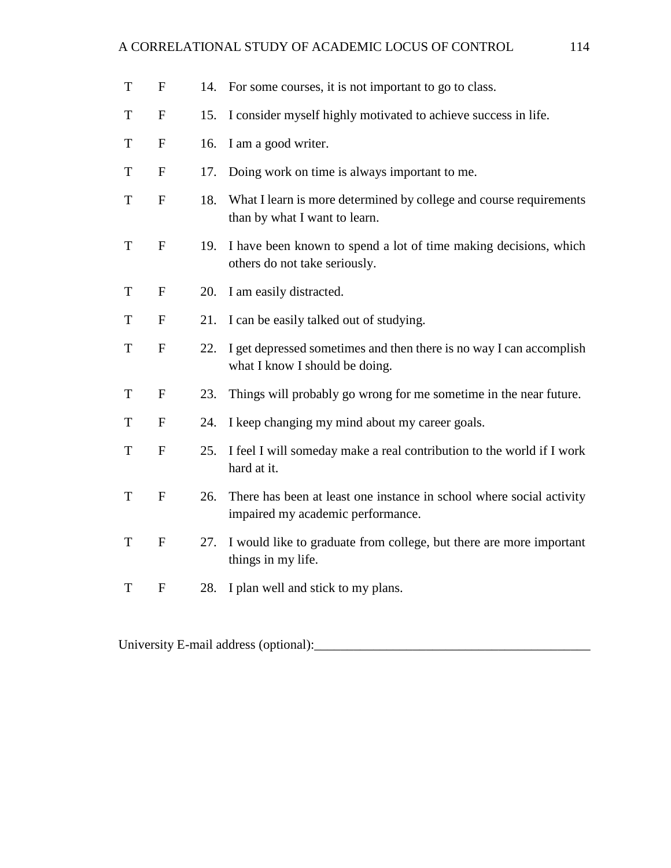## A CORRELATIONAL STUDY OF ACADEMIC LOCUS OF CONTROL 114

| T           | $\mathbf{F}$ | 14. | For some courses, it is not important to go to class.                                                     |
|-------------|--------------|-----|-----------------------------------------------------------------------------------------------------------|
| T           | $\mathbf F$  | 15. | I consider myself highly motivated to achieve success in life.                                            |
| T           | $\mathbf F$  | 16. | I am a good writer.                                                                                       |
| T           | $\mathbf{F}$ | 17. | Doing work on time is always important to me.                                                             |
| T           | $\mathbf F$  | 18. | What I learn is more determined by college and course requirements<br>than by what I want to learn.       |
| T           | $\mathbf{F}$ | 19. | I have been known to spend a lot of time making decisions, which<br>others do not take seriously.         |
| T           | $\mathbf F$  | 20. | I am easily distracted.                                                                                   |
| T           | $\mathbf{F}$ | 21. | I can be easily talked out of studying.                                                                   |
| $\mathbf T$ | ${\bf F}$    | 22. | I get depressed sometimes and then there is no way I can accomplish<br>what I know I should be doing.     |
| T           | $\mathbf F$  | 23. | Things will probably go wrong for me sometime in the near future.                                         |
| T           | $\mathbf{F}$ | 24. | I keep changing my mind about my career goals.                                                            |
| T           | ${\bf F}$    | 25. | I feel I will someday make a real contribution to the world if I work<br>hard at it.                      |
| T           | ${\bf F}$    | 26. | There has been at least one instance in school where social activity<br>impaired my academic performance. |
| T           | $\mathbf F$  | 27. | I would like to graduate from college, but there are more important<br>things in my life.                 |
| T           | $\mathbf{F}$ | 28. | I plan well and stick to my plans.                                                                        |

University E-mail address (optional):\_\_\_\_\_\_\_\_\_\_\_\_\_\_\_\_\_\_\_\_\_\_\_\_\_\_\_\_\_\_\_\_\_\_\_\_\_\_\_\_\_\_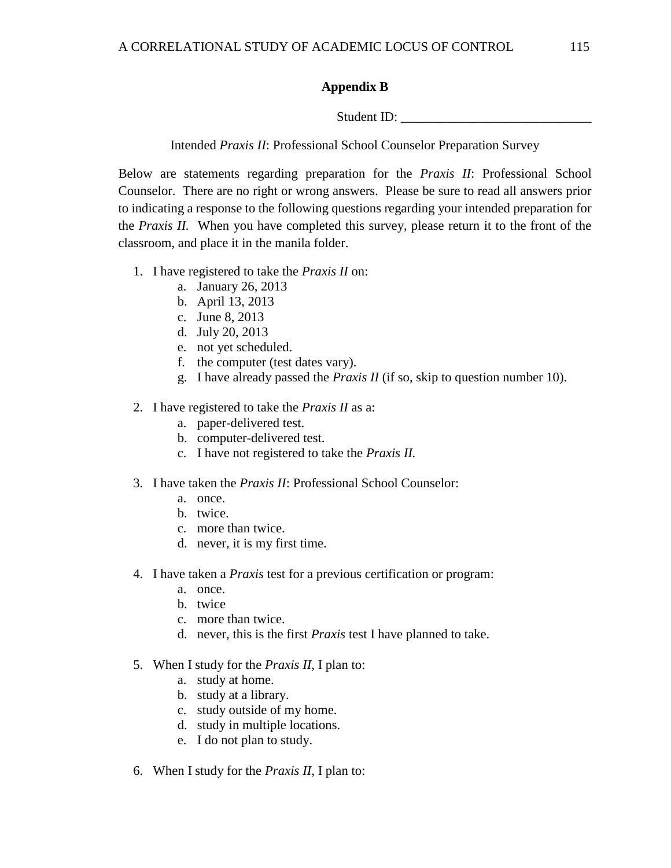### **Appendix B**

Student ID:

Intended *Praxis II*: Professional School Counselor Preparation Survey

Below are statements regarding preparation for the *Praxis II*: Professional School Counselor. There are no right or wrong answers. Please be sure to read all answers prior to indicating a response to the following questions regarding your intended preparation for the *Praxis II.* When you have completed this survey, please return it to the front of the classroom, and place it in the manila folder.

- 1. I have registered to take the *Praxis II* on:
	- a. January 26, 2013
	- b. April 13, 2013
	- c. June 8, 2013
	- d. July 20, 2013
	- e. not yet scheduled.
	- f. the computer (test dates vary).
	- g. I have already passed the *Praxis II* (if so, skip to question number 10).
- 2. I have registered to take the *Praxis II* as a:
	- a. paper-delivered test.
	- b. computer-delivered test.
	- c. I have not registered to take the *Praxis II.*
- 3. I have taken the *Praxis II*: Professional School Counselor:
	- a. once.
	- b. twice.
	- c. more than twice.
	- d. never, it is my first time.
- 4. I have taken a *Praxis* test for a previous certification or program:
	- a. once.
	- b. twice
	- c. more than twice.
	- d. never, this is the first *Praxis* test I have planned to take.
- 5. When I study for the *Praxis II*, I plan to:
	- a. study at home.
	- b. study at a library.
	- c. study outside of my home.
	- d. study in multiple locations.
	- e. I do not plan to study.
- 6. When I study for the *Praxis II*, I plan to: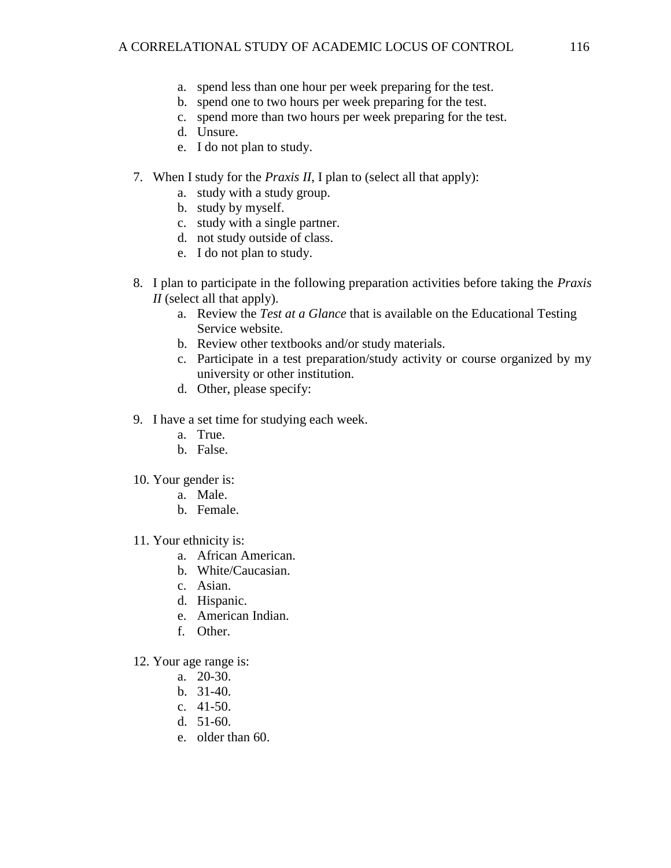- a. spend less than one hour per week preparing for the test.
- b. spend one to two hours per week preparing for the test.
- c. spend more than two hours per week preparing for the test.
- d. Unsure.
- e. I do not plan to study.
- 7. When I study for the *Praxis II*, I plan to (select all that apply):
	- a. study with a study group.
	- b. study by myself.
	- c. study with a single partner.
	- d. not study outside of class.
	- e. I do not plan to study.
- 8. I plan to participate in the following preparation activities before taking the *Praxis II* (select all that apply).
	- a. Review the *Test at a Glance* that is available on the Educational Testing Service website.
	- b. Review other textbooks and/or study materials.
	- c. Participate in a test preparation/study activity or course organized by my university or other institution.
	- d. Other, please specify:
- 9. I have a set time for studying each week.
	- a. True.
	- b. False.
- 10. Your gender is:
	- a. Male.
	- b. Female.
- 11. Your ethnicity is:
	- a. African American.
	- b. White/Caucasian.
	- c. Asian.
	- d. Hispanic.
	- e. American Indian.
	- f. Other.
- 12. Your age range is:
	- a. 20-30.
	- b. 31-40.
	- c. 41-50.
	- d. 51-60.
	- e. older than 60.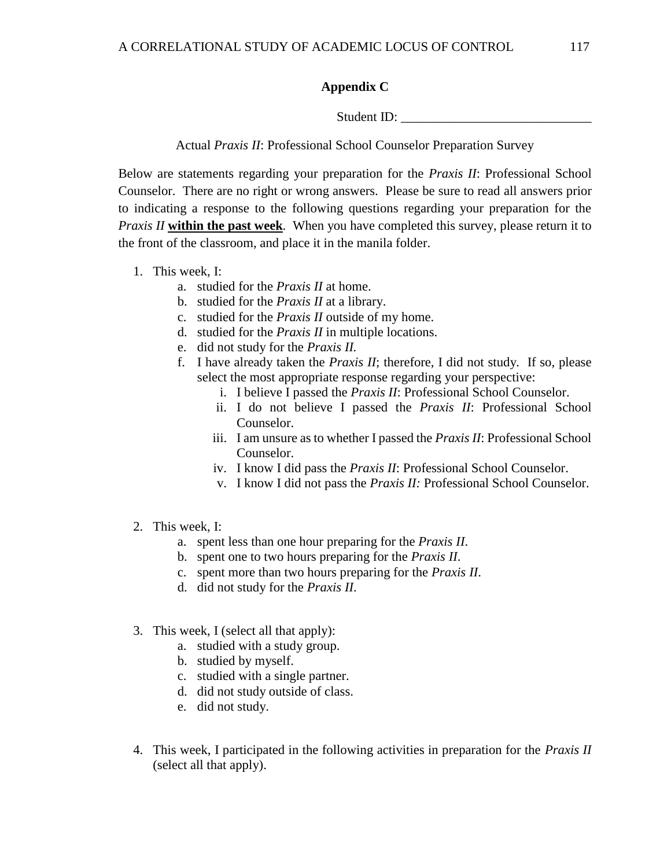### **Appendix C**

Student ID:

Actual *Praxis II*: Professional School Counselor Preparation Survey

Below are statements regarding your preparation for the *Praxis II*: Professional School Counselor. There are no right or wrong answers. Please be sure to read all answers prior to indicating a response to the following questions regarding your preparation for the *Praxis II* **within the past week***.* When you have completed this survey, please return it to the front of the classroom, and place it in the manila folder.

- 1. This week, I:
	- a. studied for the *Praxis II* at home.
	- b. studied for the *Praxis II* at a library.
	- c. studied for the *Praxis II* outside of my home.
	- d. studied for the *Praxis II* in multiple locations.
	- e. did not study for the *Praxis II.*
	- f. I have already taken the *Praxis II*; therefore, I did not study. If so, please select the most appropriate response regarding your perspective:
		- i. I believe I passed the *Praxis II*: Professional School Counselor.
		- ii. I do not believe I passed the *Praxis II*: Professional School Counselor.
		- iii. I am unsure as to whether I passed the *Praxis II*: Professional School Counselor.
		- iv. I know I did pass the *Praxis II*: Professional School Counselor.
		- v. I know I did not pass the *Praxis II:* Professional School Counselor.
- 2. This week, I:
	- a. spent less than one hour preparing for the *Praxis II*.
	- b. spent one to two hours preparing for the *Praxis II*.
	- c. spent more than two hours preparing for the *Praxis II*.
	- d. did not study for the *Praxis II*.
- 3. This week, I (select all that apply):
	- a. studied with a study group.
	- b. studied by myself.
	- c. studied with a single partner.
	- d. did not study outside of class.
	- e. did not study.
- 4. This week, I participated in the following activities in preparation for the *Praxis II* (select all that apply).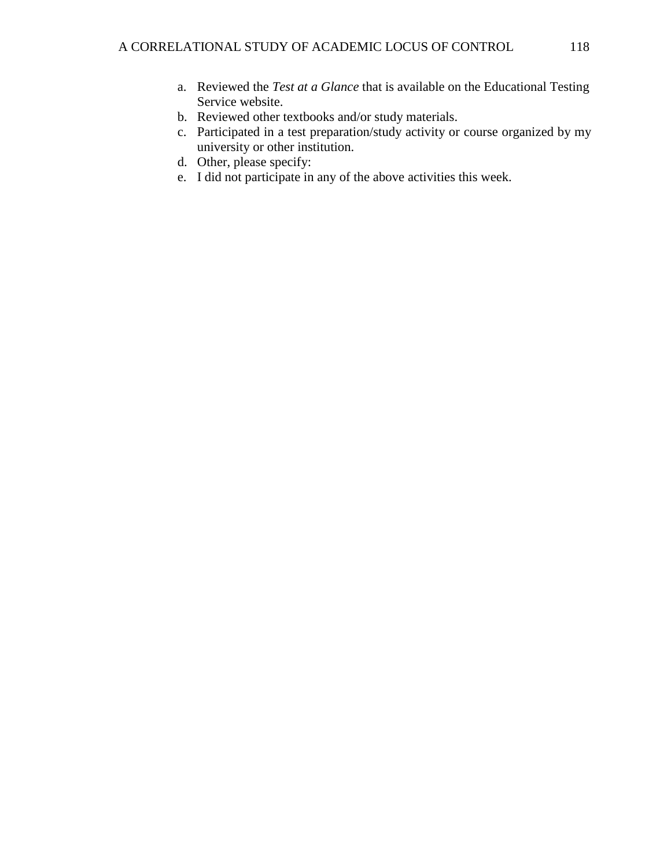- a. Reviewed the *Test at a Glance* that is available on the Educational Testing Service website.
- b. Reviewed other textbooks and/or study materials.
- c. Participated in a test preparation/study activity or course organized by my university or other institution.
- d. Other, please specify:
- e. I did not participate in any of the above activities this week.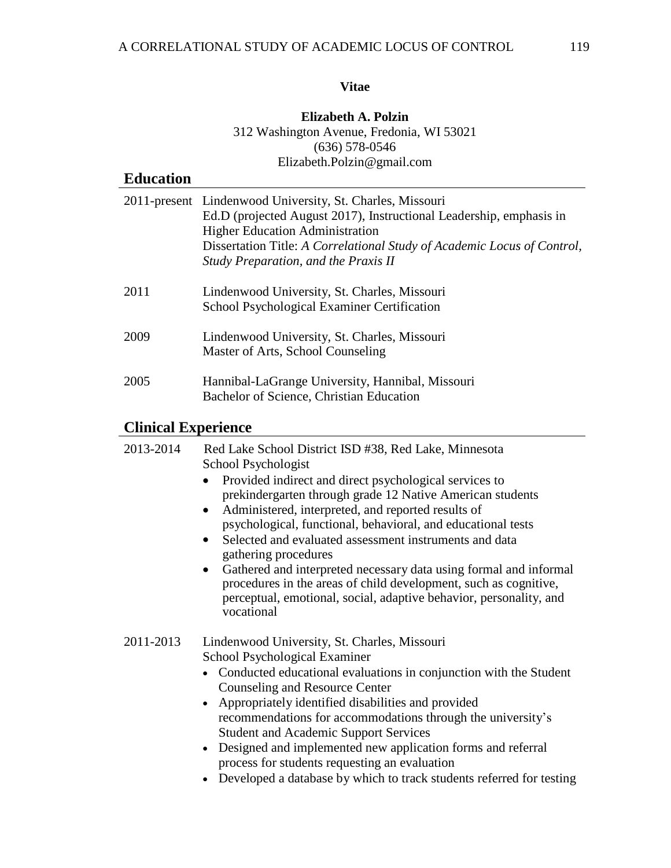## **Vitae**

### **Elizabeth A. Polzin** 312 Washington Avenue, Fredonia, WI 53021 (636) 578-0546 Elizabeth.Polzin@gmail.com

| <b>Education</b> |                                                                                                                                                                                                                                                                                               |
|------------------|-----------------------------------------------------------------------------------------------------------------------------------------------------------------------------------------------------------------------------------------------------------------------------------------------|
|                  | 2011-present Lindenwood University, St. Charles, Missouri<br>Ed.D (projected August 2017), Instructional Leadership, emphasis in<br><b>Higher Education Administration</b><br>Dissertation Title: A Correlational Study of Academic Locus of Control,<br>Study Preparation, and the Praxis II |
| 2011             | Lindenwood University, St. Charles, Missouri<br>School Psychological Examiner Certification                                                                                                                                                                                                   |
| 2009             | Lindenwood University, St. Charles, Missouri<br>Master of Arts, School Counseling                                                                                                                                                                                                             |
| 2005             | Hannibal-LaGrange University, Hannibal, Missouri<br>Bachelor of Science, Christian Education                                                                                                                                                                                                  |

# **Clinical Experience**

| 2013-2014 | Red Lake School District ISD #38, Red Lake, Minnesota<br>School Psychologist                                                                                                                                                           |  |  |
|-----------|----------------------------------------------------------------------------------------------------------------------------------------------------------------------------------------------------------------------------------------|--|--|
|           | Provided indirect and direct psychological services to<br>prekindergarten through grade 12 Native American students                                                                                                                    |  |  |
|           | Administered, interpreted, and reported results of<br>$\bullet$<br>psychological, functional, behavioral, and educational tests                                                                                                        |  |  |
|           | Selected and evaluated assessment instruments and data<br>gathering procedures                                                                                                                                                         |  |  |
|           | Gathered and interpreted necessary data using formal and informal<br>$\bullet$<br>procedures in the areas of child development, such as cognitive,<br>perceptual, emotional, social, adaptive behavior, personality, and<br>vocational |  |  |
| 2011-2013 | Lindenwood University, St. Charles, Missouri                                                                                                                                                                                           |  |  |
|           | School Psychological Examiner                                                                                                                                                                                                          |  |  |
|           | • Conducted educational evaluations in conjunction with the Student<br>Counseling and Resource Center                                                                                                                                  |  |  |
|           | • Appropriately identified disabilities and provided                                                                                                                                                                                   |  |  |
|           | recommendations for accommodations through the university's                                                                                                                                                                            |  |  |
|           | <b>Student and Academic Support Services</b>                                                                                                                                                                                           |  |  |
|           | • Designed and implemented new application forms and referral                                                                                                                                                                          |  |  |
|           | process for students requesting an evaluation                                                                                                                                                                                          |  |  |
|           | Developed a database by which to track students referred for testing                                                                                                                                                                   |  |  |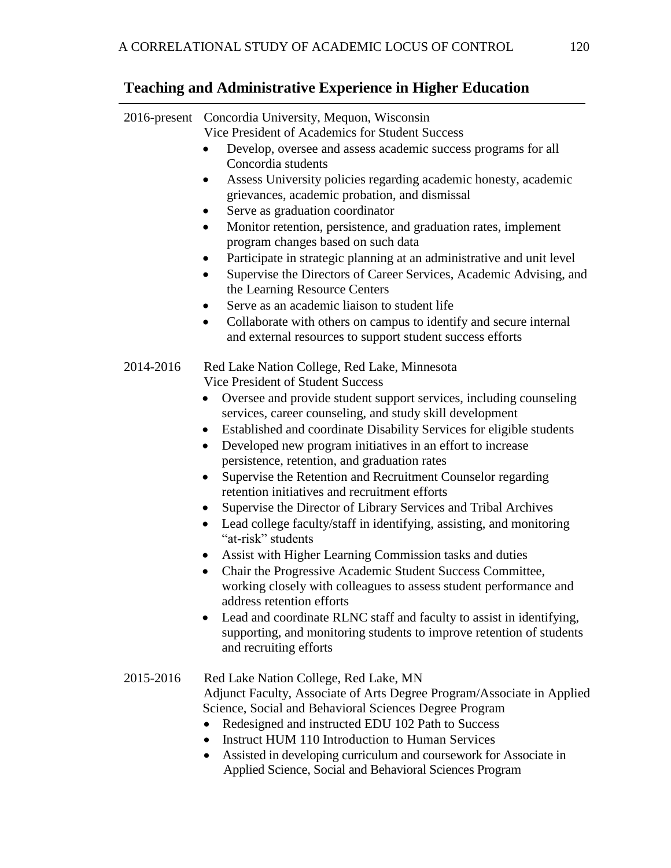# **Teaching and Administrative Experience in Higher Education**

| 2016-present | Concordia University, Mequon, Wisconsin<br>Vice President of Academics for Student Success<br>Develop, oversee and assess academic success programs for all<br>Concordia students<br>Assess University policies regarding academic honesty, academic<br>grievances, academic probation, and dismissal<br>Serve as graduation coordinator<br>Monitor retention, persistence, and graduation rates, implement<br>program changes based on such data<br>Participate in strategic planning at an administrative and unit level<br>Supervise the Directors of Career Services, Academic Advising, and<br>the Learning Resource Centers<br>Serve as an academic liaison to student life<br>Collaborate with others on campus to identify and secure internal<br>and external resources to support student success efforts                                                                                                                                                                                                                                                                                                                         |
|--------------|---------------------------------------------------------------------------------------------------------------------------------------------------------------------------------------------------------------------------------------------------------------------------------------------------------------------------------------------------------------------------------------------------------------------------------------------------------------------------------------------------------------------------------------------------------------------------------------------------------------------------------------------------------------------------------------------------------------------------------------------------------------------------------------------------------------------------------------------------------------------------------------------------------------------------------------------------------------------------------------------------------------------------------------------------------------------------------------------------------------------------------------------|
| 2014-2016    | Red Lake Nation College, Red Lake, Minnesota<br><b>Vice President of Student Success</b><br>Oversee and provide student support services, including counseling<br>services, career counseling, and study skill development<br>Established and coordinate Disability Services for eligible students<br>$\bullet$<br>Developed new program initiatives in an effort to increase<br>$\bullet$<br>persistence, retention, and graduation rates<br>Supervise the Retention and Recruitment Counselor regarding<br>retention initiatives and recruitment efforts<br>Supervise the Director of Library Services and Tribal Archives<br>Lead college faculty/staff in identifying, assisting, and monitoring<br>"at-risk" students<br>Assist with Higher Learning Commission tasks and duties<br>Chair the Progressive Academic Student Success Committee,<br>$\bullet$<br>working closely with colleagues to assess student performance and<br>address retention efforts<br>Lead and coordinate RLNC staff and faculty to assist in identifying,<br>supporting, and monitoring students to improve retention of students<br>and recruiting efforts |
| 2015-2016    | Red Lake Nation College, Red Lake, MN                                                                                                                                                                                                                                                                                                                                                                                                                                                                                                                                                                                                                                                                                                                                                                                                                                                                                                                                                                                                                                                                                                       |

Adjunct Faculty, Associate of Arts Degree Program/Associate in Applied Science, Social and Behavioral Sciences Degree Program

- Redesigned and instructed EDU 102 Path to Success
- Instruct HUM 110 Introduction to Human Services
- Assisted in developing curriculum and coursework for Associate in Applied Science, Social and Behavioral Sciences Program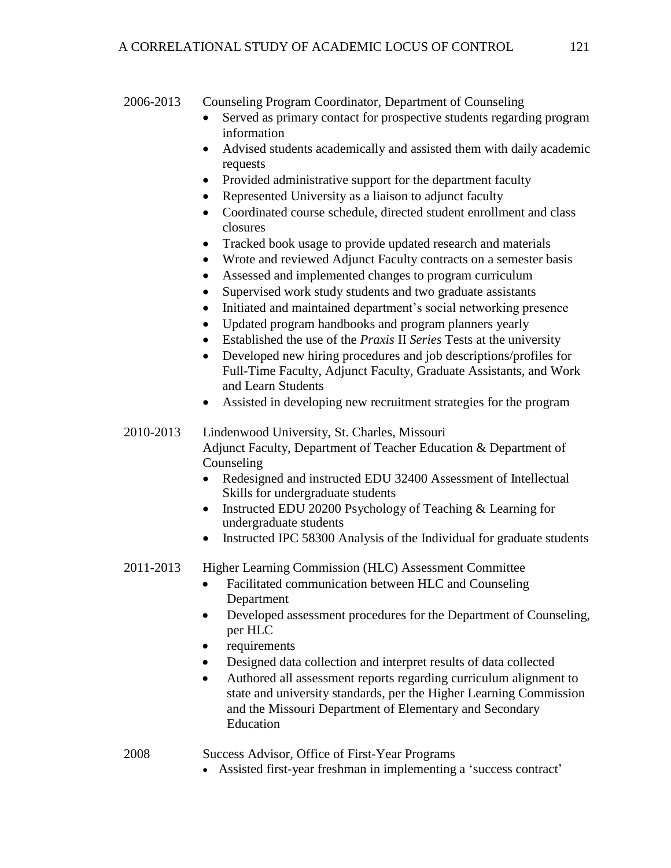### 2006-2013 Counseling Program Coordinator, Department of Counseling

- Served as primary contact for prospective students regarding program information
- Advised students academically and assisted them with daily academic requests
- Provided administrative support for the department faculty
- Represented University as a liaison to adjunct faculty
- Coordinated course schedule, directed student enrollment and class closures
- Tracked book usage to provide updated research and materials
- Wrote and reviewed Adjunct Faculty contracts on a semester basis
- Assessed and implemented changes to program curriculum
- Supervised work study students and two graduate assistants
- Initiated and maintained department's social networking presence
- Updated program handbooks and program planners yearly
- Established the use of the *Praxis* II *Series* Tests at the university
- Developed new hiring procedures and job descriptions/profiles for Full-Time Faculty, Adjunct Faculty, Graduate Assistants, and Work and Learn Students
- Assisted in developing new recruitment strategies for the program

2010-2013 Lindenwood University, St. Charles, Missouri Adjunct Faculty, Department of Teacher Education & Department of Counseling

- Redesigned and instructed EDU 32400 Assessment of Intellectual Skills for undergraduate students
- Instructed EDU 20200 Psychology of Teaching & Learning for undergraduate students
- Instructed IPC 58300 Analysis of the Individual for graduate students

### 2011-2013 Higher Learning Commission (HLC) Assessment Committee

- Facilitated communication between HLC and Counseling Department
- Developed assessment procedures for the Department of Counseling, per HLC
- requirements
- Designed data collection and interpret results of data collected
- Authored all assessment reports regarding curriculum alignment to state and university standards, per the Higher Learning Commission and the Missouri Department of Elementary and Secondary Education

2008 Success Advisor, Office of First-Year Programs

Assisted first-year freshman in implementing a 'success contract'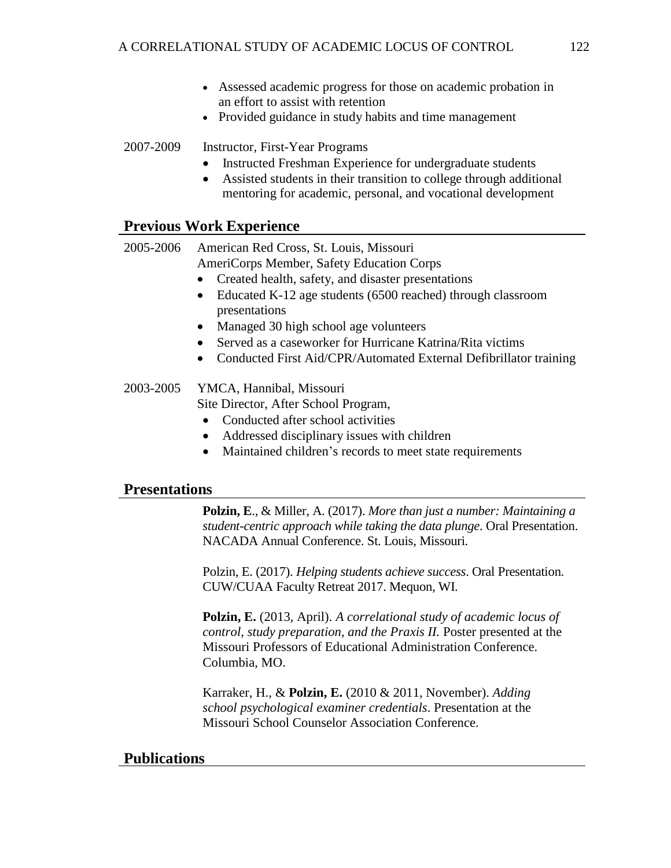- Assessed academic progress for those on academic probation in an effort to assist with retention
- Provided guidance in study habits and time management

### 2007-2009 Instructor, First-Year Programs

- Instructed Freshman Experience for undergraduate students
- Assisted students in their transition to college through additional mentoring for academic, personal, and vocational development

### **Previous Work Experience**

2005-2006 American Red Cross, St. Louis, Missouri AmeriCorps Member, Safety Education Corps

- Created health, safety, and disaster presentations
- Educated K-12 age students (6500 reached) through classroom presentations
- Managed 30 high school age volunteers
- Served as a caseworker for Hurricane Katrina/Rita victims
- Conducted First Aid/CPR/Automated External Defibrillator training

# 2003-2005 YMCA, Hannibal, Missouri

Site Director, After School Program,

- Conducted after school activities
- Addressed disciplinary issues with children
- Maintained children's records to meet state requirements

### **Presentations**

**Polzin, E**., & Miller, A. (2017). *More than just a number: Maintaining a student-centric approach while taking the data plunge*. Oral Presentation. NACADA Annual Conference. St. Louis, Missouri.

Polzin, E. (2017). *Helping students achieve success*. Oral Presentation. CUW/CUAA Faculty Retreat 2017. Mequon, WI.

**Polzin, E.** (2013, April). *A correlational study of academic locus of control, study preparation, and the Praxis II.* Poster presented at the Missouri Professors of Educational Administration Conference. Columbia, MO.

Karraker, H., & **Polzin, E.** (2010 & 2011, November). *Adding school psychological examiner credentials*. Presentation at the Missouri School Counselor Association Conference.

### **Publications**